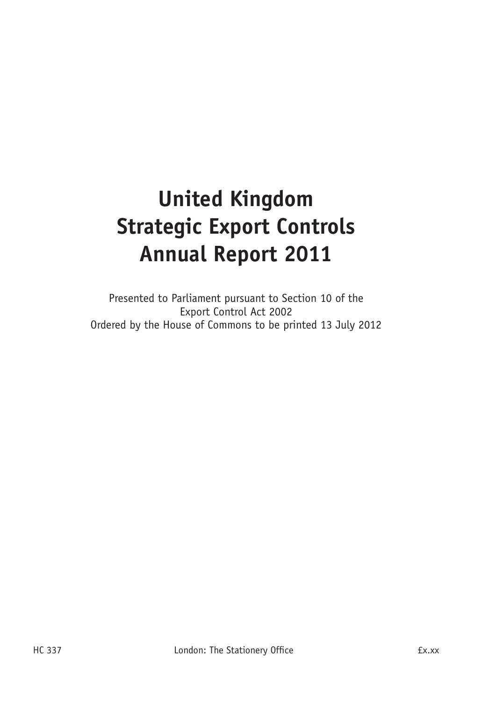# **United Kingdom Strategic Export Controls Annual Report 2011**

Presented to Parliament pursuant to Section 10 of the Export Control Act 2002 Ordered by the House of Commons to be printed 13 July 2012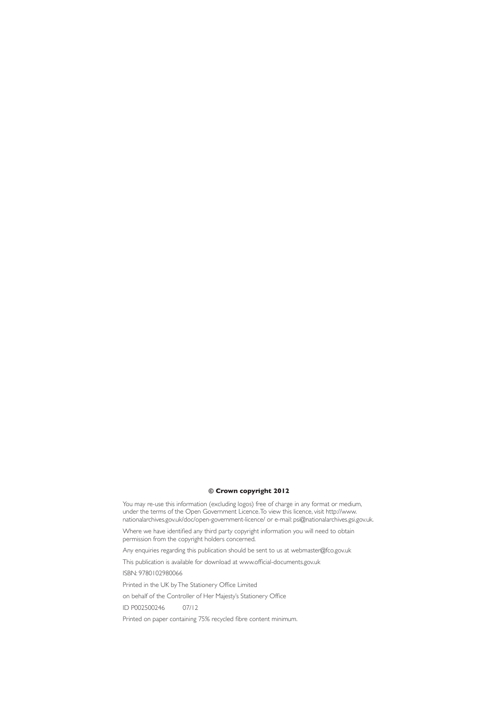#### **© Crown copyright 2012**

You may re-use this information (excluding logos) free of charge in any format or medium, under the terms of the Open Government Licence. To view this licence, visit http://www. nationalarchives.gov.uk/doc/open-government-licence/ or e-mail: psi@nationalarchives.gsi.gov.uk.

Where we have identified any third party copyright information you will need to obtain permission from the copyright holders concerned.

Any enquiries regarding this publication should be sent to us at webmaster@fco.gov.uk

This publication is available for download at www.official-documents.gov.uk

ISBN: 9780102980066

Printed in the UK by The Stationery Office Limited

on behalf of the Controller of Her Majesty's Stationery Office

ID P002500246 07/12

Printed on paper containing 75% recycled fibre content minimum.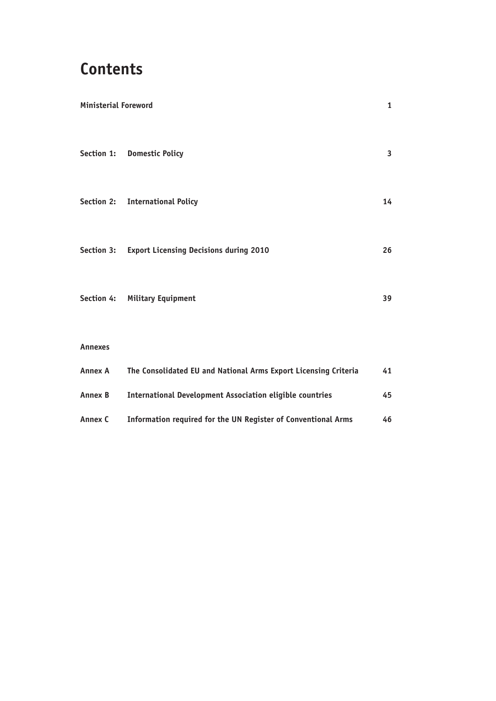## **Contents**

| <b>Ministerial Foreword</b> |                                                                 | $\mathbf{1}$            |
|-----------------------------|-----------------------------------------------------------------|-------------------------|
|                             | Section 1: Domestic Policy                                      | $\overline{\mathbf{3}}$ |
|                             | Section 2: International Policy                                 | 14                      |
|                             | Section 3: Export Licensing Decisions during 2010               | 26                      |
|                             | Section 4: Military Equipment                                   | 39                      |
| <b>Annexes</b>              |                                                                 |                         |
| Annex A                     | The Consolidated EU and National Arms Export Licensing Criteria | 41                      |
| Annex B                     | <b>International Development Association eligible countries</b> | 45                      |

**Annex C Information required for the UN Register of Conventional Arms 46**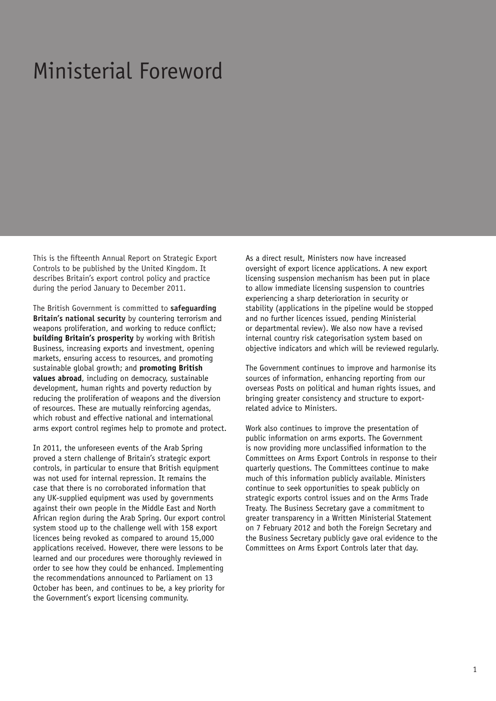## Ministerial Foreword

This is the fifteenth Annual Report on Strategic Export Controls to be published by the United Kingdom. It describes Britain's export control policy and practice during the period January to December 2011.

The British Government is committed to **safeguarding Britain's national security** by countering terrorism and weapons proliferation, and working to reduce conflict; **building Britain's prosperity** by working with British Business, increasing exports and investment, opening markets, ensuring access to resources, and promoting sustainable global growth; and **promoting British values abroad**, including on democracy, sustainable development, human rights and poverty reduction by reducing the proliferation of weapons and the diversion of resources. These are mutually reinforcing agendas, which robust and effective national and international arms export control regimes help to promote and protect.

In 2011, the unforeseen events of the Arab Spring proved a stern challenge of Britain's strategic export controls, in particular to ensure that British equipment was not used for internal repression. It remains the case that there is no corroborated information that any UK-supplied equipment was used by governments against their own people in the Middle East and North African region during the Arab Spring. Our export control system stood up to the challenge well with 158 export licences being revoked as compared to around 15,000 applications received. However, there were lessons to be learned and our procedures were thoroughly reviewed in order to see how they could be enhanced. Implementing the recommendations announced to Parliament on 13 October has been, and continues to be, a key priority for the Government's export licensing community.

As a direct result, Ministers now have increased oversight of export licence applications. A new export licensing suspension mechanism has been put in place to allow immediate licensing suspension to countries experiencing a sharp deterioration in security or stability (applications in the pipeline would be stopped and no further licences issued, pending Ministerial or departmental review). We also now have a revised internal country risk categorisation system based on objective indicators and which will be reviewed regularly.

The Government continues to improve and harmonise its sources of information, enhancing reporting from our overseas Posts on political and human rights issues, and bringing greater consistency and structure to exportrelated advice to Ministers.

Work also continues to improve the presentation of public information on arms exports. The Government is now providing more unclassified information to the Committees on Arms Export Controls in response to their quarterly questions. The Committees continue to make much of this information publicly available. Ministers continue to seek opportunities to speak publicly on strategic exports control issues and on the Arms Trade Treaty. The Business Secretary gave a commitment to greater transparency in a Written Ministerial Statement on 7 February 2012 and both the Foreign Secretary and the Business Secretary publicly gave oral evidence to the Committees on Arms Export Controls later that day.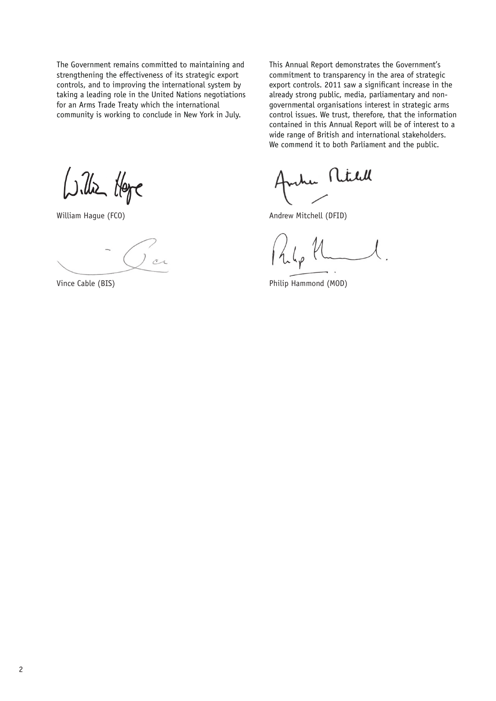The Government remains committed to maintaining and strengthening the effectiveness of its strategic export controls, and to improving the international system by taking a leading role in the United Nations negotiations for an Arms Trade Treaty which the international community is working to conclude in New York in July.

Willie Here

 $n_{\mathcal{A}}$ 

This Annual Report demonstrates the Government's commitment to transparency in the area of strategic export controls. 2011 saw a significant increase in the already strong public, media, parliamentary and nongovernmental organisations interest in strategic arms control issues. We trust, therefore, that the information contained in this Annual Report will be of interest to a wide range of British and international stakeholders. We commend it to both Parliament and the public.

the Mtill

William Hague (FCO) and the Controller of the Andrew Mitchell (DFID)

Vince Cable (BIS) **Philip Hammond (MOD)**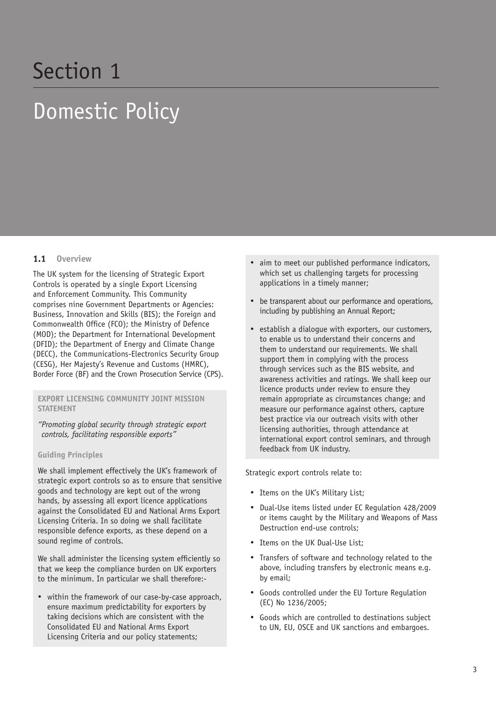## Section 1

# Domestic Policy

#### **1.1 Overview**

The UK system for the licensing of Strategic Export Controls is operated by a single Export Licensing and Enforcement Community. This Community comprises nine Government Departments or Agencies: Business, Innovation and Skills (BIS); the Foreign and Commonwealth Office (FCO); the Ministry of Defence (MOD); the Department for International Development (DFID); the Department of Energy and Climate Change (DECC), the Communications-Electronics Security Group (CESG), Her Majesty's Revenue and Customs (HMRC), Border Force (BF) and the Crown Prosecution Service (CPS).

#### **EXPORT LICENSING COMMUNITY JOINT MISSION STATEMENT**

*"Promoting global security through strategic export controls, facilitating responsible exports"* 

#### **Guiding Principles**

We shall implement effectively the UK's framework of strategic export controls so as to ensure that sensitive goods and technology are kept out of the wrong hands, by assessing all export licence applications against the Consolidated EU and National Arms Export Licensing Criteria. In so doing we shall facilitate responsible defence exports, as these depend on a sound regime of controls.

We shall administer the licensing system efficiently so that we keep the compliance burden on UK exporters to the minimum. In particular we shall therefore:-

• within the framework of our case-by-case approach, ensure maximum predictability for exporters by taking decisions which are consistent with the Consolidated EU and National Arms Export Licensing Criteria and our policy statements;

- aim to meet our published performance indicators, which set us challenging targets for processing applications in a timely manner;
- be transparent about our performance and operations, including by publishing an Annual Report;
- establish a dialogue with exporters, our customers, to enable us to understand their concerns and them to understand our requirements. We shall support them in complying with the process through services such as the BIS website, and awareness activities and ratings. We shall keep our licence products under review to ensure they remain appropriate as circumstances change; and measure our performance against others, capture best practice via our outreach visits with other licensing authorities, through attendance at international export control seminars, and through feedback from UK industry.

Strategic export controls relate to:

- Items on the UK's Military List;
- Dual-Use items listed under EC Regulation 428/2009 or items caught by the Military and Weapons of Mass Destruction end-use controls;
- Items on the UK Dual-Use List;
- Transfers of software and technology related to the above, including transfers by electronic means e.g. by email;
- Goods controlled under the EU Torture Regulation (EC) No 1236/2005;
- Goods which are controlled to destinations subject to UN, EU, OSCE and UK sanctions and embargoes.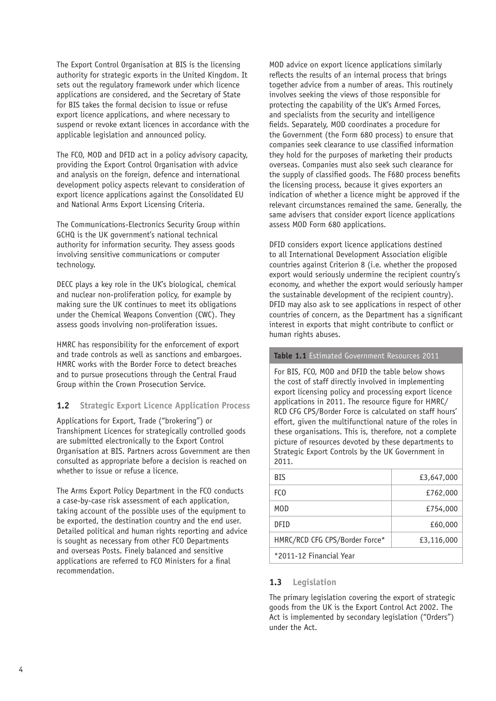The Export Control Organisation at BIS is the licensing authority for strategic exports in the United Kingdom. It sets out the regulatory framework under which licence applications are considered, and the Secretary of State for BIS takes the formal decision to issue or refuse export licence applications, and where necessary to suspend or revoke extant licences in accordance with the applicable legislation and announced policy.

The FCO, MOD and DFID act in a policy advisory capacity, providing the Export Control Organisation with advice and analysis on the foreign, defence and international development policy aspects relevant to consideration of export licence applications against the Consolidated EU and National Arms Export Licensing Criteria.

The Communications-Electronics Security Group within GCHQ is the UK government's national technical authority for information security. They assess goods involving sensitive communications or computer technology.

DECC plays a key role in the UK's biological, chemical and nuclear non-proliferation policy, for example by making sure the UK continues to meet its obligations under the Chemical Weapons Convention (CWC). They assess goods involving non-proliferation issues.

HMRC has responsibility for the enforcement of export and trade controls as well as sanctions and embargoes. HMRC works with the Border Force to detect breaches and to pursue prosecutions through the Central Fraud Group within the Crown Prosecution Service.

## **1.2 Strategic Export Licence Application Process**

Applications for Export, Trade ("brokering") or Transhipment Licences for strategically controlled goods are submitted electronically to the Export Control Organisation at BIS. Partners across Government are then consulted as appropriate before a decision is reached on whether to issue or refuse a licence.

The Arms Export Policy Department in the FCO conducts a case-by-case risk assessment of each application, taking account of the possible uses of the equipment to be exported, the destination country and the end user. Detailed political and human rights reporting and advice is sought as necessary from other FCO Departments and overseas Posts. Finely balanced and sensitive applications are referred to FCO Ministers for a final recommendation.

MOD advice on export licence applications similarly reflects the results of an internal process that brings together advice from a number of areas. This routinely involves seeking the views of those responsible for protecting the capability of the UK's Armed Forces, and specialists from the security and intelligence fields. Separately, MOD coordinates a procedure for the Government (the Form 680 process) to ensure that companies seek clearance to use classified information they hold for the purposes of marketing their products overseas. Companies must also seek such clearance for the supply of classified goods. The F680 process benefits the licensing process, because it gives exporters an indication of whether a licence might be approved if the relevant circumstances remained the same. Generally, the same advisers that consider export licence applications assess MOD Form 680 applications.

DFID considers export licence applications destined to all International Development Association eligible countries against Criterion 8 (i.e. whether the proposed export would seriously undermine the recipient country's economy, and whether the export would seriously hamper the sustainable development of the recipient country). DFID may also ask to see applications in respect of other countries of concern, as the Department has a significant interest in exports that might contribute to conflict or human rights abuses.

#### **Table 1.1** Estimated Government Resources 2011

For BIS, FCO, MOD and DFID the table below shows the cost of staff directly involved in implementing export licensing policy and processing export licence applications in 2011. The resource figure for HMRC/ RCD CFG CPS/Border Force is calculated on staff hours' effort, given the multifunctional nature of the roles in these organisations. This is, therefore, not a complete picture of resources devoted by these departments to Strategic Export Controls by the UK Government in 2011.

| <b>BIS</b>                     | £3,647,000 |
|--------------------------------|------------|
| FC <sub>0</sub>                | £762,000   |
| MOD                            | £754,000   |
| DFTD                           | £60,000    |
| HMRC/RCD CFG CPS/Border Force* | £3,116,000 |
| *2011-12 Financial Year        |            |

#### **1.3 Legislation**

The primary legislation covering the export of strategic goods from the UK is the Export Control Act 2002. The Act is implemented by secondary legislation ("Orders") under the Act.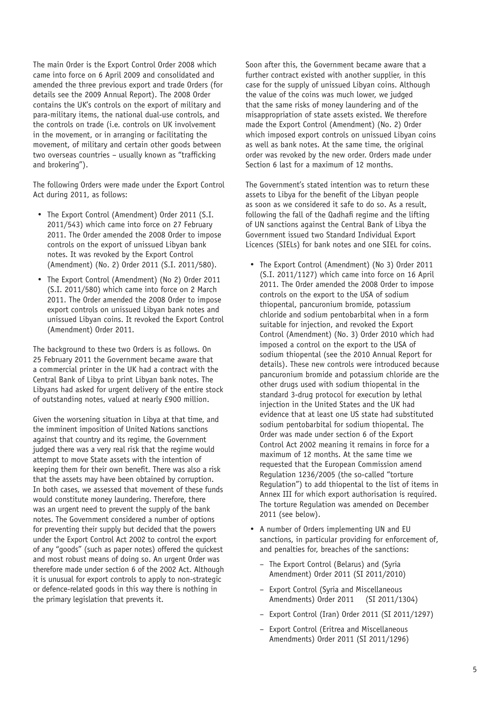The main Order is the Export Control Order 2008 which came into force on 6 April 2009 and consolidated and amended the three previous export and trade Orders (for details see the 2009 Annual Report). The 2008 Order contains the UK's controls on the export of military and para-military items, the national dual-use controls, and the controls on trade (i.e. controls on UK involvement in the movement, or in arranging or facilitating the movement, of military and certain other goods between two overseas countries – usually known as "trafficking and brokering").

The following Orders were made under the Export Control Act during 2011, as follows:

- The Export Control (Amendment) Order 2011 (S.I. 2011/543) which came into force on 27 February 2011. The Order amended the 2008 Order to impose controls on the export of unissued Libyan bank notes. It was revoked by the Export Control (Amendment) (No. 2) Order 2011 (S.I. 2011/580).
- The Export Control (Amendment) (No 2) Order 2011 (S.I. 2011/580) which came into force on 2 March 2011. The Order amended the 2008 Order to impose export controls on unissued Libyan bank notes and unissued Libyan coins. It revoked the Export Control (Amendment) Order 2011.

The background to these two Orders is as follows. On 25 February 2011 the Government became aware that a commercial printer in the UK had a contract with the Central Bank of Libya to print Libyan bank notes. The Libyans had asked for urgent delivery of the entire stock of outstanding notes, valued at nearly £900 million.

Given the worsening situation in Libya at that time, and the imminent imposition of United Nations sanctions against that country and its regime, the Government judged there was a very real risk that the regime would attempt to move State assets with the intention of keeping them for their own benefit. There was also a risk that the assets may have been obtained by corruption. In both cases, we assessed that movement of these funds would constitute money laundering. Therefore, there was an urgent need to prevent the supply of the bank notes. The Government considered a number of options for preventing their supply but decided that the powers under the Export Control Act 2002 to control the export of any "goods" (such as paper notes) offered the quickest and most robust means of doing so. An urgent Order was therefore made under section 6 of the 2002 Act. Although it is unusual for export controls to apply to non-strategic or defence-related goods in this way there is nothing in the primary legislation that prevents it.

Soon after this, the Government became aware that a further contract existed with another supplier, in this case for the supply of unissued Libyan coins. Although the value of the coins was much lower, we judged that the same risks of money laundering and of the misappropriation of state assets existed. We therefore made the Export Control (Amendment) (No. 2) Order which imposed export controls on unissued Libyan coins as well as bank notes. At the same time, the original order was revoked by the new order. Orders made under Section 6 last for a maximum of 12 months.

The Government's stated intention was to return these assets to Libya for the benefit of the Libyan people as soon as we considered it safe to do so. As a result, following the fall of the Qadhafi regime and the lifting of UN sanctions against the Central Bank of Libya the Government issued two Standard Individual Export Licences (SIELs) for bank notes and one SIEL for coins.

- The Export Control (Amendment) (No 3) Order 2011 (S.I. 2011/1127) which came into force on 16 April 2011. The Order amended the 2008 Order to impose controls on the export to the USA of sodium thiopental, pancuronium bromide, potassium chloride and sodium pentobarbital when in a form suitable for injection, and revoked the Export Control (Amendment) (No. 3) Order 2010 which had imposed a control on the export to the USA of sodium thiopental (see the 2010 Annual Report for details). These new controls were introduced because pancuronium bromide and potassium chloride are the other drugs used with sodium thiopental in the standard 3-drug protocol for execution by lethal injection in the United States and the UK had evidence that at least one US state had substituted sodium pentobarbital for sodium thiopental. The Order was made under section 6 of the Export Control Act 2002 meaning it remains in force for a maximum of 12 months. At the same time we requested that the European Commission amend Regulation 1236/2005 (the so-called "torture Regulation") to add thiopental to the list of items in Annex III for which export authorisation is required. The torture Regulation was amended on December 2011 (see below).
- A number of Orders implementing UN and EU sanctions, in particular providing for enforcement of, and penalties for, breaches of the sanctions:
	- The Export Control (Belarus) and (Syria Amendment) Order 2011 (SI 2011/2010)
	- Export Control (Syria and Miscellaneous Amendments) Order 2011 (SI 2011/1304)
	- Export Control (Iran) Order 2011 (SI 2011/1297)
	- Export Control (Eritrea and Miscellaneous Amendments) Order 2011 (SI 2011/1296)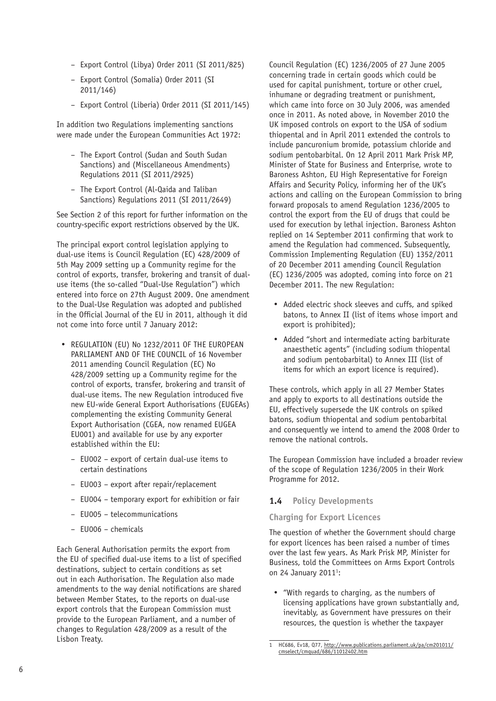- Export Control (Libya) Order 2011 (SI 2011/825)
- Export Control (Somalia) Order 2011 (SI 2011/146)
- Export Control (Liberia) Order 2011 (SI 2011/145)

In addition two Regulations implementing sanctions were made under the European Communities Act 1972:

- The Export Control (Sudan and South Sudan Sanctions) and (Miscellaneous Amendments) Regulations 2011 (SI 2011/2925)
- The Export Control (Al-Qaida and Taliban Sanctions) Regulations 2011 (SI 2011/2649)

See Section 2 of this report for further information on the country-specific export restrictions observed by the UK.

The principal export control legislation applying to dual-use items is Council Regulation (EC) 428/2009 of 5th May 2009 setting up a Community regime for the control of exports, transfer, brokering and transit of dualuse items (the so-called "Dual-Use Regulation") which entered into force on 27th August 2009. One amendment to the Dual-Use Regulation was adopted and published in the Official Journal of the EU in 2011, although it did not come into force until 7 January 2012:

- REGULATION (EU) No 1232/2011 OF THE EUROPEAN PARLIAMENT AND OF THE COUNCIL of 16 November 2011 amending Council Regulation (EC) No 428/2009 setting up a Community regime for the control of exports, transfer, brokering and transit of dual-use items. The new Regulation introduced five new EU-wide General Export Authorisations (EUGEAs) complementing the existing Community General Export Authorisation (CGEA, now renamed EUGEA EU001) and available for use by any exporter established within the EU:
	- EU002 export of certain dual-use items to certain destinations
	- EU003 export after repair/replacement
	- EU004 temporary export for exhibition or fair
	- EU005 telecommunications
	- EU006 chemicals

Each General Authorisation permits the export from the EU of specified dual-use items to a list of specified destinations, subject to certain conditions as set out in each Authorisation. The Regulation also made amendments to the way denial notifications are shared between Member States, to the reports on dual-use export controls that the European Commission must provide to the European Parliament, and a number of changes to Regulation 428/2009 as a result of the Lisbon Treaty.

Council Regulation (EC) 1236/2005 of 27 June 2005 concerning trade in certain goods which could be used for capital punishment, torture or other cruel, inhumane or degrading treatment or punishment, which came into force on 30 July 2006, was amended once in 2011. As noted above, in November 2010 the UK imposed controls on export to the USA of sodium thiopental and in April 2011 extended the controls to include pancuronium bromide, potassium chloride and sodium pentobarbital. On 12 April 2011 Mark Prisk MP, Minister of State for Business and Enterprise, wrote to Baroness Ashton, EU High Representative for Foreign Affairs and Security Policy, informing her of the UK's actions and calling on the European Commission to bring forward proposals to amend Regulation 1236/2005 to control the export from the EU of drugs that could be used for execution by lethal injection. Baroness Ashton replied on 14 September 2011 confirming that work to amend the Regulation had commenced. Subsequently, Commission Implementing Regulation (EU) 1352/2011 of 20 December 2011 amending Council Regulation (EC) 1236/2005 was adopted, coming into force on 21 December 2011. The new Regulation:

- Added electric shock sleeves and cuffs, and spiked batons, to Annex II (list of items whose import and export is prohibited);
- Added "short and intermediate acting barbiturate anaesthetic agents" (including sodium thiopental and sodium pentobarbital) to Annex III (list of items for which an export licence is required).

These controls, which apply in all 27 Member States and apply to exports to all destinations outside the EU, effectively supersede the UK controls on spiked batons, sodium thiopental and sodium pentobarbital and consequently we intend to amend the 2008 Order to remove the national controls.

The European Commission have included a broader review of the scope of Regulation 1236/2005 in their Work Programme for 2012.

#### **1.4 Policy Developments**

### **Charging for Export Licences**

The question of whether the Government should charge for export licences has been raised a number of times over the last few years. As Mark Prisk MP, Minister for Business, told the Committees on Arms Export Controls on 24 January 2011<sup>1</sup>:

• "With regards to charging, as the numbers of licensing applications have grown substantially and, inevitably, as Government have pressures on their resources, the question is whether the taxpayer

<sup>1</sup> HC686, Ev18, Q77, http://www.publications.parliament.uk/pa/cm201011/ cmselect/cmquad/686/11012402.htm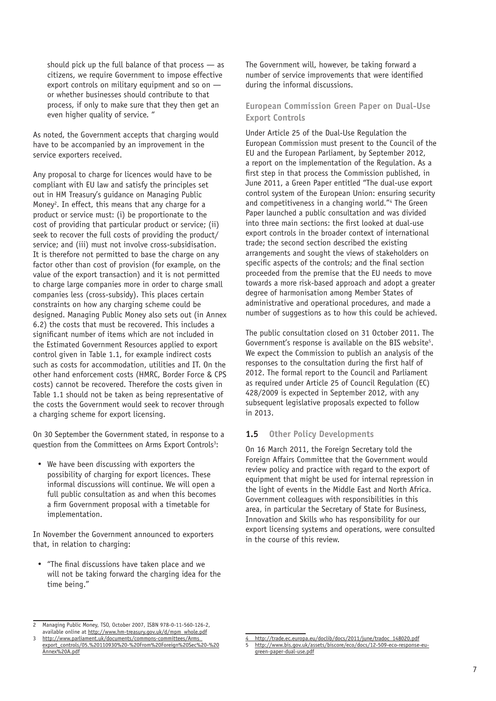should pick up the full balance of that process — as citizens, we require Government to impose effective export controls on military equipment and so on or whether businesses should contribute to that process, if only to make sure that they then get an even higher quality of service. "

As noted, the Government accepts that charging would have to be accompanied by an improvement in the service exporters received.

Any proposal to charge for licences would have to be compliant with EU law and satisfy the principles set out in HM Treasury's guidance on Managing Public Money<sup>2</sup>. In effect, this means that any charge for a product or service must: (i) be proportionate to the cost of providing that particular product or service; (ii) seek to recover the full costs of providing the product/ service: and (iii) must not involve cross-subsidisation. It is therefore not permitted to base the charge on any factor other than cost of provision (for example, on the value of the export transaction) and it is not permitted to charge large companies more in order to charge small companies less (cross-subsidy). This places certain constraints on how any charging scheme could be designed. Managing Public Money also sets out (in Annex 6.2) the costs that must be recovered. This includes a significant number of items which are not included in the Estimated Government Resources applied to export control given in Table 1.1, for example indirect costs such as costs for accommodation, utilities and IT. On the other hand enforcement costs (HMRC, Border Force & CPS costs) cannot be recovered. Therefore the costs given in Table 1.1 should not be taken as being representative of the costs the Government would seek to recover through a charging scheme for export licensing.

On 30 September the Government stated, in response to a question from the Committees on Arms Export Controls<sup>3</sup>:

• We have been discussing with exporters the possibility of charging for export licences. These informal discussions will continue. We will open a full public consultation as and when this becomes a firm Government proposal with a timetable for implementation.

In November the Government announced to exporters that, in relation to charging:

• "The final discussions have taken place and we will not be taking forward the charging idea for the time being."

The Government will, however, be taking forward a number of service improvements that were identified during the informal discussions.

### **European Commission Green Paper on Dual-Use Export Controls**

Under Article 25 of the Dual-Use Regulation the European Commission must present to the Council of the EU and the European Parliament, by September 2012, a report on the implementation of the Regulation. As a first step in that process the Commission published, in June 2011, a Green Paper entitled "The dual-use export control system of the European Union: ensuring security and competitiveness in a changing world."4 The Green Paper launched a public consultation and was divided into three main sections: the first looked at dual-use export controls in the broader context of international trade; the second section described the existing arrangements and sought the views of stakeholders on specific aspects of the controls; and the final section proceeded from the premise that the EU needs to move towards a more risk-based approach and adopt a greater degree of harmonisation among Member States of administrative and operational procedures, and made a number of suggestions as to how this could be achieved.

The public consultation closed on 31 October 2011. The Government's response is available on the BIS website<sup>5</sup>. We expect the Commission to publish an analysis of the responses to the consultation during the first half of 2012. The formal report to the Council and Parliament as required under Article 25 of Council Regulation (EC) 428/2009 is expected in September 2012, with any subsequent legislative proposals expected to follow in 2013.

#### **1.5 Other Policy Developments**

On 16 March 2011, the Foreign Secretary told the Foreign Affairs Committee that the Government would review policy and practice with regard to the export of equipment that might be used for internal repression in the light of events in the Middle East and North Africa. Government colleagues with responsibilities in this area, in particular the Secretary of State for Business, Innovation and Skills who has responsibility for our export licensing systems and operations, were consulted in the course of this review.

<sup>2</sup> Managing Public Money, TSO, October 2007, ISBN 978-0-11-560-126-2, available online at http://www.hm-treasury.gov.uk/d/mpm\_whole.pdf

<sup>3</sup> http://www.parliament.uk/documents/commons-committees/Arms\_ export\_controls/05.%20110930%20-%20From%20Foreign%20Sec%20-%20 Annex%20A.pdf

http://trade.ec.europa.eu/doclib/docs/2011/june/tradoc\_148020.pdf 5 http://www.bis.gov.uk/assets/biscore/eco/docs/12-509-eco-response-eu-

green-paper-dual-use.pdf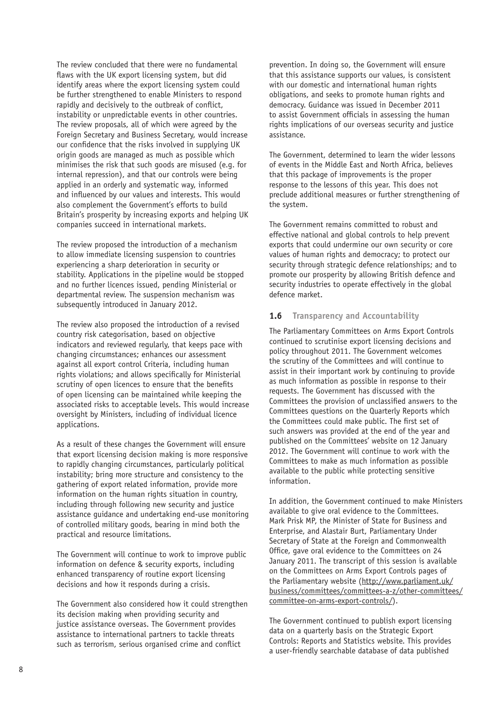The review concluded that there were no fundamental flaws with the UK export licensing system, but did identify areas where the export licensing system could be further strengthened to enable Ministers to respond rapidly and decisively to the outbreak of conflict, instability or unpredictable events in other countries. The review proposals, all of which were agreed by the Foreign Secretary and Business Secretary, would increase our confidence that the risks involved in supplying UK origin goods are managed as much as possible which minimises the risk that such goods are misused (e.g. for internal repression), and that our controls were being applied in an orderly and systematic way, informed and influenced by our values and interests. This would also complement the Government's efforts to build Britain's prosperity by increasing exports and helping UK companies succeed in international markets.

The review proposed the introduction of a mechanism to allow immediate licensing suspension to countries experiencing a sharp deterioration in security or stability. Applications in the pipeline would be stopped and no further licences issued, pending Ministerial or departmental review. The suspension mechanism was subsequently introduced in January 2012.

The review also proposed the introduction of a revised country risk categorisation, based on objective indicators and reviewed regularly, that keeps pace with changing circumstances; enhances our assessment against all export control Criteria, including human rights violations; and allows specifically for Ministerial scrutiny of open licences to ensure that the benefits of open licensing can be maintained while keeping the associated risks to acceptable levels. This would increase oversight by Ministers, including of individual licence applications.

As a result of these changes the Government will ensure that export licensing decision making is more responsive to rapidly changing circumstances, particularly political instability; bring more structure and consistency to the gathering of export related information, provide more information on the human rights situation in country, including through following new security and justice assistance guidance and undertaking end-use monitoring of controlled military goods, bearing in mind both the practical and resource limitations.

The Government will continue to work to improve public information on defence & security exports, including enhanced transparency of routine export licensing decisions and how it responds during a crisis.

The Government also considered how it could strengthen its decision making when providing security and justice assistance overseas. The Government provides assistance to international partners to tackle threats such as terrorism, serious organised crime and conflict

prevention. In doing so, the Government will ensure that this assistance supports our values, is consistent with our domestic and international human rights obligations, and seeks to promote human rights and democracy. Guidance was issued in December 2011 to assist Government officials in assessing the human rights implications of our overseas security and justice assistance.

The Government, determined to learn the wider lessons of events in the Middle East and North Africa, believes that this package of improvements is the proper response to the lessons of this year. This does not preclude additional measures or further strengthening of the system.

The Government remains committed to robust and effective national and global controls to help prevent exports that could undermine our own security or core values of human rights and democracy; to protect our security through strategic defence relationships; and to promote our prosperity by allowing British defence and security industries to operate effectively in the global defence market.

### **1.6 Transparency and Accountability**

The Parliamentary Committees on Arms Export Controls continued to scrutinise export licensing decisions and policy throughout 2011. The Government welcomes the scrutiny of the Committees and will continue to assist in their important work by continuing to provide as much information as possible in response to their requests. The Government has discussed with the Committees the provision of unclassified answers to the Committees questions on the Quarterly Reports which the Committees could make public. The first set of such answers was provided at the end of the year and published on the Committees' website on 12 January 2012. The Government will continue to work with the Committees to make as much information as possible available to the public while protecting sensitive information.

In addition, the Government continued to make Ministers available to give oral evidence to the Committees. Mark Prisk MP, the Minister of State for Business and Enterprise, and Alastair Burt, Parliamentary Under Secretary of State at the Foreign and Commonwealth Office, gave oral evidence to the Committees on 24 January 2011. The transcript of this session is available on the Committees on Arms Export Controls pages of the Parliamentary website (http://www.parliament.uk/ business/committees/committees-a-z/other-committees/ committee-on-arms-export-controls/).

The Government continued to publish export licensing data on a quarterly basis on the Strategic Export Controls: Reports and Statistics website. This provides a user-friendly searchable database of data published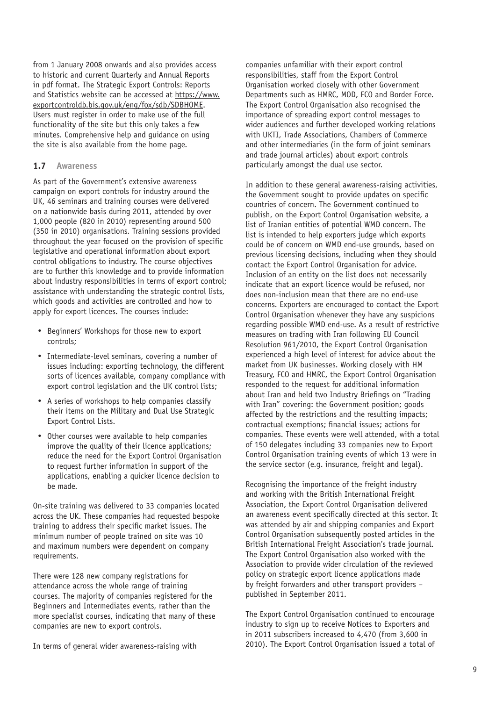from 1 January 2008 onwards and also provides access to historic and current Quarterly and Annual Reports in pdf format. The Strategic Export Controls: Reports and Statistics website can be accessed at https://www. exportcontroldb.bis.gov.uk/eng/fox/sdb/SDBHOME. Users must register in order to make use of the full functionality of the site but this only takes a few minutes. Comprehensive help and guidance on using the site is also available from the home page.

#### **1.7 Awareness**

As part of the Government's extensive awareness campaign on export controls for industry around the UK, 46 seminars and training courses were delivered on a nationwide basis during 2011, attended by over 1,000 people (820 in 2010) representing around 500 (350 in 2010) organisations. Training sessions provided throughout the year focused on the provision of specific legislative and operational information about export control obligations to industry. The course objectives are to further this knowledge and to provide information about industry responsibilities in terms of export control; assistance with understanding the strategic control lists, which goods and activities are controlled and how to apply for export licences. The courses include:

- Beginners' Workshops for those new to export controls;
- Intermediate-level seminars, covering a number of issues including: exporting technology, the different sorts of licences available, company compliance with export control legislation and the UK control lists;
- A series of workshops to help companies classify their items on the Military and Dual Use Strategic Export Control Lists.
- Other courses were available to help companies improve the quality of their licence applications; reduce the need for the Export Control Organisation to request further information in support of the applications, enabling a quicker licence decision to be made.

On-site training was delivered to 33 companies located across the UK. These companies had requested bespoke training to address their specific market issues. The minimum number of people trained on site was 10 and maximum numbers were dependent on company requirements.

There were 128 new company registrations for attendance across the whole range of training courses. The majority of companies registered for the Beginners and Intermediates events, rather than the more specialist courses, indicating that many of these companies are new to export controls.

In terms of general wider awareness-raising with

companies unfamiliar with their export control responsibilities, staff from the Export Control Organisation worked closely with other Government Departments such as HMRC, MOD, FCO and Border Force. The Export Control Organisation also recognised the importance of spreading export control messages to wider audiences and further developed working relations with UKTI, Trade Associations, Chambers of Commerce and other intermediaries (in the form of joint seminars and trade journal articles) about export controls particularly amongst the dual use sector.

In addition to these general awareness-raising activities, the Government sought to provide updates on specific countries of concern. The Government continued to publish, on the Export Control Organisation website, a list of Iranian entities of potential WMD concern. The list is intended to help exporters judge which exports could be of concern on WMD end-use grounds, based on previous licensing decisions, including when they should contact the Export Control Organisation for advice. Inclusion of an entity on the list does not necessarily indicate that an export licence would be refused, nor does non-inclusion mean that there are no end-use concerns. Exporters are encouraged to contact the Export Control Organisation whenever they have any suspicions regarding possible WMD end-use. As a result of restrictive measures on trading with Iran following EU Council Resolution 961/2010, the Export Control Organisation experienced a high level of interest for advice about the market from UK businesses. Working closely with HM Treasury, FCO and HMRC, the Export Control Organisation responded to the request for additional information about Iran and held two Industry Briefings on "Trading with Iran" covering: the Government position; goods affected by the restrictions and the resulting impacts; contractual exemptions; financial issues; actions for companies. These events were well attended, with a total of 150 delegates including 33 companies new to Export Control Organisation training events of which 13 were in the service sector (e.g. insurance, freight and legal).

Recognising the importance of the freight industry and working with the British International Freight Association, the Export Control Organisation delivered an awareness event specifically directed at this sector. It was attended by air and shipping companies and Export Control Organisation subsequently posted articles in the British International Freight Association's trade journal. The Export Control Organisation also worked with the Association to provide wider circulation of the reviewed policy on strategic export licence applications made by freight forwarders and other transport providers – published in September 2011.

The Export Control Organisation continued to encourage industry to sign up to receive Notices to Exporters and in 2011 subscribers increased to 4,470 (from 3,600 in 2010). The Export Control Organisation issued a total of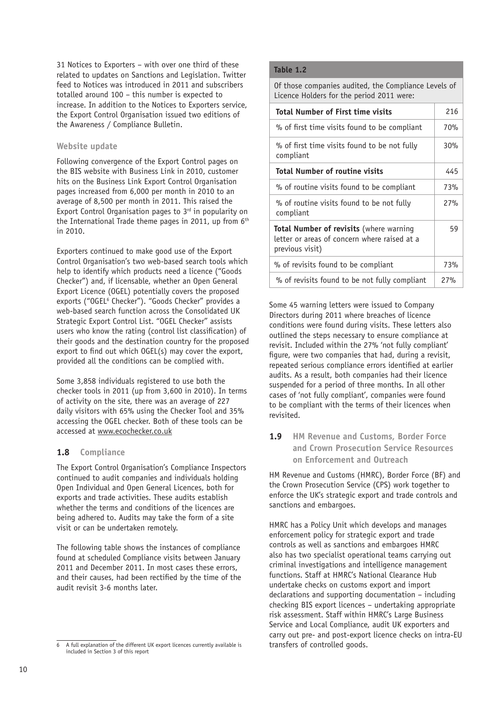31 Notices to Exporters – with over one third of these related to updates on Sanctions and Legislation. Twitter feed to Notices was introduced in 2011 and subscribers totalled around 100 – this number is expected to increase. In addition to the Notices to Exporters service, the Export Control Organisation issued two editions of the Awareness / Compliance Bulletin.

#### **Website update**

Following convergence of the Export Control pages on the BIS website with Business Link in 2010, customer hits on the Business Link Export Control Organisation pages increased from 6,000 per month in 2010 to an average of 8,500 per month in 2011. This raised the Export Control Organisation pages to  $3<sup>rd</sup>$  in popularity on the International Trade theme pages in 2011, up from  $6<sup>th</sup>$ in 2010.

Exporters continued to make good use of the Export Control Organisation's two web-based search tools which help to identify which products need a licence ("Goods Checker") and, if licensable, whether an Open General Export Licence (OGEL) potentially covers the proposed exports ("OGEL<sup>6</sup> Checker"). "Goods Checker" provides a web-based search function across the Consolidated UK Strategic Export Control List. "OGEL Checker" assists users who know the rating (control list classification) of their goods and the destination country for the proposed export to find out which OGEL(s) may cover the export, provided all the conditions can be complied with.

Some 3,858 individuals registered to use both the checker tools in 2011 (up from 3,600 in 2010). In terms of activity on the site, there was an average of 227 daily visitors with 65% using the Checker Tool and 35% accessing the OGEL checker. Both of these tools can be accessed at www.ecochecker.co.uk

#### **1.8 Compliance**

The Export Control Organisation's Compliance Inspectors continued to audit companies and individuals holding Open Individual and Open General Licences, both for exports and trade activities. These audits establish whether the terms and conditions of the licences are being adhered to. Audits may take the form of a site visit or can be undertaken remotely.

The following table shows the instances of compliance found at scheduled Compliance visits between January 2011 and December 2011. In most cases these errors, and their causes, had been rectified by the time of the audit revisit 3-6 months later.

#### **Table 1.2**

Of those companies audited, the Compliance Levels of Licence Holders for the period 2011 were:

| <b>Total Number of First time visits</b>                                                                          | 216 |
|-------------------------------------------------------------------------------------------------------------------|-----|
| % of first time visits found to be compliant                                                                      | 70% |
| % of first time visits found to be not fully<br>compliant                                                         | 30% |
| <b>Total Number of routine visits</b>                                                                             | 445 |
| % of routine visits found to be compliant                                                                         | 73% |
| % of routine visits found to be not fully<br>compliant                                                            | 27% |
| <b>Total Number of revisits (where warning</b><br>letter or areas of concern where raised at a<br>previous visit) | 59  |
| % of revisits found to be compliant                                                                               | 73% |
| % of revisits found to be not fully compliant                                                                     | 27% |

Some 45 warning letters were issued to Company Directors during 2011 where breaches of licence conditions were found during visits. These letters also outlined the steps necessary to ensure compliance at revisit. Included within the 27% 'not fully compliant' figure, were two companies that had, during a revisit, repeated serious compliance errors identified at earlier audits. As a result, both companies had their licence suspended for a period of three months. In all other cases of 'not fully compliant', companies were found to be compliant with the terms of their licences when revisited.

**1.9 HM Revenue and Customs, Border Force and Crown Prosecution Service Resources on Enforcement and Outreach**

HM Revenue and Customs (HMRC), Border Force (BF) and the Crown Prosecution Service (CPS) work together to enforce the UK's strategic export and trade controls and sanctions and embargoes.

HMRC has a Policy Unit which develops and manages enforcement policy for strategic export and trade controls as well as sanctions and embargoes HMRC also has two specialist operational teams carrying out criminal investigations and intelligence management functions. Staff at HMRC's National Clearance Hub undertake checks on customs export and import declarations and supporting documentation – including checking BIS export licences – undertaking appropriate risk assessment. Staff within HMRC's Large Business Service and Local Compliance, audit UK exporters and carry out pre- and post-export licence checks on intra-EU transfers of controlled goods.

<sup>6</sup> A full explanation of the different UK export licences currently available is included in Section 3 of this report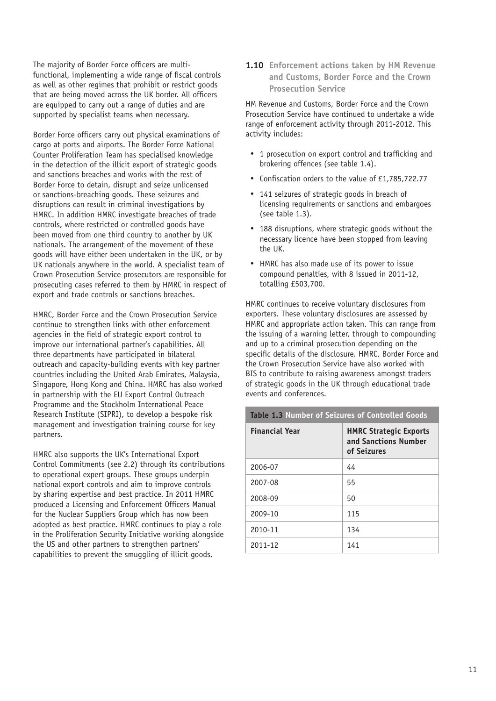The majority of Border Force officers are multifunctional, implementing a wide range of fiscal controls as well as other regimes that prohibit or restrict goods that are being moved across the UK border. All officers are equipped to carry out a range of duties and are supported by specialist teams when necessary.

Border Force officers carry out physical examinations of cargo at ports and airports. The Border Force National Counter Proliferation Team has specialised knowledge in the detection of the illicit export of strategic goods and sanctions breaches and works with the rest of Border Force to detain, disrupt and seize unlicensed or sanctions-breaching goods. These seizures and disruptions can result in criminal investigations by HMRC. In addition HMRC investigate breaches of trade controls, where restricted or controlled goods have been moved from one third country to another by UK nationals. The arrangement of the movement of these goods will have either been undertaken in the UK, or by UK nationals anywhere in the world. A specialist team of Crown Prosecution Service prosecutors are responsible for prosecuting cases referred to them by HMRC in respect of export and trade controls or sanctions breaches.

HMRC, Border Force and the Crown Prosecution Service continue to strengthen links with other enforcement agencies in the field of strategic export control to improve our international partner's capabilities. All three departments have participated in bilateral outreach and capacity-building events with key partner countries including the United Arab Emirates, Malaysia, Singapore, Hong Kong and China. HMRC has also worked in partnership with the EU Export Control Outreach Programme and the Stockholm International Peace Research Institute (SIPRI), to develop a bespoke risk management and investigation training course for key partners.

HMRC also supports the UK's International Export Control Commitments (see 2.2) through its contributions to operational expert groups. These groups underpin national export controls and aim to improve controls by sharing expertise and best practice. In 2011 HMRC produced a Licensing and Enforcement Officers Manual for the Nuclear Suppliers Group which has now been adopted as best practice. HMRC continues to play a role in the Proliferation Security Initiative working alongside the US and other partners to strengthen partners' capabilities to prevent the smuggling of illicit goods.

**1.10 Enforcement actions taken by HM Revenue and Customs, Border Force and the Crown Prosecution Service**

HM Revenue and Customs, Border Force and the Crown Prosecution Service have continued to undertake a wide range of enforcement activity through 2011-2012. This activity includes:

- 1 prosecution on export control and trafficking and brokering offences (see table 1.4).
- Confiscation orders to the value of £1,785,722.77
- 141 seizures of strategic goods in breach of licensing requirements or sanctions and embargoes (see table 1.3).
- 188 disruptions, where strategic goods without the necessary licence have been stopped from leaving the UK.
- HMRC has also made use of its power to issue compound penalties, with 8 issued in 2011-12, totalling £503,700.

HMRC continues to receive voluntary disclosures from exporters. These voluntary disclosures are assessed by HMRC and appropriate action taken. This can range from the issuing of a warning letter, through to compounding and up to a criminal prosecution depending on the specific details of the disclosure. HMRC, Border Force and the Crown Prosecution Service have also worked with BIS to contribute to raising awareness amongst traders of strategic goods in the UK through educational trade events and conferences.

**Table 1.3 Number of Seizures of Controlled Goods**

| - THE MUNICIPAL SERVICE OF CONTROLLED COOLS |                                                                      |  |  |
|---------------------------------------------|----------------------------------------------------------------------|--|--|
| <b>Financial Year</b>                       | <b>HMRC Strategic Exports</b><br>and Sanctions Number<br>of Seizures |  |  |
| 2006-07                                     | 44                                                                   |  |  |
| 2007-08                                     | 55                                                                   |  |  |
| 2008-09                                     | 50                                                                   |  |  |
| 2009-10                                     | 115                                                                  |  |  |
| 2010-11                                     | 134                                                                  |  |  |
| 2011-12                                     | 141                                                                  |  |  |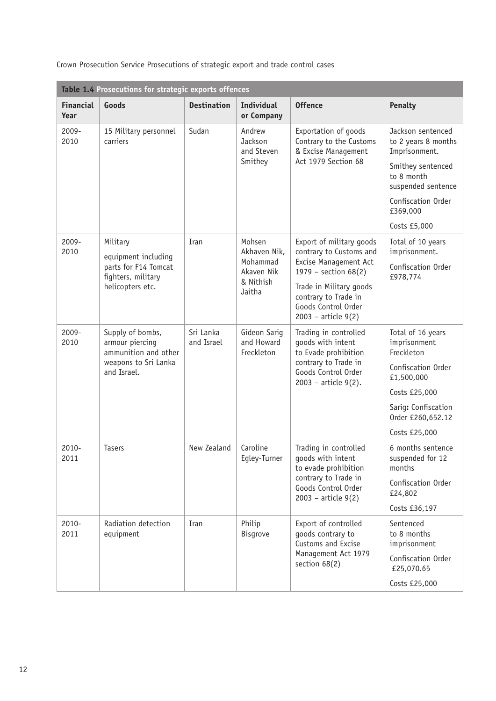Crown Prosecution Service Prosecutions of strategic export and trade control cases

| Table 1.4 Prosecutions for strategic exports offences |                                                             |                         |                                          |                                                                                                   |                                                           |
|-------------------------------------------------------|-------------------------------------------------------------|-------------------------|------------------------------------------|---------------------------------------------------------------------------------------------------|-----------------------------------------------------------|
| <b>Financial</b><br>Year                              | Goods                                                       | <b>Destination</b>      | <b>Individual</b><br>or Company          | <b>Offence</b>                                                                                    | <b>Penalty</b>                                            |
| 2009-<br>2010                                         | 15 Military personnel<br>carriers                           | Sudan                   | Andrew<br>Jackson<br>and Steven          | Exportation of goods<br>Contrary to the Customs<br>& Excise Management                            | Jackson sentenced<br>to 2 years 8 months<br>Imprisonment. |
|                                                       |                                                             |                         | Smithey                                  | Act 1979 Section 68                                                                               | Smithey sentenced<br>to 8 month<br>suspended sentence     |
|                                                       |                                                             |                         |                                          |                                                                                                   | Confiscation Order<br>£369,000                            |
|                                                       |                                                             |                         |                                          |                                                                                                   | Costs £5,000                                              |
| 2009-<br>2010                                         | Military<br>equipment including                             | Iran                    | Mohsen<br>Akhaven Nik,                   | Export of military goods<br>contrary to Customs and                                               | Total of 10 years<br>imprisonment.                        |
|                                                       | Mohammad<br>parts for F14 Tomcat<br>fighters, military      |                         | Akaven Nik<br>& Nithish                  | Excise Management Act<br>1979 - section 68(2)                                                     | Confiscation Order<br>£978,774                            |
|                                                       | helicopters etc.                                            |                         | Jaitha                                   | Trade in Military goods<br>contrary to Trade in<br>Goods Control Order<br>$2003 -$ article $9(2)$ |                                                           |
| 2009-<br>2010                                         | Supply of bombs,<br>armour piercing<br>ammunition and other | Sri Lanka<br>and Israel | Gideon Sariq<br>and Howard<br>Freckleton | Trading in controlled<br>goods with intent<br>to Evade prohibition                                | Total of 16 years<br>imprisonment<br>Freckleton           |
|                                                       | weapons to Sri Lanka<br>and Israel.                         |                         |                                          | contrary to Trade in<br>Goods Control Order<br>$2003 -$ article $9(2)$ .                          | Confiscation Order<br>£1,500,000                          |
|                                                       |                                                             |                         |                                          |                                                                                                   | Costs £25,000                                             |
|                                                       |                                                             |                         |                                          |                                                                                                   | Sarig: Confiscation<br>Order £260,652.12                  |
|                                                       |                                                             |                         |                                          |                                                                                                   | Costs £25,000                                             |
| 2010-<br>2011                                         | <b>Tasers</b>                                               | New Zealand             | Caroline<br>Egley-Turner                 | Trading in controlled<br>goods with intent<br>to evade prohibition                                | 6 months sentence<br>suspended for 12<br>months           |
|                                                       |                                                             |                         |                                          | contrary to Trade in<br>Goods Control Order<br>$2003 -$ article $9(2)$                            | Confiscation Order<br>£24,802                             |
|                                                       |                                                             |                         |                                          |                                                                                                   | Costs £36,197                                             |
| 2010-<br>2011                                         | Radiation detection<br>equipment                            | Iran                    | Philip<br><b>Bisgrove</b>                | Export of controlled<br>goods contrary to<br>Customs and Excise                                   | Sentenced<br>to 8 months<br>imprisonment                  |
|                                                       |                                                             |                         |                                          | Management Act 1979<br>section $68(2)$                                                            | Confiscation Order<br>£25,070.65                          |
|                                                       |                                                             |                         |                                          |                                                                                                   | Costs £25,000                                             |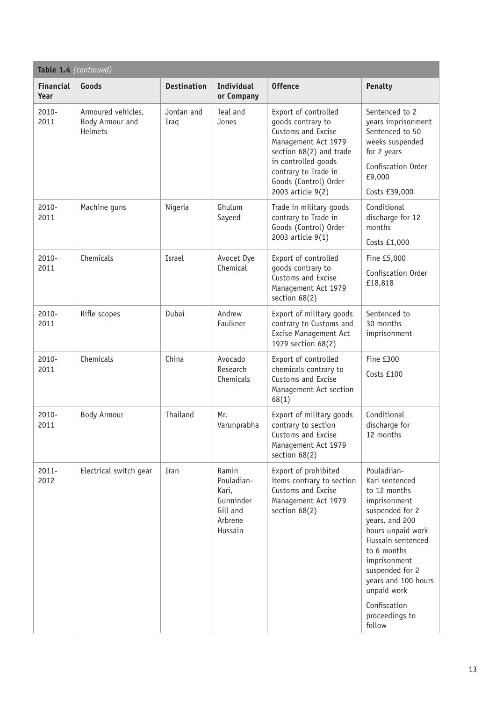| Table 1.4 (continued)    |                                                         |                    |                                                                             |                                                                                                                                                                                                                |                                                                                                                                                                                                                                                                                  |
|--------------------------|---------------------------------------------------------|--------------------|-----------------------------------------------------------------------------|----------------------------------------------------------------------------------------------------------------------------------------------------------------------------------------------------------------|----------------------------------------------------------------------------------------------------------------------------------------------------------------------------------------------------------------------------------------------------------------------------------|
| <b>Financial</b><br>Year | Goods                                                   | <b>Destination</b> | <b>Individual</b><br>or Company                                             | <b>Offence</b>                                                                                                                                                                                                 | <b>Penalty</b>                                                                                                                                                                                                                                                                   |
| 2010-<br>2011            | Armoured vehicles,<br>Body Armour and<br><b>Helmets</b> | Jordan and<br>Iraq | Teal and<br>Jones                                                           | Export of controlled<br>goods contrary to<br>Customs and Excise<br>Management Act 1979<br>section 68(2) and trade<br>in controlled goods<br>contrary to Trade in<br>Goods (Control) Order<br>2003 article 9(2) | Sentenced to 2<br>years imprisonment<br>Sentenced to 50<br>weeks suspended<br>for 2 years<br>Confiscation Order<br>£9,000<br>Costs £39,000                                                                                                                                       |
| 2010-<br>2011            | Machine guns                                            | Nigeria            | Ghulum<br>Sayeed                                                            | Trade in military goods<br>contrary to Trade in<br>Goods (Control) Order<br>2003 article 9(1)                                                                                                                  | Conditional<br>discharge for 12<br>months<br>Costs £1,000                                                                                                                                                                                                                        |
| 2010-<br>2011            | Chemicals                                               | Israel             | Avocet Dye<br>Chemical                                                      | Export of controlled<br>goods contrary to<br>Customs and Excise<br>Management Act 1979<br>section $68(2)$                                                                                                      | Fine £5,000<br>Confiscation Order<br>£18,818                                                                                                                                                                                                                                     |
| 2010-<br>2011            | Rifle scopes                                            | Dubai              | Andrew<br>Faulkner                                                          | Export of military goods<br>contrary to Customs and<br>Excise Management Act<br>1979 section 68(2)                                                                                                             | Sentenced to<br>30 months<br>imprisonment                                                                                                                                                                                                                                        |
| 2010-<br>2011            | Chemicals                                               | China              | Avocado<br>Research<br>Chemicals                                            | Export of controlled<br>chemicals contrary to<br>Customs and Excise<br>Management Act section<br>68(1)                                                                                                         | Fine £300<br>Costs £100                                                                                                                                                                                                                                                          |
| 2010-<br>2011            | <b>Body Armour</b>                                      | Thailand           | Mr.<br>Varunprabha                                                          | Export of military goods<br>contrary to section<br>Customs and Excise<br>Management Act 1979<br>section $68(2)$                                                                                                | Conditional<br>discharge for<br>12 months                                                                                                                                                                                                                                        |
| $2011 -$<br>2012         | Electrical switch gear                                  | Iran               | Ramin<br>Pouladian-<br>Kari,<br>Gurminder<br>Gill and<br>Arbrene<br>Hussain | Export of prohibited<br>items contrary to section<br>Customs and Excise<br>Management Act 1979<br>section $68(2)$                                                                                              | Pouladiian-<br>Kari sentenced<br>to 12 months<br>imprisonment<br>suspended for 2<br>years, and 200<br>hours unpaid work<br>Hussain sentenced<br>to 6 months<br>imprisonment<br>suspended for 2<br>years and 100 hours<br>unpaid work<br>Confiscation<br>proceedings to<br>follow |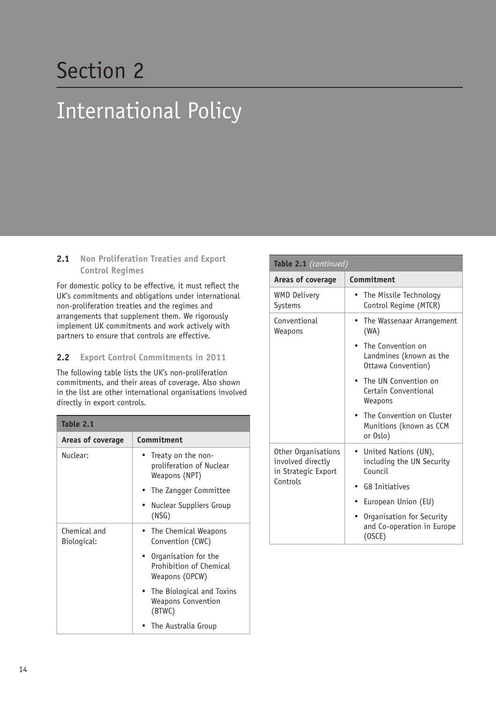## Section 2

## International Policy

## **2.1 Non Proliferation Treaties and Export Control Regimes**

For domestic policy to be effective, it must reflect the UK's commitments and obligations under international non-proliferation treaties and the regimes and arrangements that supplement them. We rigorously implement UK commitments and work actively with partners to ensure that controls are effective.

## **2.2 Export Control Commitments in 2011**

The following table lists the UK's non-proliferation commitments, and their areas of coverage. Also shown in the list are other international organisations involved directly in export controls.

| Table 2.1                   |                                                                     |  |  |
|-----------------------------|---------------------------------------------------------------------|--|--|
| Areas of coverage           | Commitment                                                          |  |  |
| Nuclear:                    | Treaty on the non-<br>proliferation of Nuclear<br>Weapons (NPT)     |  |  |
|                             | • The Zangger Committee                                             |  |  |
|                             | Nuclear Suppliers Group<br>(NS)                                     |  |  |
| Chemical and<br>Biological: | The Chemical Weapons<br>٠<br>Convention (CWC)                       |  |  |
|                             | • Organisation for the<br>Prohibition of Chemical<br>Weapons (OPCW) |  |  |
|                             | • The Biological and Toxins<br>Weapons Convention<br>(BTWC)         |  |  |
|                             | The Australia Group                                                 |  |  |

| Table 2.1 (continued)                                           |                                                                           |  |
|-----------------------------------------------------------------|---------------------------------------------------------------------------|--|
| Areas of coverage                                               | Commitment                                                                |  |
| <b>WMD Delivery</b><br>Systems                                  | The Missile Technology<br>Control Regime (MTCR)                           |  |
| Conventional<br>Weapons                                         | The Wassenaar Arrangement<br>(WA)                                         |  |
|                                                                 | The Convention on<br>Landmines (known as the<br>Ottawa Convention)        |  |
|                                                                 | The UN Convention on<br>Certain Conventional<br>Weapons                   |  |
|                                                                 | The Convention on Cluster<br>Munitions (known as CCM<br>or Oslo)          |  |
| Other Organisations<br>involved directly<br>in Strategic Export | United Nations (UN),<br>$\bullet$<br>including the UN Security<br>Council |  |
| Controls                                                        | G8 Initiatives                                                            |  |
|                                                                 | European Union (EU)                                                       |  |
|                                                                 | Organisation for Security<br>and Co-operation in Europe<br>$(0$ SCE $)$   |  |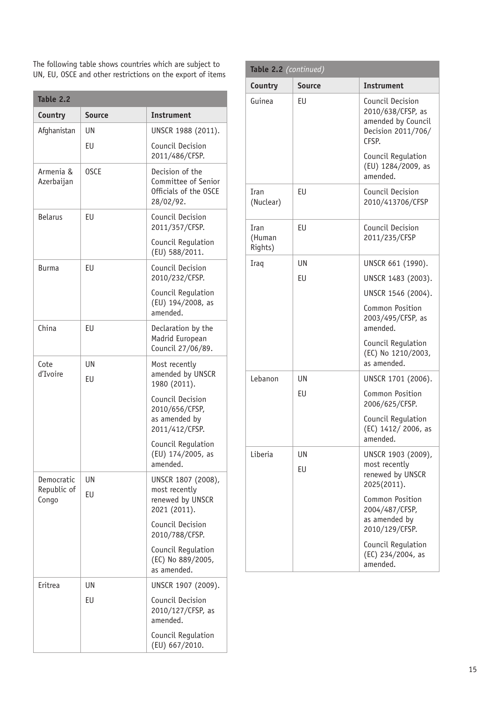The following table shows countries which are subject to UN, EU, OSCE and other restrictions on the export of items

| Table 2.2                          |               |                                                                              |  |
|------------------------------------|---------------|------------------------------------------------------------------------------|--|
| Country                            | <b>Source</b> | <b>Instrument</b>                                                            |  |
| Afghanistan                        | UN            | UNSCR 1988 (2011).                                                           |  |
|                                    | EU            | Council Decision<br>2011/486/CFSP.                                           |  |
| Armenia &<br>Azerbaijan            | <b>OSCE</b>   | Decision of the<br>Committee of Senior<br>Officials of the OSCE<br>28/02/92. |  |
| <b>Belarus</b>                     | EU            | Council Decision<br>2011/357/CFSP.                                           |  |
|                                    |               | Council Regulation<br>(EU) 588/2011.                                         |  |
| Burma                              | EU            | Council Decision<br>2010/232/CFSP.                                           |  |
|                                    |               | Council Regulation<br>(EU) 194/2008, as<br>amended.                          |  |
| China                              | EU            | Declaration by the<br>Madrid European<br>Council 27/06/89.                   |  |
| Cote<br>d'Ivoire                   | UN<br>EU      | Most recently<br>amended by UNSCR<br>1980 (2011).                            |  |
|                                    |               | Council Decision<br>2010/656/CFSP,<br>as amended by<br>2011/412/CFSP.        |  |
|                                    |               | Council Regulation<br>(EU) 174/2005, as<br>amended.                          |  |
| Democratic<br>Republic of<br>Congo | UN<br>EU      | UNSCR 1807 (2008),<br>most recently<br>renewed by UNSCR<br>2021 (2011).      |  |
|                                    |               | Council Decision<br>2010/788/CFSP.                                           |  |
|                                    |               | Council Regulation<br>(EC) No 889/2005,<br>as amended.                       |  |
| Eritrea                            | UN            | UNSCR 1907 (2009).                                                           |  |
|                                    | EU            | Council Decision<br>2010/127/CFSP, as<br>amended.                            |  |
|                                    |               | Council Regulation<br>(EU) 667/2010.                                         |  |

| Table 2.2 (continued)     |               |                                                                                                                  |  |
|---------------------------|---------------|------------------------------------------------------------------------------------------------------------------|--|
| Country                   | <b>Source</b> | <b>Instrument</b>                                                                                                |  |
| Guinea                    | EU            | Council Decision<br>2010/638/CFSP, as<br>amended by Council<br>Decision 2011/706/<br>CFSP.<br>Council Regulation |  |
|                           |               | (EU) 1284/2009, as<br>amended.                                                                                   |  |
| Iran<br>(Nuclear)         | EU            | Council Decision<br>2010/413706/CFSP                                                                             |  |
| Iran<br>(Human<br>Rights) | EU            | Council Decision<br>2011/235/CFSP                                                                                |  |
| Iraq                      | UN            | UNSCR 661 (1990).                                                                                                |  |
|                           | EU            | UNSCR 1483 (2003).                                                                                               |  |
|                           |               | UNSCR 1546 (2004).                                                                                               |  |
|                           |               | Common Position<br>2003/495/CFSP, as<br>amended.                                                                 |  |
|                           |               | Council Regulation<br>(EC) No 1210/2003,<br>as amended.                                                          |  |
| Lebanon                   | UN            | UNSCR 1701 (2006).                                                                                               |  |
|                           | EU            | Common Position<br>2006/625/CFSP.                                                                                |  |
|                           |               | Council Regulation<br>(EC) 1412/2006, as<br>amended.                                                             |  |
| Liberia                   | UN<br>EU      | UNSCR 1903 (2009),<br>most recently<br>renewed by UNSCR<br>2025(2011).                                           |  |
|                           |               | Common Position<br>2004/487/CFSP,<br>as amended by<br>2010/129/CFSP.                                             |  |
|                           |               | Council Regulation<br>(EC) 234/2004, as<br>amended.                                                              |  |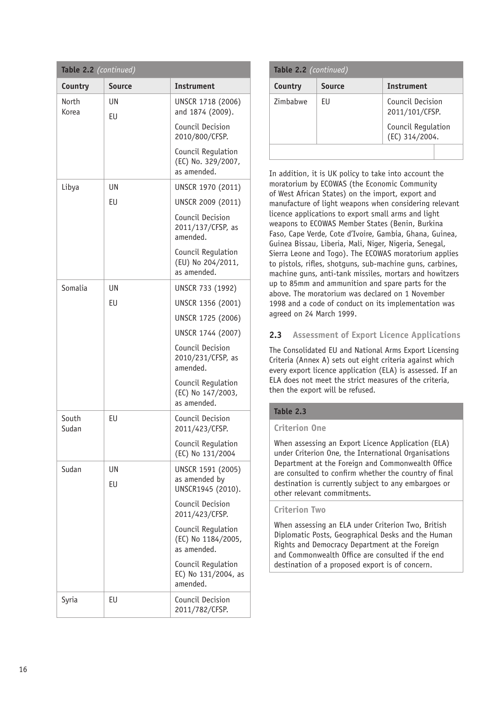| Table 2.2 (continued) |               |                                                         |  |
|-----------------------|---------------|---------------------------------------------------------|--|
| Country               | <b>Source</b> | <b>Instrument</b>                                       |  |
| North<br>Korea        | UN<br>EU      | UNSCR 1718 (2006)<br>and 1874 (2009).                   |  |
|                       |               | Council Decision<br>2010/800/CFSP.                      |  |
|                       |               | Council Regulation<br>(EC) No. 329/2007,<br>as amended. |  |
| Libya                 | UN            | UNSCR 1970 (2011)                                       |  |
|                       | EU            | UNSCR 2009 (2011)                                       |  |
|                       |               | Council Decision<br>2011/137/CFSP, as<br>amended.       |  |
|                       |               | Council Regulation<br>(EU) No 204/2011,<br>as amended.  |  |
| Somalia               | UN            | UNSCR 733 (1992)                                        |  |
|                       | EU            | UNSCR 1356 (2001)                                       |  |
|                       |               | UNSCR 1725 (2006)                                       |  |
|                       |               | UNSCR 1744 (2007)                                       |  |
|                       |               | Council Decision<br>2010/231/CFSP, as<br>amended.       |  |
|                       |               | Council Regulation<br>(EC) No 147/2003,<br>as amended.  |  |
| South<br>Sudan        | EU            | Council Decision<br>2011/423/CFSP.                      |  |
|                       |               | Council Regulation<br>(EC) No 131/2004                  |  |
| Sudan                 | UN<br>EU      | UNSCR 1591 (2005)<br>as amended by<br>UNSCR1945 (2010). |  |
|                       |               | Council Decision<br>2011/423/CFSP.                      |  |
|                       |               | Council Regulation<br>(EC) No 1184/2005,<br>as amended. |  |
|                       |               | Council Regulation<br>EC) No 131/2004, as<br>amended.   |  |
| Syria                 | EU            | Council Decision<br>2011/782/CFSP.                      |  |

| Table 2.2 (continued) |               |                                      |  |
|-----------------------|---------------|--------------------------------------|--|
| Country               | <b>Source</b> | <b>Instrument</b>                    |  |
| <b>Zimbabwe</b>       | FIJ           | Council Decision<br>2011/101/CFSP.   |  |
|                       |               | Council Regulation<br>(EC) 314/2004. |  |
|                       |               |                                      |  |

In addition, it is UK policy to take into account the moratorium by ECOWAS (the Economic Community of West African States) on the import, export and manufacture of light weapons when considering relevant licence applications to export small arms and light weapons to ECOWAS Member States (Benin, Burkina Faso, Cape Verde, Cote d'Ivoire, Gambia, Ghana, Guinea, Guinea Bissau, Liberia, Mali, Niger, Nigeria, Senegal, Sierra Leone and Togo). The ECOWAS moratorium applies to pistols, rifles, shotguns, sub-machine guns, carbines, machine guns, anti-tank missiles, mortars and howitzers up to 85mm and ammunition and spare parts for the above. The moratorium was declared on 1 November 1998 and a code of conduct on its implementation was agreed on 24 March 1999.

## **2.3 Assessment of Export Licence Applications**

The Consolidated EU and National Arms Export Licensing Criteria (Annex A) sets out eight criteria against which every export licence application (ELA) is assessed. If an ELA does not meet the strict measures of the criteria, then the export will be refused.

## **Table 2.3**

## **Criterion One**

When assessing an Export Licence Application (ELA) under Criterion One, the International Organisations Department at the Foreign and Commonwealth Office are consulted to confirm whether the country of final destination is currently subject to any embargoes or other relevant commitments.

#### **Criterion Two**

When assessing an ELA under Criterion Two, British Diplomatic Posts, Geographical Desks and the Human Rights and Democracy Department at the Foreign and Commonwealth Office are consulted if the end destination of a proposed export is of concern.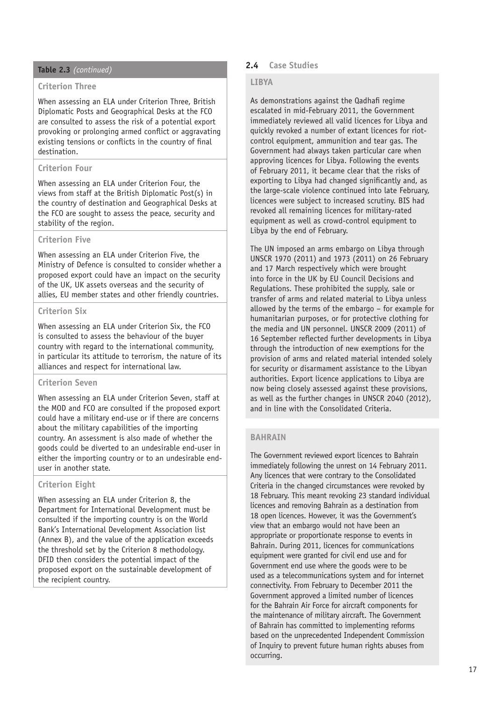### **Table 2.3** *(continued)*

#### **Criterion Three**

When assessing an ELA under Criterion Three, British Diplomatic Posts and Geographical Desks at the FCO are consulted to assess the risk of a potential export provoking or prolonging armed conflict or aggravating existing tensions or conflicts in the country of final destination.

#### **Criterion Four**

When assessing an ELA under Criterion Four, the views from staff at the British Diplomatic Post(s) in the country of destination and Geographical Desks at the FCO are sought to assess the peace, security and stability of the region.

#### **Criterion Five**

When assessing an ELA under Criterion Five, the Ministry of Defence is consulted to consider whether a proposed export could have an impact on the security of the UK, UK assets overseas and the security of allies, EU member states and other friendly countries.

#### **Criterion Six**

When assessing an ELA under Criterion Six, the FCO is consulted to assess the behaviour of the buyer country with regard to the international community, in particular its attitude to terrorism, the nature of its alliances and respect for international law.

#### **Criterion Seven**

When assessing an ELA under Criterion Seven, staff at the MOD and FCO are consulted if the proposed export could have a military end-use or if there are concerns about the military capabilities of the importing country. An assessment is also made of whether the goods could be diverted to an undesirable end-user in either the importing country or to an undesirable enduser in another state.

#### **Criterion Eight**

When assessing an ELA under Criterion 8, the Department for International Development must be consulted if the importing country is on the World Bank's International Development Association list (Annex B), and the value of the application exceeds the threshold set by the Criterion 8 methodology. DFID then considers the potential impact of the proposed export on the sustainable development of the recipient country.

### **2.4 Case Studies**

#### **Libya**

As demonstrations against the Qadhafi regime escalated in mid-February 2011, the Government immediately reviewed all valid licences for Libya and quickly revoked a number of extant licences for riotcontrol equipment, ammunition and tear gas. The Government had always taken particular care when approving licences for Libya. Following the events of February 2011, it became clear that the risks of exporting to Libya had changed significantly and, as the large-scale violence continued into late February, licences were subject to increased scrutiny. BIS had revoked all remaining licences for military-rated equipment as well as crowd-control equipment to Libya by the end of February.

The UN imposed an arms embargo on Libya through UNSCR 1970 (2011) and 1973 (2011) on 26 February and 17 March respectively which were brought into force in the UK by EU Council Decisions and Regulations. These prohibited the supply, sale or transfer of arms and related material to Libya unless allowed by the terms of the embargo – for example for humanitarian purposes, or for protective clothing for the media and UN personnel. UNSCR 2009 (2011) of 16 September reflected further developments in Libya through the introduction of new exemptions for the provision of arms and related material intended solely for security or disarmament assistance to the Libyan authorities. Export licence applications to Libya are now being closely assessed against these provisions, as well as the further changes in UNSCR 2040 (2012), and in line with the Consolidated Criteria.

### **Bahrain**

The Government reviewed export licences to Bahrain immediately following the unrest on 14 February 2011. Any licences that were contrary to the Consolidated Criteria in the changed circumstances were revoked by 18 February. This meant revoking 23 standard individual licences and removing Bahrain as a destination from 18 open licences. However, it was the Government's view that an embargo would not have been an appropriate or proportionate response to events in Bahrain. During 2011, licences for communications equipment were granted for civil end use and for Government end use where the goods were to be used as a telecommunications system and for internet connectivity. From February to December 2011 the Government approved a limited number of licences for the Bahrain Air Force for aircraft components for the maintenance of military aircraft. The Government of Bahrain has committed to implementing reforms based on the unprecedented Independent Commission of Inquiry to prevent future human rights abuses from occurring.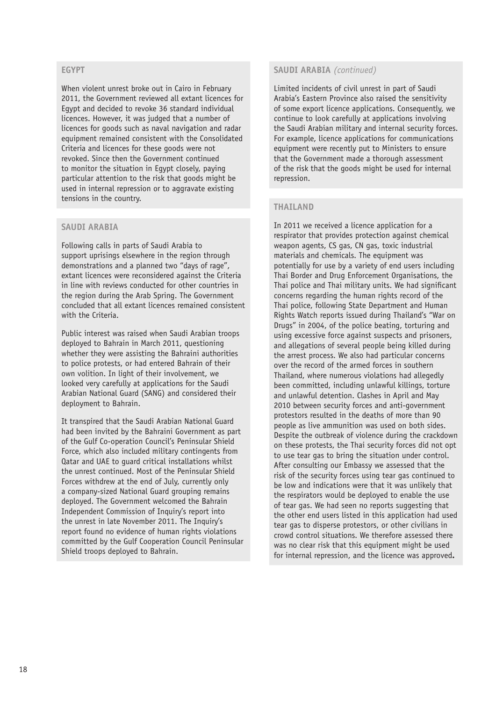#### **Egypt**

When violent unrest broke out in Cairo in February 2011, the Government reviewed all extant licences for Egypt and decided to revoke 36 standard individual licences. However, it was judged that a number of licences for goods such as naval navigation and radar equipment remained consistent with the Consolidated Criteria and licences for these goods were not revoked. Since then the Government continued to monitor the situation in Egypt closely, paying particular attention to the risk that goods might be used in internal repression or to aggravate existing tensions in the country.

#### **Saudi Arabia**

Following calls in parts of Saudi Arabia to support uprisings elsewhere in the region through demonstrations and a planned two "days of rage", extant licences were reconsidered against the Criteria in line with reviews conducted for other countries in the region during the Arab Spring. The Government concluded that all extant licences remained consistent with the Criteria.

Public interest was raised when Saudi Arabian troops deployed to Bahrain in March 2011, questioning whether they were assisting the Bahraini authorities to police protests, or had entered Bahrain of their own volition. In light of their involvement, we looked very carefully at applications for the Saudi Arabian National Guard (SANG) and considered their deployment to Bahrain.

It transpired that the Saudi Arabian National Guard had been invited by the Bahraini Government as part of the Gulf Co-operation Council's Peninsular Shield Force, which also included military contingents from Qatar and UAE to guard critical installations whilst the unrest continued. Most of the Peninsular Shield Forces withdrew at the end of July, currently only a company-sized National Guard grouping remains deployed. The Government welcomed the Bahrain Independent Commission of Inquiry's report into the unrest in late November 2011. The Inquiry's report found no evidence of human rights violations committed by the Gulf Cooperation Council Peninsular Shield troops deployed to Bahrain.

### **Saudi Arabia** *(continued)*

Limited incidents of civil unrest in part of Saudi Arabia's Eastern Province also raised the sensitivity of some export licence applications. Consequently, we continue to look carefully at applications involving the Saudi Arabian military and internal security forces. For example, licence applications for communications equipment were recently put to Ministers to ensure that the Government made a thorough assessment of the risk that the goods might be used for internal repression.

#### **Thailand**

In 2011 we received a licence application for a respirator that provides protection against chemical weapon agents, CS gas, CN gas, toxic industrial materials and chemicals. The equipment was potentially for use by a variety of end users including Thai Border and Drug Enforcement Organisations, the Thai police and Thai military units. We had significant concerns regarding the human rights record of the Thai police, following State Department and Human Rights Watch reports issued during Thailand's "War on Drugs" in 2004, of the police beating, torturing and using excessive force against suspects and prisoners, and allegations of several people being killed during the arrest process. We also had particular concerns over the record of the armed forces in southern Thailand, where numerous violations had allegedly been committed, including unlawful killings, torture and unlawful detention. Clashes in April and May 2010 between security forces and anti-government protestors resulted in the deaths of more than 90 people as live ammunition was used on both sides. Despite the outbreak of violence during the crackdown on these protests, the Thai security forces did not opt to use tear gas to bring the situation under control. After consulting our Embassy we assessed that the risk of the security forces using tear gas continued to be low and indications were that it was unlikely that the respirators would be deployed to enable the use of tear gas. We had seen no reports suggesting that the other end users listed in this application had used tear gas to disperse protestors, or other civilians in crowd control situations. We therefore assessed there was no clear risk that this equipment might be used for internal repression, and the licence was approved**.**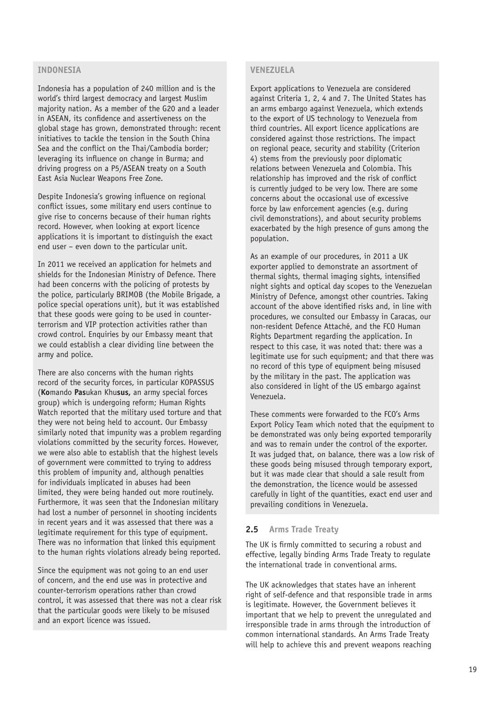#### **Indonesia**

Indonesia has a population of 240 million and is the world's third largest democracy and largest Muslim majority nation. As a member of the G20 and a leader in ASEAN, its confidence and assertiveness on the global stage has grown, demonstrated through: recent initiatives to tackle the tension in the South China Sea and the conflict on the Thai/Cambodia border; leveraging its influence on change in Burma; and driving progress on a P5/ASEAN treaty on a South East Asia Nuclear Weapons Free Zone.

Despite Indonesia's growing influence on regional conflict issues, some military end users continue to give rise to concerns because of their human rights record. However, when looking at export licence applications it is important to distinguish the exact end user – even down to the particular unit.

In 2011 we received an application for helmets and shields for the Indonesian Ministry of Defence. There had been concerns with the policing of protests by the police, particularly BRIMOB (the Mobile Brigade, a police special operations unit), but it was established that these goods were going to be used in counterterrorism and VIP protection activities rather than crowd control. Enquiries by our Embassy meant that we could establish a clear dividing line between the army and police.

There are also concerns with the human rights record of the security forces, in particular KOPASSUS (**Ko**mando **Pas**ukan Khu**sus,** an army special forces group) which is undergoing reform; Human Rights Watch reported that the military used torture and that they were not being held to account. Our Embassy similarly noted that impunity was a problem regarding violations committed by the security forces. However, we were also able to establish that the highest levels of government were committed to trying to address this problem of impunity and, although penalties for individuals implicated in abuses had been limited, they were being handed out more routinely. Furthermore, it was seen that the Indonesian military had lost a number of personnel in shooting incidents in recent years and it was assessed that there was a legitimate requirement for this type of equipment. There was no information that linked this equipment to the human rights violations already being reported.

Since the equipment was not going to an end user of concern, and the end use was in protective and counter-terrorism operations rather than crowd control, it was assessed that there was not a clear risk that the particular goods were likely to be misused and an export licence was issued.

#### **Venezuela**

Export applications to Venezuela are considered against Criteria 1, 2, 4 and 7. The United States has an arms embargo against Venezuela, which extends to the export of US technology to Venezuela from third countries. All export licence applications are considered against those restrictions. The impact on regional peace, security and stability (Criterion 4) stems from the previously poor diplomatic relations between Venezuela and Colombia. This relationship has improved and the risk of conflict is currently judged to be very low. There are some concerns about the occasional use of excessive force by law enforcement agencies (e.g. during civil demonstrations), and about security problems exacerbated by the high presence of guns among the population.

As an example of our procedures, in 2011 a UK exporter applied to demonstrate an assortment of thermal sights, thermal imaging sights, intensified night sights and optical day scopes to the Venezuelan Ministry of Defence, amongst other countries. Taking account of the above identified risks and, in line with procedures, we consulted our Embassy in Caracas, our non-resident Defence Attaché, and the FCO Human Rights Department regarding the application. In respect to this case, it was noted that: there was a legitimate use for such equipment; and that there was no record of this type of equipment being misused by the military in the past. The application was also considered in light of the US embargo against Venezuela.

These comments were forwarded to the FCO's Arms Export Policy Team which noted that the equipment to be demonstrated was only being exported temporarily and was to remain under the control of the exporter. It was judged that, on balance, there was a low risk of these goods being misused through temporary export, but it was made clear that should a sale result from the demonstration, the licence would be assessed carefully in light of the quantities, exact end user and prevailing conditions in Venezuela.

#### **2.5 Arms Trade Treaty**

The UK is firmly committed to securing a robust and effective, legally binding Arms Trade Treaty to regulate the international trade in conventional arms.

The UK acknowledges that states have an inherent right of self-defence and that responsible trade in arms is legitimate. However, the Government believes it important that we help to prevent the unregulated and irresponsible trade in arms through the introduction of common international standards. An Arms Trade Treaty will help to achieve this and prevent weapons reaching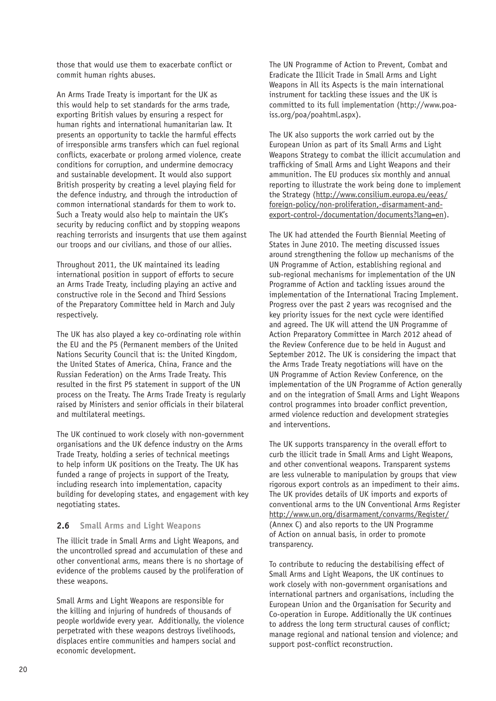those that would use them to exacerbate conflict or commit human rights abuses.

An Arms Trade Treaty is important for the UK as this would help to set standards for the arms trade, exporting British values by ensuring a respect for human rights and international humanitarian law. It presents an opportunity to tackle the harmful effects of irresponsible arms transfers which can fuel regional conflicts, exacerbate or prolong armed violence, create conditions for corruption, and undermine democracy and sustainable development. It would also support British prosperity by creating a level playing field for the defence industry, and through the introduction of common international standards for them to work to. Such a Treaty would also help to maintain the UK's security by reducing conflict and by stopping weapons reaching terrorists and insurgents that use them against our troops and our civilians, and those of our allies.

Throughout 2011, the UK maintained its leading international position in support of efforts to secure an Arms Trade Treaty, including playing an active and constructive role in the Second and Third Sessions of the Preparatory Committee held in March and July respectively.

The UK has also played a key co-ordinating role within the EU and the P5 (Permanent members of the United Nations Security Council that is: the United Kingdom, the United States of America, China, France and the Russian Federation) on the Arms Trade Treaty. This resulted in the first P5 statement in support of the UN process on the Treaty. The Arms Trade Treaty is regularly raised by Ministers and senior officials in their bilateral and multilateral meetings.

The UK continued to work closely with non-government organisations and the UK defence industry on the Arms Trade Treaty, holding a series of technical meetings to help inform UK positions on the Treaty. The UK has funded a range of projects in support of the Treaty, including research into implementation, capacity building for developing states, and engagement with key negotiating states.

#### **2.6 Small Arms and Light Weapons**

The illicit trade in Small Arms and Light Weapons, and the uncontrolled spread and accumulation of these and other conventional arms, means there is no shortage of evidence of the problems caused by the proliferation of these weapons.

Small Arms and Light Weapons are responsible for the killing and injuring of hundreds of thousands of people worldwide every year. Additionally, the violence perpetrated with these weapons destroys livelihoods, displaces entire communities and hampers social and economic development.

The UN Programme of Action to Prevent, Combat and Eradicate the Illicit Trade in Small Arms and Light Weapons in All its Aspects is the main international instrument for tackling these issues and the UK is committed to its full implementation (http://www.poaiss.org/poa/poahtml.aspx).

The UK also supports the work carried out by the European Union as part of its Small Arms and Light Weapons Strategy to combat the illicit accumulation and trafficking of Small Arms and Light Weapons and their ammunition. The EU produces six monthly and annual reporting to illustrate the work being done to implement the Strategy (http://www.consilium.europa.eu/eeas/ foreign-policy/non-proliferation,-disarmament-andexport-control-/documentation/documents?lang=en).

The UK had attended the Fourth Biennial Meeting of States in June 2010. The meeting discussed issues around strengthening the follow up mechanisms of the UN Programme of Action, establishing regional and sub-regional mechanisms for implementation of the UN Programme of Action and tackling issues around the implementation of the International Tracing Implement. Progress over the past 2 years was recognised and the key priority issues for the next cycle were identified and agreed. The UK will attend the UN Programme of Action Preparatory Committee in March 2012 ahead of the Review Conference due to be held in August and September 2012. The UK is considering the impact that the Arms Trade Treaty negotiations will have on the UN Programme of Action Review Conference, on the implementation of the UN Programme of Action generally and on the integration of Small Arms and Light Weapons control programmes into broader conflict prevention, armed violence reduction and development strategies and interventions.

The UK supports transparency in the overall effort to curb the illicit trade in Small Arms and Light Weapons, and other conventional weapons. Transparent systems are less vulnerable to manipulation by groups that view rigorous export controls as an impediment to their aims. The UK provides details of UK imports and exports of conventional arms to the UN Conventional Arms Register http://www.un.org/disarmament/convarms/Register/ (Annex C) and also reports to the UN Programme of Action on annual basis, in order to promote transparency.

To contribute to reducing the destabilising effect of Small Arms and Light Weapons, the UK continues to work closely with non-government organisations and international partners and organisations, including the European Union and the Organisation for Security and Co-operation in Europe. Additionally the UK continues to address the long term structural causes of conflict; manage regional and national tension and violence; and support post-conflict reconstruction.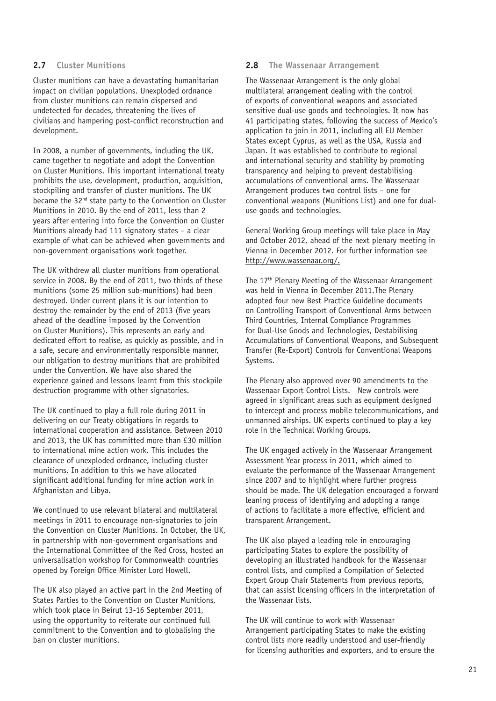#### **2.7 Cluster Munitions**

Cluster munitions can have a devastating humanitarian impact on civilian populations. Unexploded ordnance from cluster munitions can remain dispersed and undetected for decades, threatening the lives of civilians and hampering post-conflict reconstruction and development.

In 2008, a number of governments, including the UK, came together to negotiate and adopt the Convention on Cluster Munitions. This important international treaty prohibits the use, development, production, acquisition, stockpiling and transfer of cluster munitions. The UK became the 32<sup>nd</sup> state party to the Convention on Cluster Munitions in 2010. By the end of 2011, less than 2 years after entering into force the Convention on Cluster Munitions already had 111 signatory states – a clear example of what can be achieved when governments and non-government organisations work together.

The UK withdrew all cluster munitions from operational service in 2008. By the end of 2011, two thirds of these munitions (some 25 million sub-munitions) had been destroyed. Under current plans it is our intention to destroy the remainder by the end of 2013 (five years ahead of the deadline imposed by the Convention on Cluster Munitions). This represents an early and dedicated effort to realise, as quickly as possible, and in a safe, secure and environmentally responsible manner, our obligation to destroy munitions that are prohibited under the Convention. We have also shared the experience gained and lessons learnt from this stockpile destruction programme with other signatories.

The UK continued to play a full role during 2011 in delivering on our Treaty obligations in regards to international cooperation and assistance. Between 2010 and 2013, the UK has committed more than £30 million to international mine action work. This includes the clearance of unexploded ordnance, including cluster munitions. In addition to this we have allocated significant additional funding for mine action work in Afghanistan and Libya.

We continued to use relevant bilateral and multilateral meetings in 2011 to encourage non-signatories to join the Convention on Cluster Munitions. In October, the UK, in partnership with non-government organisations and the International Committee of the Red Cross, hosted an universalisation workshop for Commonwealth countries opened by Foreign Office Minister Lord Howell.

The UK also played an active part in the 2nd Meeting of States Parties to the Convention on Cluster Munitions, which took place in Beirut 13-16 September 2011, using the opportunity to reiterate our continued full commitment to the Convention and to globalising the ban on cluster munitions.

#### **2.8 The Wassenaar Arrangement**

The Wassenaar Arrangement is the only global multilateral arrangement dealing with the control of exports of conventional weapons and associated sensitive dual-use goods and technologies. It now has 41 participating states, following the success of Mexico's application to join in 2011, including all EU Member States except Cyprus, as well as the USA, Russia and Japan. It was established to contribute to regional and international security and stability by promoting transparency and helping to prevent destabilising accumulations of conventional arms. The Wassenaar Arrangement produces two control lists – one for conventional weapons (Munitions List) and one for dualuse goods and technologies.

General Working Group meetings will take place in May and October 2012, ahead of the next plenary meeting in Vienna in December 2012. For further information see http://www.wassenaar.org/.

The 17th Plenary Meeting of the Wassenaar Arrangement was held in Vienna in December 2011.The Plenary adopted four new Best Practice Guideline documents on Controlling Transport of Conventional Arms between Third Countries, Internal Compliance Programmes for Dual-Use Goods and Technologies, Destabilising Accumulations of Conventional Weapons, and Subsequent Transfer (Re-Export) Controls for Conventional Weapons Systems.

The Plenary also approved over 90 amendments to the Wassenaar Export Control Lists. New controls were agreed in significant areas such as equipment designed to intercept and process mobile telecommunications, and unmanned airships. UK experts continued to play a key role in the Technical Working Groups.

The UK engaged actively in the Wassenaar Arrangement Assessment Year process in 2011, which aimed to evaluate the performance of the Wassenaar Arrangement since 2007 and to highlight where further progress should be made. The UK delegation encouraged a forward leaning process of identifying and adopting a range of actions to facilitate a more effective, efficient and transparent Arrangement.

The UK also played a leading role in encouraging participating States to explore the possibility of developing an illustrated handbook for the Wassenaar control lists, and compiled a Compilation of Selected Expert Group Chair Statements from previous reports, that can assist licensing officers in the interpretation of the Wassenaar lists.

The UK will continue to work with Wassenaar Arrangement participating States to make the existing control lists more readily understood and user-friendly for licensing authorities and exporters, and to ensure the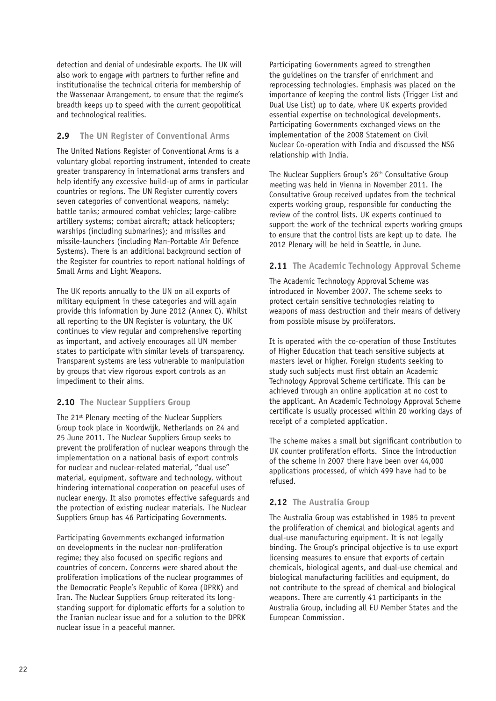detection and denial of undesirable exports. The UK will also work to engage with partners to further refine and institutionalise the technical criteria for membership of the Wassenaar Arrangement, to ensure that the regime's breadth keeps up to speed with the current geopolitical and technological realities.

## **2.9 The UN Register of Conventional Arms**

The United Nations Register of Conventional Arms is a voluntary global reporting instrument, intended to create greater transparency in international arms transfers and help identify any excessive build-up of arms in particular countries or regions. The UN Register currently covers seven categories of conventional weapons, namely: battle tanks; armoured combat vehicles; large-calibre artillery systems; combat aircraft; attack helicopters; warships (including submarines); and missiles and missile-launchers (including Man-Portable Air Defence Systems). There is an additional background section of the Register for countries to report national holdings of Small Arms and Light Weapons.

The UK reports annually to the UN on all exports of military equipment in these categories and will again provide this information by June 2012 (Annex C). Whilst all reporting to the UN Register is voluntary, the UK continues to view regular and comprehensive reporting as important, and actively encourages all UN member states to participate with similar levels of transparency. Transparent systems are less vulnerable to manipulation by groups that view rigorous export controls as an impediment to their aims.

## **2.10 The Nuclear Suppliers Group**

The 21<sup>st</sup> Plenary meeting of the Nuclear Suppliers Group took place in Noordwijk, Netherlands on 24 and 25 June 2011. The Nuclear Suppliers Group seeks to prevent the proliferation of nuclear weapons through the implementation on a national basis of export controls for nuclear and nuclear-related material, "dual use" material, equipment, software and technology, without hindering international cooperation on peaceful uses of nuclear energy. It also promotes effective safeguards and the protection of existing nuclear materials. The Nuclear Suppliers Group has 46 Participating Governments.

Participating Governments exchanged information on developments in the nuclear non-proliferation regime; they also focused on specific regions and countries of concern. Concerns were shared about the proliferation implications of the nuclear programmes of the Democratic People's Republic of Korea (DPRK) and Iran. The Nuclear Suppliers Group reiterated its longstanding support for diplomatic efforts for a solution to the Iranian nuclear issue and for a solution to the DPRK nuclear issue in a peaceful manner.

Participating Governments agreed to strengthen the guidelines on the transfer of enrichment and reprocessing technologies. Emphasis was placed on the importance of keeping the control lists (Trigger List and Dual Use List) up to date, where UK experts provided essential expertise on technological developments. Participating Governments exchanged views on the implementation of the 2008 Statement on Civil Nuclear Co-operation with India and discussed the NSG relationship with India.

The Nuclear Suppliers Group's 26<sup>th</sup> Consultative Group meeting was held in Vienna in November 2011. The Consultative Group received updates from the technical experts working group, responsible for conducting the review of the control lists. UK experts continued to support the work of the technical experts working groups to ensure that the control lists are kept up to date. The 2012 Plenary will be held in Seattle, in June.

## **2.11 The Academic Technology Approval Scheme**

The Academic Technology Approval Scheme was introduced in November 2007. The scheme seeks to protect certain sensitive technologies relating to weapons of mass destruction and their means of delivery from possible misuse by proliferators.

It is operated with the co-operation of those Institutes of Higher Education that teach sensitive subjects at masters level or higher. Foreign students seeking to study such subjects must first obtain an Academic Technology Approval Scheme certificate. This can be achieved through an online application at no cost to the applicant. An Academic Technology Approval Scheme certificate is usually processed within 20 working days of receipt of a completed application.

The scheme makes a small but significant contribution to UK counter proliferation efforts. Since the introduction of the scheme in 2007 there have been over 44,000 applications processed, of which 499 have had to be refused.

## **2.12 The Australia Group**

The Australia Group was established in 1985 to prevent the proliferation of chemical and biological agents and dual-use manufacturing equipment. It is not legally binding. The Group's principal objective is to use export licensing measures to ensure that exports of certain chemicals, biological agents, and dual-use chemical and biological manufacturing facilities and equipment, do not contribute to the spread of chemical and biological weapons. There are currently 41 participants in the Australia Group, including all EU Member States and the European Commission.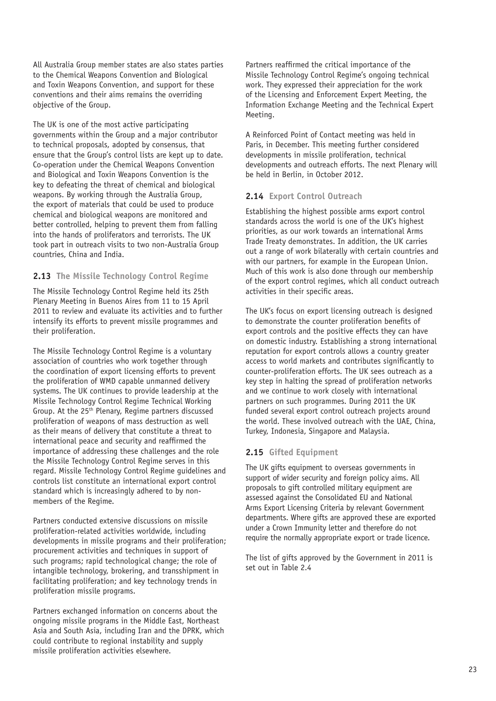All Australia Group member states are also states parties to the Chemical Weapons Convention and Biological and Toxin Weapons Convention, and support for these conventions and their aims remains the overriding objective of the Group.

The UK is one of the most active participating governments within the Group and a major contributor to technical proposals, adopted by consensus, that ensure that the Group's control lists are kept up to date. Co-operation under the Chemical Weapons Convention and Biological and Toxin Weapons Convention is the key to defeating the threat of chemical and biological weapons. By working through the Australia Group, the export of materials that could be used to produce chemical and biological weapons are monitored and better controlled, helping to prevent them from falling into the hands of proliferators and terrorists. The UK took part in outreach visits to two non-Australia Group countries, China and India.

## **2.13 The Missile Technology Control Regime**

The Missile Technology Control Regime held its 25th Plenary Meeting in Buenos Aires from 11 to 15 April 2011 to review and evaluate its activities and to further intensify its efforts to prevent missile programmes and their proliferation.

The Missile Technology Control Regime is a voluntary association of countries who work together through the coordination of export licensing efforts to prevent the proliferation of WMD capable unmanned delivery systems. The UK continues to provide leadership at the Missile Technology Control Regime Technical Working Group. At the 25th Plenary, Regime partners discussed proliferation of weapons of mass destruction as well as their means of delivery that constitute a threat to international peace and security and reaffirmed the importance of addressing these challenges and the role the Missile Technology Control Regime serves in this regard. Missile Technology Control Regime guidelines and controls list constitute an international export control standard which is increasingly adhered to by nonmembers of the Regime.

Partners conducted extensive discussions on missile proliferation-related activities worldwide, including developments in missile programs and their proliferation; procurement activities and techniques in support of such programs; rapid technological change; the role of intangible technology, brokering, and transshipment in facilitating proliferation; and key technology trends in proliferation missile programs.

Partners exchanged information on concerns about the ongoing missile programs in the Middle East, Northeast Asia and South Asia, including Iran and the DPRK, which could contribute to regional instability and supply missile proliferation activities elsewhere.

Partners reaffirmed the critical importance of the Missile Technology Control Regime's ongoing technical work. They expressed their appreciation for the work of the Licensing and Enforcement Expert Meeting, the Information Exchange Meeting and the Technical Expert Meeting.

A Reinforced Point of Contact meeting was held in Paris, in December. This meeting further considered developments in missile proliferation, technical developments and outreach efforts. The next Plenary will be held in Berlin, in October 2012.

### **2.14 Export Control Outreach**

Establishing the highest possible arms export control standards across the world is one of the UK's highest priorities, as our work towards an international Arms Trade Treaty demonstrates. In addition, the UK carries out a range of work bilaterally with certain countries and with our partners, for example in the European Union. Much of this work is also done through our membership of the export control regimes, which all conduct outreach activities in their specific areas.

The UK's focus on export licensing outreach is designed to demonstrate the counter proliferation benefits of export controls and the positive effects they can have on domestic industry. Establishing a strong international reputation for export controls allows a country greater access to world markets and contributes significantly to counter-proliferation efforts. The UK sees outreach as a key step in halting the spread of proliferation networks and we continue to work closely with international partners on such programmes. During 2011 the UK funded several export control outreach projects around the world. These involved outreach with the UAE, China, Turkey, Indonesia, Singapore and Malaysia.

## **2.15 Gifted Equipment**

The UK gifts equipment to overseas governments in support of wider security and foreign policy aims. All proposals to gift controlled military equipment are assessed against the Consolidated EU and National Arms Export Licensing Criteria by relevant Government departments. Where gifts are approved these are exported under a Crown Immunity letter and therefore do not require the normally appropriate export or trade licence.

The list of gifts approved by the Government in 2011 is set out in Table 2.4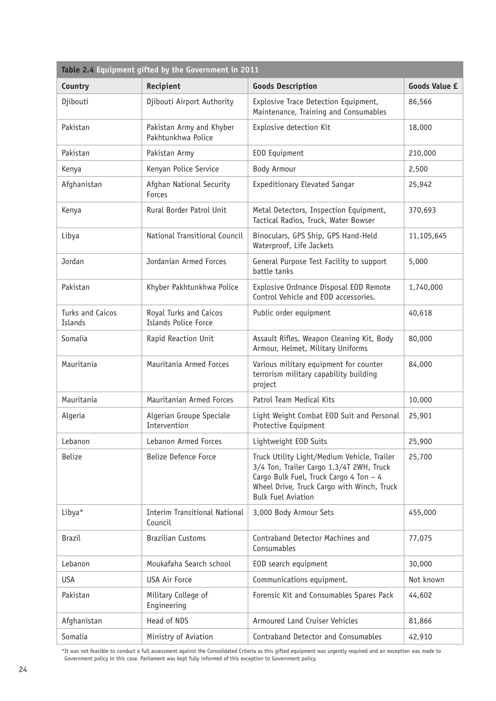| Table 2.4 Equipment gifted by the Government in 2011                                                                                                                                                                                                  |                                                       |                                                                                |                      |  |
|-------------------------------------------------------------------------------------------------------------------------------------------------------------------------------------------------------------------------------------------------------|-------------------------------------------------------|--------------------------------------------------------------------------------|----------------------|--|
| Country                                                                                                                                                                                                                                               | Recipient                                             | <b>Goods Description</b>                                                       | <b>Goods Value £</b> |  |
| Djibouti                                                                                                                                                                                                                                              | Djibouti Airport Authority                            | Explosive Trace Detection Equipment,<br>Maintenance, Training and Consumables  | 86,566               |  |
| Pakistan                                                                                                                                                                                                                                              | Pakistan Army and Khyber<br>Pakhtunkhwa Police        | Explosive detection Kit                                                        | 18,000               |  |
| Pakistan                                                                                                                                                                                                                                              | Pakistan Army                                         | EOD Equipment                                                                  | 210,000              |  |
| Kenya                                                                                                                                                                                                                                                 | Kenyan Police Service                                 | <b>Body Armour</b>                                                             | 2,500                |  |
| Afghanistan                                                                                                                                                                                                                                           | Afghan National Security<br>Forces                    | Expeditionary Elevated Sangar                                                  | 25,942               |  |
| Kenya                                                                                                                                                                                                                                                 | Rural Border Patrol Unit                              | Metal Detectors, Inspection Equipment,<br>Tactical Radios, Truck, Water Bowser | 370,693              |  |
| Libya                                                                                                                                                                                                                                                 | National Transitional Council                         | Binoculars, GPS Ship, GPS Hand-Held<br>Waterproof, Life Jackets                | 11,105,645           |  |
| Jordan                                                                                                                                                                                                                                                | Jordanian Armed Forces                                | General Purpose Test Facility to support<br>battle tanks                       | 5,000                |  |
| Pakistan                                                                                                                                                                                                                                              | Khyber Pakhtunkhwa Police                             | Explosive Ordnance Disposal EOD Remote<br>Control Vehicle and EOD accessories. | 1,740,000            |  |
| <b>Turks and Caicos</b><br>Islands                                                                                                                                                                                                                    | Royal Turks and Caicos<br><b>Islands Police Force</b> | Public order equipment                                                         | 40,618               |  |
| Somalia                                                                                                                                                                                                                                               | Rapid Reaction Unit                                   | Assault Rifles, Weapon Cleaning Kit, Body<br>Armour, Helmet, Military Uniforms | 80,000               |  |
| Mauritania<br>Mauritania Armed Forces<br>Various military equipment for counter<br>terrorism military capability building<br>project                                                                                                                  |                                                       |                                                                                | 84,000               |  |
| Mauritania                                                                                                                                                                                                                                            | Mauritanian Armed Forces                              | Patrol Team Medical Kits                                                       | 10,000               |  |
| Algeria                                                                                                                                                                                                                                               | Algerian Groupe Speciale<br>Intervention              | Light Weight Combat EOD Suit and Personal<br>Protective Equipment              | 25,901               |  |
| Lebanon                                                                                                                                                                                                                                               | Lebanon Armed Forces                                  | Lightweight EOD Suits                                                          | 25,900               |  |
| Belize Defence Force<br><b>Belize</b><br>Truck Utility Light/Medium Vehicle, Trailer<br>3/4 Ton, Trailer Cargo 1.3/4T 2WH, Truck<br>Cargo Bulk Fuel, Truck Cargo 4 Ton - 4<br>Wheel Drive, Truck Cargo with Winch, Truck<br><b>Bulk Fuel Aviation</b> |                                                       | 25,700                                                                         |                      |  |
| Libya*                                                                                                                                                                                                                                                | <b>Interim Transitional National</b><br>Council       | 3,000 Body Armour Sets                                                         | 455,000              |  |
| <b>Brazil</b>                                                                                                                                                                                                                                         | <b>Brazilian Customs</b>                              | Contraband Detector Machines and<br>Consumables                                | 77,075               |  |
| Lebanon                                                                                                                                                                                                                                               | Moukafaha Search school                               | EOD search equipment                                                           | 30,000               |  |
| <b>USA</b>                                                                                                                                                                                                                                            | <b>USA Air Force</b>                                  | Communications equipment.                                                      | Not known            |  |
| Pakistan                                                                                                                                                                                                                                              | Military College of<br>Engineering                    | Forensic Kit and Consumables Spares Pack                                       | 44,602               |  |
| Afghanistan                                                                                                                                                                                                                                           | Head of NDS                                           | Armoured Land Cruiser Vehicles                                                 | 81,866               |  |
| Somalia                                                                                                                                                                                                                                               | Ministry of Aviation                                  | Contraband Detector and Consumables                                            | 42,910               |  |

\*It was not feasible to conduct a full assessment against the Consolidated Criteria as this gifted equipment was urgently required and an exception was made to Government policy in this case. Parliament was kept fully informed of this exception to Government policy.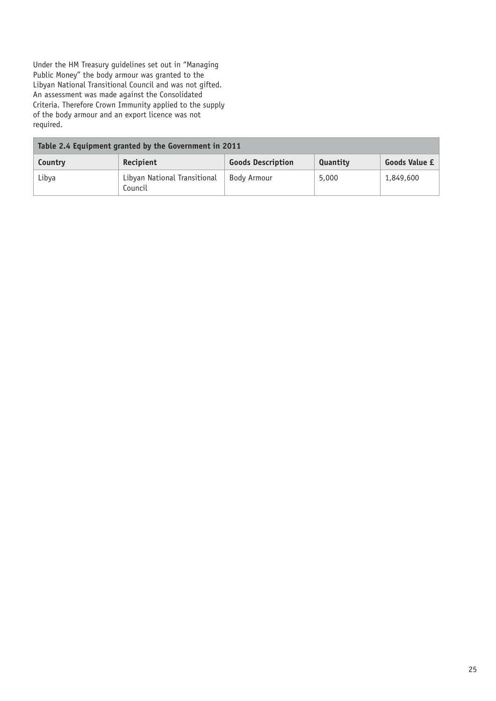Under the HM Treasury guidelines set out in "Managing Public Money" the body armour was granted to the Libyan National Transitional Council and was not gifted. An assessment was made against the Consolidated Criteria. Therefore Crown Immunity applied to the supply of the body armour and an export licence was not required.

| Table 2.4 Equipment granted by the Government in 2011 |                                         |                          |          |                      |
|-------------------------------------------------------|-----------------------------------------|--------------------------|----------|----------------------|
| Country                                               | Recipient                               | <b>Goods Description</b> | Quantity | <b>Goods Value £</b> |
| Libya                                                 | Libyan National Transitional<br>Council | Body Armour              | 5,000    | 1,849,600            |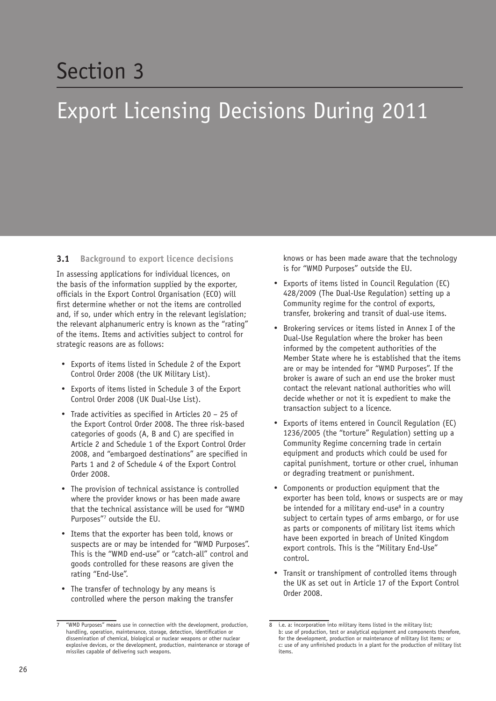## Section 3

# Export Licensing Decisions During 2011

#### **3.1 Background to export licence decisions**

In assessing applications for individual licences, on the basis of the information supplied by the exporter, officials in the Export Control Organisation (ECO) will first determine whether or not the items are controlled and, if so, under which entry in the relevant legislation; the relevant alphanumeric entry is known as the "rating" of the items. Items and activities subject to control for strategic reasons are as follows:

- Exports of items listed in Schedule 2 of the Export Control Order 2008 (the UK Military List).
- Exports of items listed in Schedule 3 of the Export Control Order 2008 (UK Dual-Use List).
- Trade activities as specified in Articles 20 25 of the Export Control Order 2008. The three risk-based categories of goods (A, B and C) are specified in Article 2 and Schedule 1 of the Export Control Order 2008, and "embargoed destinations" are specified in Parts 1 and 2 of Schedule 4 of the Export Control Order 2008.
- The provision of technical assistance is controlled where the provider knows or has been made aware that the technical assistance will be used for "WMD Purposes"7 outside the EU.
- Items that the exporter has been told, knows or suspects are or may be intended for "WMD Purposes". This is the "WMD end-use" or "catch-all" control and goods controlled for these reasons are given the rating "End-Use".
- The transfer of technology by any means is controlled where the person making the transfer

knows or has been made aware that the technology is for "WMD Purposes" outside the EU.

- Exports of items listed in Council Regulation (EC) 428/2009 (The Dual-Use Regulation) setting up a Community regime for the control of exports, transfer, brokering and transit of dual-use items.
- Brokering services or items listed in Annex I of the Dual-Use Regulation where the broker has been informed by the competent authorities of the Member State where he is established that the items are or may be intended for "WMD Purposes". If the broker is aware of such an end use the broker must contact the relevant national authorities who will decide whether or not it is expedient to make the transaction subject to a licence.
- Exports of items entered in Council Regulation (EC) 1236/2005 (the "torture" Regulation) setting up a Community Regime concerning trade in certain equipment and products which could be used for capital punishment, torture or other cruel, inhuman or degrading treatment or punishment.
- Components or production equipment that the exporter has been told, knows or suspects are or may be intended for a military end-use<sup>8</sup> in a country subject to certain types of arms embargo, or for use as parts or components of military list items which have been exported in breach of United Kingdom export controls. This is the "Military End-Use" control.
- Transit or transhipment of controlled items through the UK as set out in Article 17 of the Export Control Order 2008.

<sup>&</sup>quot;WMD Purposes" means use in connection with the development, production, handling, operation, maintenance, storage, detection, identification or dissemination of chemical, biological or nuclear weapons or other nuclear explosive devices, or the development, production, maintenance or storage of missiles capable of delivering such weapons.

<sup>8</sup> i.e. a: incorporation into military items listed in the military list; b: use of production, test or analytical equipment and components therefore, for the development, production or maintenance of military list items; or c: use of any unfinished products in a plant for the production of military list items.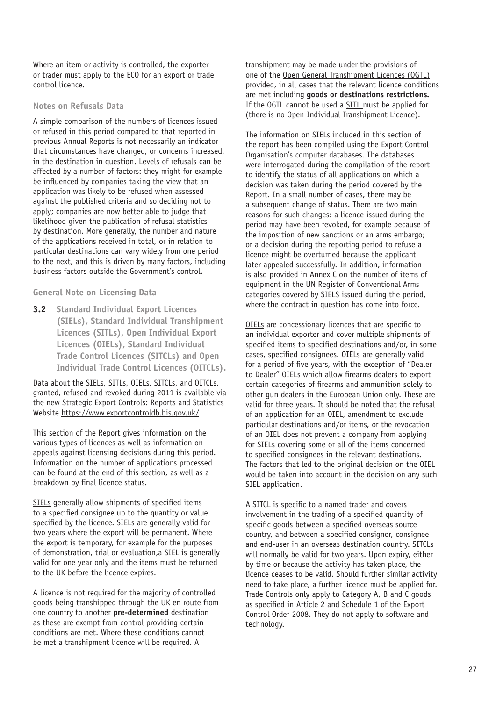Where an item or activity is controlled, the exporter or trader must apply to the ECO for an export or trade control licence.

#### **Notes on Refusals Data**

A simple comparison of the numbers of licences issued or refused in this period compared to that reported in previous Annual Reports is not necessarily an indicator that circumstances have changed, or concerns increased, in the destination in question. Levels of refusals can be affected by a number of factors: they might for example be influenced by companies taking the view that an application was likely to be refused when assessed against the published criteria and so deciding not to apply; companies are now better able to judge that likelihood given the publication of refusal statistics by destination. More generally, the number and nature of the applications received in total, or in relation to particular destinations can vary widely from one period to the next, and this is driven by many factors, including business factors outside the Government's control.

**General Note on Licensing Data**

**3.2 Standard Individual Export Licences (SIELs), Standard Individual Transhipment Licences (SITLs), Open Individual Export Licences (OIELs), Standard Individual Trade Control Licences (SITCLs) and Open Individual Trade Control Licences (OITCLs).**

Data about the SIELs, SITLs, OIELs, SITCLs, and OITCLs, granted, refused and revoked during 2011 is available via the new Strategic Export Controls: Reports and Statistics Website https://www.exportcontroldb.bis.gov.uk/

This section of the Report gives information on the various types of licences as well as information on appeals against licensing decisions during this period. Information on the number of applications processed can be found at the end of this section, as well as a breakdown by final licence status.

SIELs generally allow shipments of specified items to a specified consignee up to the quantity or value specified by the licence. SIELs are generally valid for two years where the export will be permanent. Where the export is temporary, for example for the purposes of demonstration, trial or evaluation,a SIEL is generally valid for one year only and the items must be returned to the UK before the licence expires.

A licence is not required for the majority of controlled goods being transhipped through the UK en route from one country to another **pre-determined** destination as these are exempt from control providing certain conditions are met. Where these conditions cannot be met a transhipment licence will be required. A

transhipment may be made under the provisions of one of the Open General Transhipment Licences (OGTL) provided, in all cases that the relevant licence conditions are met including **goods or destinations restrictions.**  If the OGTL cannot be used a **SITL** must be applied for (there is no Open Individual Transhipment Licence).

The information on SIELs included in this section of the report has been compiled using the Export Control Organisation's computer databases. The databases were interrogated during the compilation of the report to identify the status of all applications on which a decision was taken during the period covered by the Report. In a small number of cases, there may be a subsequent change of status. There are two main reasons for such changes: a licence issued during the period may have been revoked, for example because of the imposition of new sanctions or an arms embargo; or a decision during the reporting period to refuse a licence might be overturned because the applicant later appealed successfully. In addition, information is also provided in Annex C on the number of items of equipment in the UN Register of Conventional Arms categories covered by SIELS issued during the period, where the contract in question has come into force.

OIELs are concessionary licences that are specific to an individual exporter and cover multiple shipments of specified items to specified destinations and/or, in some cases, specified consignees. OIELs are generally valid for a period of five years, with the exception of "Dealer to Dealer" OIELs which allow firearms dealers to export certain categories of firearms and ammunition solely to other gun dealers in the European Union only. These are valid for three years. It should be noted that the refusal of an application for an OIEL, amendment to exclude particular destinations and/or items, or the revocation of an OIEL does not prevent a company from applying for SIELs covering some or all of the items concerned to specified consignees in the relevant destinations. The factors that led to the original decision on the OIEL would be taken into account in the decision on any such SIEL application.

A SITCL is specific to a named trader and covers involvement in the trading of a specified quantity of specific goods between a specified overseas source country, and between a specified consignor, consignee and end-user in an overseas destination country. SITCLs will normally be valid for two years. Upon expiry, either by time or because the activity has taken place, the licence ceases to be valid. Should further similar activity need to take place, a further licence must be applied for. Trade Controls only apply to Category A, B and C goods as specified in Article 2 and Schedule 1 of the Export Control Order 2008. They do not apply to software and technology.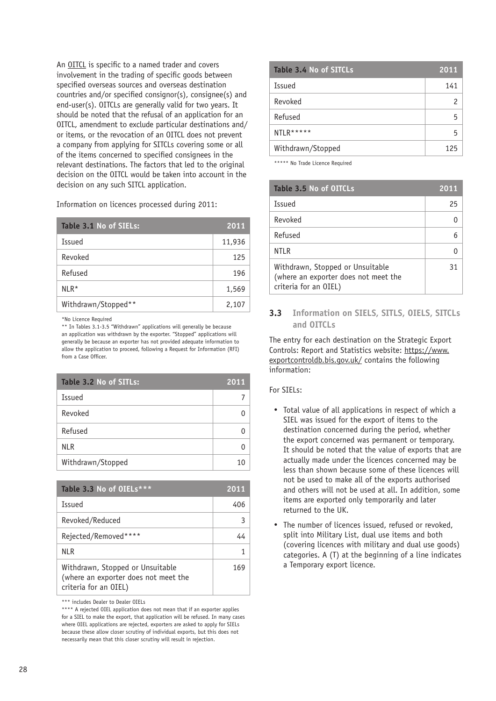An **OITCL** is specific to a named trader and covers involvement in the trading of specific goods between specified overseas sources and overseas destination countries and/or specified consignor(s), consignee(s) and end-user(s). OITCLs are generally valid for two years. It should be noted that the refusal of an application for an OITCL, amendment to exclude particular destinations and/ or items, or the revocation of an OITCL does not prevent a company from applying for SITCLs covering some or all of the items concerned to specified consignees in the relevant destinations. The factors that led to the original decision on the OITCL would be taken into account in the decision on any such SITCL application.

Information on licences processed during 2011:

| Table 3.1 No of SIELs: | 2011   |
|------------------------|--------|
| Issued                 | 11,936 |
| Revoked                | 125    |
| Refused                | 196    |
| $NLR*$                 | 1,569  |
| Withdrawn/Stopped**    | 2,107  |

\*No Licence Required

\*\* In Tables 3.1-3.5 "Withdrawn" applications will generally be because an application was withdrawn by the exporter. "Stopped" applications will generally be because an exporter has not provided adequate information to allow the application to proceed, following a Request for Information (RFI) from a Case Officer.

| Issued                  | Table 3.2 No of SITLs: | 2011 |
|-------------------------|------------------------|------|
|                         |                        |      |
| Revoked                 |                        |      |
| Refused                 |                        |      |
| <b>NLR</b>              |                        |      |
| Withdrawn/Stopped<br>10 |                        |      |

| Table 3.3 No of OIELs***                                                                          | 2011 |
|---------------------------------------------------------------------------------------------------|------|
| Issued                                                                                            | 40)  |
| Revoked/Reduced                                                                                   | ٩    |
| Rejected/Removed****                                                                              |      |
| NI R                                                                                              |      |
| Withdrawn, Stopped or Unsuitable<br>(where an exporter does not meet the<br>criteria for an OIEL) | 169  |

\*\*\* includes Dealer to Dealer OIELs

\*\*\*\* A rejected OIEL application does not mean that if an exporter applies for a SIEL to make the export, that application will be refused. In many cases where OIEL applications are rejected, exporters are asked to apply for SIELs because these allow closer scrutiny of individual exports, but this does not necessarily mean that this closer scrutiny will result in rejection.

| Table 3.4 No of SITCLs | 2011 |
|------------------------|------|
| Issued                 | 141  |
| Revoked                | 2    |
| Refused                | 5    |
| NTLR*****              | 5    |
| Withdrawn/Stopped      | 125  |

\*\*\*\*\* No Trade Licence Required

| Table 3.5 No of OITCLs                                                                            | 2011 |
|---------------------------------------------------------------------------------------------------|------|
| Issued                                                                                            | 25   |
| Revoked                                                                                           |      |
| Refused                                                                                           | 6    |
| <b>NTLR</b>                                                                                       |      |
| Withdrawn, Stopped or Unsuitable<br>(where an exporter does not meet the<br>criteria for an OIEL) | 31   |

## **3.3 Information on SIELS, SITLS, OIELS, SITCLs and OITCLs**

The entry for each destination on the Strategic Export Controls: Report and Statistics website: https://www. exportcontroldb.bis.gov.uk/ contains the following information:

#### For SIELs:

- Total value of all applications in respect of which a SIEL was issued for the export of items to the destination concerned during the period, whether the export concerned was permanent or temporary. It should be noted that the value of exports that are actually made under the licences concerned may be less than shown because some of these licences will not be used to make all of the exports authorised and others will not be used at all. In addition, some items are exported only temporarily and later returned to the UK.
- The number of licences issued, refused or revoked, split into Military List, dual use items and both (covering licences with military and dual use goods) categories. A (T) at the beginning of a line indicates a Temporary export licence.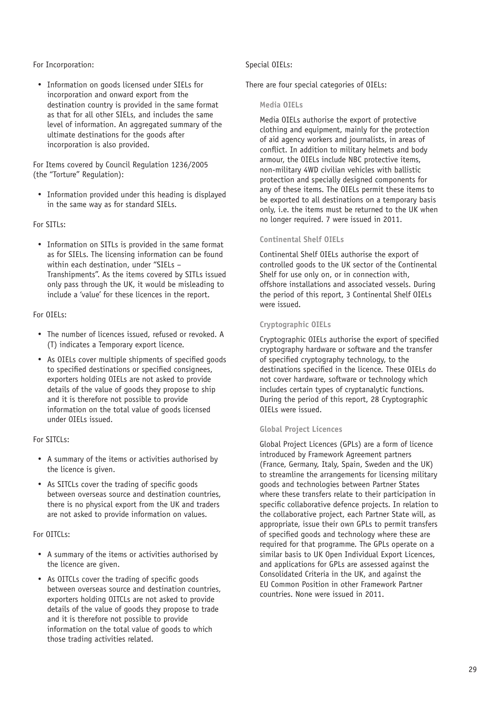#### For Incorporation:

• Information on goods licensed under SIELs for incorporation and onward export from the destination country is provided in the same format as that for all other SIELs, and includes the same level of information. An aggregated summary of the ultimate destinations for the goods after incorporation is also provided.

For Items covered by Council Regulation 1236/2005 (the "Torture" Regulation):

• Information provided under this heading is displayed in the same way as for standard SIELs.

#### For STTLs:

• Information on SITLs is provided in the same format as for SIELs. The licensing information can be found within each destination, under "SIFLs -Transhipments". As the items covered by SITLs issued only pass through the UK, it would be misleading to include a 'value' for these licences in the report.

### For OIELs:

- The number of licences issued, refused or revoked. A (T) indicates a Temporary export licence.
- As OIELs cover multiple shipments of specified goods to specified destinations or specified consignees, exporters holding OIELs are not asked to provide details of the value of goods they propose to ship and it is therefore not possible to provide information on the total value of goods licensed under OIELs issued.

#### For STTCLs:

- A summary of the items or activities authorised by the licence is given.
- As SITCLs cover the trading of specific goods between overseas source and destination countries, there is no physical export from the UK and traders are not asked to provide information on values.

#### For OTTCLs:

- A summary of the items or activities authorised by the licence are given.
- As OITCLs cover the trading of specific goods between overseas source and destination countries, exporters holding OITCLs are not asked to provide details of the value of goods they propose to trade and it is therefore not possible to provide information on the total value of goods to which those trading activities related.

#### Special OIELs:

There are four special categories of OIELs:

#### **Media OIELs**

Media OIELs authorise the export of protective clothing and equipment, mainly for the protection of aid agency workers and journalists, in areas of conflict. In addition to military helmets and body armour, the OIELs include NBC protective items, non-military 4WD civilian vehicles with ballistic protection and specially designed components for any of these items. The OIELs permit these items to be exported to all destinations on a temporary basis only, i.e. the items must be returned to the UK when no longer required. 7 were issued in 2011.

#### **Continental Shelf OIELs**

Continental Shelf OIELs authorise the export of controlled goods to the UK sector of the Continental Shelf for use only on, or in connection with, offshore installations and associated vessels. During the period of this report, 3 Continental Shelf OIELs were issued.

#### **Cryptographic OIELs**

Cryptographic OIELs authorise the export of specified cryptography hardware or software and the transfer of specified cryptography technology, to the destinations specified in the licence. These OIELs do not cover hardware, software or technology which includes certain types of cryptanalytic functions. During the period of this report, 28 Cryptographic OIELs were issued.

#### **Global Project Licences**

Global Project Licences (GPLs) are a form of licence introduced by Framework Agreement partners (France, Germany, Italy, Spain, Sweden and the UK) to streamline the arrangements for licensing military goods and technologies between Partner States where these transfers relate to their participation in specific collaborative defence projects. In relation to the collaborative project, each Partner State will, as appropriate, issue their own GPLs to permit transfers of specified goods and technology where these are required for that programme. The GPLs operate on a similar basis to UK Open Individual Export Licences, and applications for GPLs are assessed against the Consolidated Criteria in the UK, and against the EU Common Position in other Framework Partner countries. None were issued in 2011.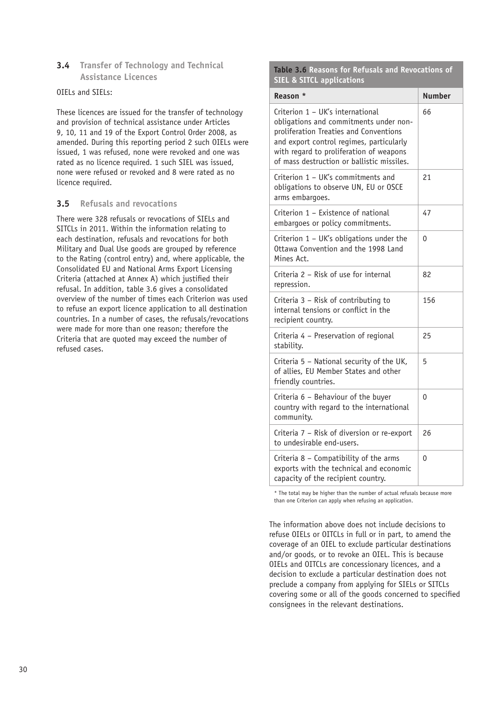## **3.4 Transfer of Technology and Technical Assistance Licences**

#### OIELs and SIELs:

These licences are issued for the transfer of technology and provision of technical assistance under Articles 9, 10, 11 and 19 of the Export Control Order 2008, as amended. During this reporting period 2 such OIELs were issued, 1 was refused, none were revoked and one was rated as no licence required. 1 such SIEL was issued, none were refused or revoked and 8 were rated as no licence required.

### **3.5 Refusals and revocations**

There were 328 refusals or revocations of SIELs and SITCLs in 2011. Within the information relating to each destination, refusals and revocations for both Military and Dual Use goods are grouped by reference to the Rating (control entry) and, where applicable, the Consolidated EU and National Arms Export Licensing Criteria (attached at Annex A) which justified their refusal. In addition, table 3.6 gives a consolidated overview of the number of times each Criterion was used to refuse an export licence application to all destination countries. In a number of cases, the refusals/revocations were made for more than one reason; therefore the Criteria that are quoted may exceed the number of refused cases.

**Table 3.6 Reasons for Refusals and Revocations of SIEL & SITCL applications**

| Reason *                                                                                                                                                                                                                                                  | <b>Number</b> |
|-----------------------------------------------------------------------------------------------------------------------------------------------------------------------------------------------------------------------------------------------------------|---------------|
| Criterion 1 - UK's international<br>obligations and commitments under non-<br>proliferation Treaties and Conventions<br>and export control regimes, particularly<br>with regard to proliferation of weapons<br>of mass destruction or ballistic missiles. | 66            |
| Criterion 1 - UK's commitments and<br>obligations to observe UN, EU or OSCE<br>arms embargoes.                                                                                                                                                            | 21            |
| Criterion 1 - Existence of national<br>embargoes or policy commitments.                                                                                                                                                                                   | 47            |
| Criterion 1 - UK's obligations under the<br>Ottawa Convention and the 1998 Land<br>Mines Act.                                                                                                                                                             | $\Omega$      |
| Criteria 2 - Risk of use for internal<br>repression.                                                                                                                                                                                                      | 82            |
| Criteria 3 - Risk of contributing to<br>internal tensions or conflict in the<br>recipient country.                                                                                                                                                        | 156           |
| Criteria 4 - Preservation of regional<br>stability.                                                                                                                                                                                                       | 25            |
| Criteria 5 - National security of the UK,<br>of allies, EU Member States and other<br>friendly countries.                                                                                                                                                 | 5             |
| Criteria 6 - Behaviour of the buyer<br>country with regard to the international<br>community.                                                                                                                                                             | 0             |
| Criteria 7 - Risk of diversion or re-export<br>to undesirable end-users.                                                                                                                                                                                  | 26            |
| Criteria 8 - Compatibility of the arms<br>exports with the technical and economic<br>capacity of the recipient country.                                                                                                                                   | 0             |

\* The total may be higher than the number of actual refusals because more than one Criterion can apply when refusing an application.

The information above does not include decisions to refuse OIELs or OITCLs in full or in part, to amend the coverage of an OIEL to exclude particular destinations and/or goods, or to revoke an OIEL. This is because OIELs and OITCLs are concessionary licences, and a decision to exclude a particular destination does not preclude a company from applying for SIELs or SITCLs covering some or all of the goods concerned to specified consignees in the relevant destinations.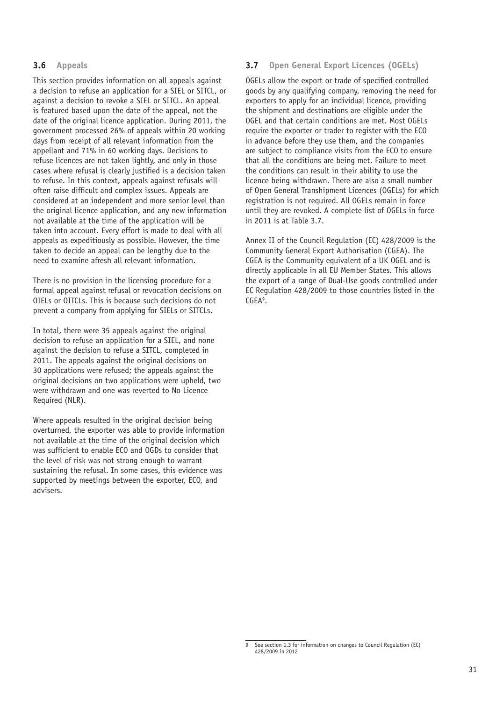#### **3.6 Appeals**

This section provides information on all appeals against a decision to refuse an application for a SIEL or SITCL, or against a decision to revoke a SIEL or SITCL. An appeal is featured based upon the date of the appeal, not the date of the original licence application. During 2011, the government processed 26% of appeals within 20 working days from receipt of all relevant information from the appellant and 71% in 60 working days. Decisions to refuse licences are not taken lightly, and only in those cases where refusal is clearly justified is a decision taken to refuse. In this context, appeals against refusals will often raise difficult and complex issues. Appeals are considered at an independent and more senior level than the original licence application, and any new information not available at the time of the application will be taken into account. Every effort is made to deal with all appeals as expeditiously as possible. However, the time taken to decide an appeal can be lengthy due to the need to examine afresh all relevant information.

There is no provision in the licensing procedure for a formal appeal against refusal or revocation decisions on OIELs or OITCLs. This is because such decisions do not prevent a company from applying for SIELs or SITCLs.

In total, there were 35 appeals against the original decision to refuse an application for a SIEL, and none against the decision to refuse a SITCL, completed in 2011. The appeals against the original decisions on 30 applications were refused; the appeals against the original decisions on two applications were upheld, two were withdrawn and one was reverted to No Licence Required (NLR).

Where appeals resulted in the original decision being overturned, the exporter was able to provide information not available at the time of the original decision which was sufficient to enable ECO and OGDs to consider that the level of risk was not strong enough to warrant sustaining the refusal. In some cases, this evidence was supported by meetings between the exporter, ECO, and advisers.

#### **3.7 Open General Export Licences (OGELs)**

OGELs allow the export or trade of specified controlled goods by any qualifying company, removing the need for exporters to apply for an individual licence, providing the shipment and destinations are eligible under the OGEL and that certain conditions are met. Most OGELs require the exporter or trader to register with the ECO in advance before they use them, and the companies are subject to compliance visits from the ECO to ensure that all the conditions are being met. Failure to meet the conditions can result in their ability to use the licence being withdrawn. There are also a small number of Open General Transhipment Licences (OGELs) for which registration is not required. All OGELs remain in force until they are revoked. A complete list of OGELs in force in 2011 is at Table 3.7.

Annex II of the Council Regulation (EC) 428/2009 is the Community General Export Authorisation (CGEA). The CGEA is the Community equivalent of a UK OGEL and is directly applicable in all EU Member States. This allows the export of a range of Dual-Use goods controlled under EC Regulation 428/2009 to those countries listed in the CGEA9 .

See section 1.3 for information on changes to Council Regulation (EC) 428/2009 in 2012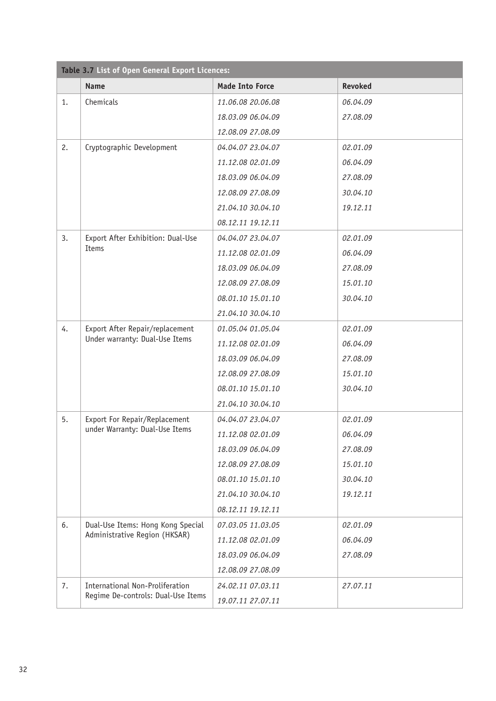|                                    | Table 3.7 List of Open General Export Licences:                   |                        |                |  |  |
|------------------------------------|-------------------------------------------------------------------|------------------------|----------------|--|--|
|                                    | <b>Name</b>                                                       | <b>Made Into Force</b> | <b>Revoked</b> |  |  |
| 1.                                 | Chemicals                                                         | 11.06.08 20.06.08      | 06.04.09       |  |  |
|                                    |                                                                   | 18.03.09 06.04.09      | 27.08.09       |  |  |
|                                    |                                                                   | 12.08.09 27.08.09      |                |  |  |
| 2.                                 | Cryptographic Development                                         | 04.04.07 23.04.07      | 02.01.09       |  |  |
|                                    |                                                                   | 11.12.08 02.01.09      | 06.04.09       |  |  |
|                                    |                                                                   | 18.03.09 06.04.09      | 27.08.09       |  |  |
|                                    |                                                                   | 12.08.09 27.08.09      | 30.04.10       |  |  |
|                                    |                                                                   | 21.04.10 30.04.10      | 19.12.11       |  |  |
|                                    |                                                                   | 08.12.11 19.12.11      |                |  |  |
| 3.                                 | Export After Exhibition: Dual-Use                                 | 04.04.07 23.04.07      | 02.01.09       |  |  |
|                                    | Items                                                             | 11.12.08 02.01.09      | 06.04.09       |  |  |
|                                    |                                                                   | 18.03.09 06.04.09      | 27.08.09       |  |  |
|                                    |                                                                   | 12.08.09 27.08.09      | 15.01.10       |  |  |
|                                    |                                                                   | 08.01.10 15.01.10      | 30.04.10       |  |  |
|                                    |                                                                   | 21.04.10 30.04.10      |                |  |  |
| 4.                                 | Export After Repair/replacement<br>Under warranty: Dual-Use Items | 01.05.04 01.05.04      | 02.01.09       |  |  |
|                                    |                                                                   | 11.12.08 02.01.09      | 06.04.09       |  |  |
|                                    |                                                                   | 18.03.09 06.04.09      | 27.08.09       |  |  |
|                                    |                                                                   | 12.08.09 27.08.09      | 15.01.10       |  |  |
|                                    |                                                                   | 08.01.10 15.01.10      | 30.04.10       |  |  |
|                                    |                                                                   | 21.04.10 30.04.10      |                |  |  |
| 5.                                 | Export For Repair/Replacement<br>under Warranty: Dual-Use Items   | 04.04.07 23.04.07      | 02.01.09       |  |  |
|                                    |                                                                   | 11.12.08 02.01.09      | 06.04.09       |  |  |
|                                    |                                                                   | 18.03.09 06.04.09      | 27.08.09       |  |  |
|                                    |                                                                   | 12.08.09 27.08.09      | 15.01.10       |  |  |
|                                    |                                                                   | 08.01.10 15.01.10      | 30.04.10       |  |  |
|                                    |                                                                   | 21.04.10 30.04.10      | 19.12.11       |  |  |
|                                    |                                                                   | 08.12.11 19.12.11      |                |  |  |
| 6.                                 | Dual-Use Items: Hong Kong Special                                 | 07.03.05 11.03.05      | 02.01.09       |  |  |
|                                    | Administrative Region (HKSAR)                                     | 11.12.08 02.01.09      | 06.04.09       |  |  |
|                                    |                                                                   | 18.03.09 06.04.09      | 27.08.09       |  |  |
|                                    |                                                                   | 12.08.09 27.08.09      |                |  |  |
| 7.                                 | International Non-Proliferation                                   | 24.02.11 07.03.11      | 27.07.11       |  |  |
| Regime De-controls: Dual-Use Items | 19.07.11 27.07.11                                                 |                        |                |  |  |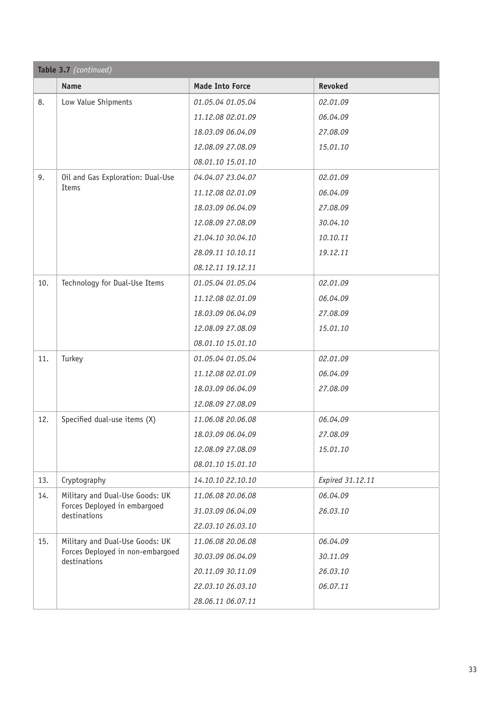|     | Table 3.7 (continued)                            |                        |                  |  |
|-----|--------------------------------------------------|------------------------|------------------|--|
|     | <b>Name</b>                                      | <b>Made Into Force</b> | <b>Revoked</b>   |  |
| 8.  | Low Value Shipments                              | 01.05.04 01.05.04      | 02.01.09         |  |
|     |                                                  | 11.12.08 02.01.09      | 06.04.09         |  |
|     |                                                  | 18.03.09 06.04.09      | 27.08.09         |  |
|     |                                                  | 12.08.09 27.08.09      | 15.01.10         |  |
|     |                                                  | 08.01.10 15.01.10      |                  |  |
| 9.  | Oil and Gas Exploration: Dual-Use                | 04.04.07 23.04.07      | 02.01.09         |  |
|     | Items                                            | 11.12.08 02.01.09      | 06.04.09         |  |
|     |                                                  | 18.03.09 06.04.09      | 27.08.09         |  |
|     |                                                  | 12.08.09 27.08.09      | 30.04.10         |  |
|     |                                                  | 21.04.10 30.04.10      | 10.10.11         |  |
|     |                                                  | 28.09.11 10.10.11      | 19.12.11         |  |
|     |                                                  | 08.12.11 19.12.11      |                  |  |
| 10. | Technology for Dual-Use Items                    | 01.05.04 01.05.04      | 02.01.09         |  |
|     |                                                  | 11.12.08 02.01.09      | 06.04.09         |  |
|     |                                                  | 18.03.09 06.04.09      | 27.08.09         |  |
|     |                                                  | 12.08.09 27.08.09      | 15.01.10         |  |
|     |                                                  | 08.01.10 15.01.10      |                  |  |
| 11. | Turkey                                           | 01.05.04 01.05.04      | 02.01.09         |  |
|     |                                                  | 11.12.08 02.01.09      | 06.04.09         |  |
|     |                                                  | 18.03.09 06.04.09      | 27.08.09         |  |
|     |                                                  | 12.08.09 27.08.09      |                  |  |
| 12. | Specified dual-use items (X)                     | 11.06.08 20.06.08      | 06.04.09         |  |
|     |                                                  | 18.03.09 06.04.09      | 27.08.09         |  |
|     |                                                  | 12.08.09 27.08.09      | 15.01.10         |  |
|     |                                                  | 08.01.10 15.01.10      |                  |  |
| 13. | Cryptography                                     | 14.10.10 22.10.10      | Expired 31.12.11 |  |
| 14. | Military and Dual-Use Goods: UK                  | 11.06.08 20.06.08      | 06.04.09         |  |
|     | Forces Deployed in embargoed<br>destinations     | 31.03.09 06.04.09      | 26.03.10         |  |
|     |                                                  | 22.03.10 26.03.10      |                  |  |
| 15. | Military and Dual-Use Goods: UK                  | 11.06.08 20.06.08      | 06.04.09         |  |
|     | Forces Deployed in non-embargoed<br>destinations | 30.03.09 06.04.09      | 30.11.09         |  |
|     |                                                  | 20.11.09 30.11.09      | 26.03.10         |  |
|     |                                                  | 22.03.10 26.03.10      | 06.07.11         |  |
|     |                                                  | 28.06.11 06.07.11      |                  |  |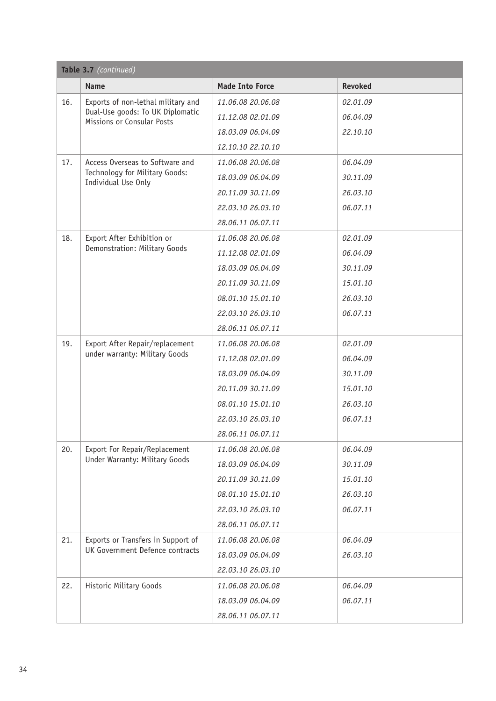| Table 3.7 (continued) |                                                                                                      |                        |                |  |
|-----------------------|------------------------------------------------------------------------------------------------------|------------------------|----------------|--|
|                       | <b>Name</b>                                                                                          | <b>Made Into Force</b> | <b>Revoked</b> |  |
| 16.                   | Exports of non-lethal military and<br>Dual-Use goods: To UK Diplomatic<br>Missions or Consular Posts | 11.06.08 20.06.08      | 02.01.09       |  |
|                       |                                                                                                      | 11.12.08 02.01.09      | 06.04.09       |  |
|                       |                                                                                                      | 18.03.09 06.04.09      | 22.10.10       |  |
|                       |                                                                                                      | 12.10.10 22.10.10      |                |  |
| 17.                   | Access Overseas to Software and                                                                      | 11.06.08 20.06.08      | 06.04.09       |  |
|                       | Technology for Military Goods:<br>Individual Use Only                                                | 18.03.09 06.04.09      | 30.11.09       |  |
|                       |                                                                                                      | 20.11.09 30.11.09      | 26.03.10       |  |
|                       |                                                                                                      | 22.03.10 26.03.10      | 06.07.11       |  |
|                       |                                                                                                      | 28.06.11 06.07.11      |                |  |
| 18.                   | Export After Exhibition or                                                                           | 11.06.08 20.06.08      | 02.01.09       |  |
|                       | Demonstration: Military Goods                                                                        | 11.12.08 02.01.09      | 06.04.09       |  |
|                       |                                                                                                      | 18.03.09 06.04.09      | 30.11.09       |  |
|                       |                                                                                                      | 20.11.09 30.11.09      | 15.01.10       |  |
|                       |                                                                                                      | 08.01.10 15.01.10      | 26.03.10       |  |
|                       |                                                                                                      | 22.03.10 26.03.10      | 06.07.11       |  |
|                       |                                                                                                      | 28.06.11 06.07.11      |                |  |
| 19.                   | Export After Repair/replacement<br>under warranty: Military Goods                                    | 11.06.08 20.06.08      | 02.01.09       |  |
|                       |                                                                                                      | 11.12.08 02.01.09      | 06.04.09       |  |
|                       |                                                                                                      | 18.03.09 06.04.09      | 30.11.09       |  |
|                       |                                                                                                      | 20.11.09 30.11.09      | 15.01.10       |  |
|                       |                                                                                                      | 08.01.10 15.01.10      | 26.03.10       |  |
|                       |                                                                                                      | 22.03.10 26.03.10      | 06.07.11       |  |
|                       |                                                                                                      | 28.06.11 06.07.11      |                |  |
| 20.                   | Export For Repair/Replacement<br>Under Warranty: Military Goods                                      | 11.06.08 20.06.08      | 06.04.09       |  |
|                       |                                                                                                      | 18.03.09 06.04.09      | 30.11.09       |  |
|                       |                                                                                                      | 20.11.09 30.11.09      | 15.01.10       |  |
|                       |                                                                                                      | 08.01.10 15.01.10      | 26.03.10       |  |
|                       |                                                                                                      | 22.03.10 26.03.10      | 06.07.11       |  |
|                       |                                                                                                      | 28.06.11 06.07.11      |                |  |
| 21.                   | Exports or Transfers in Support of                                                                   | 11.06.08 20.06.08      | 06.04.09       |  |
|                       | UK Government Defence contracts                                                                      | 18.03.09 06.04.09      | 26.03.10       |  |
|                       |                                                                                                      | 22.03.10 26.03.10      |                |  |
| 22.                   | Historic Military Goods                                                                              | 11.06.08 20.06.08      | 06.04.09       |  |
|                       |                                                                                                      | 18.03.09 06.04.09      | 06.07.11       |  |
|                       |                                                                                                      | 28.06.11 06.07.11      |                |  |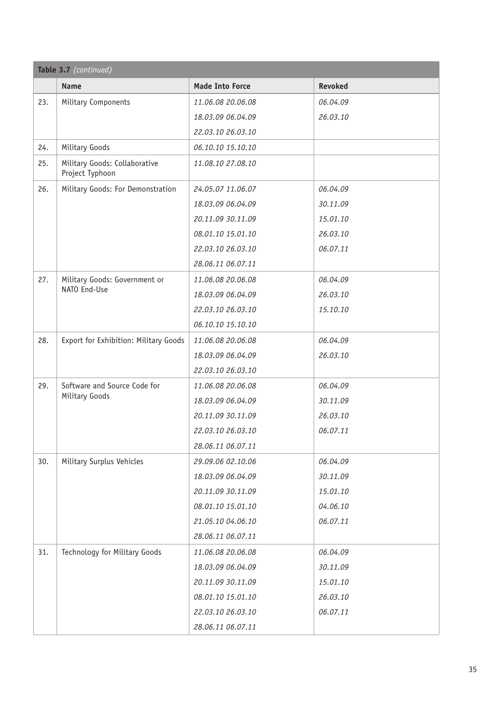|     | Table 3.7 (continued)                            |                        |                |  |  |
|-----|--------------------------------------------------|------------------------|----------------|--|--|
|     | <b>Name</b>                                      | <b>Made Into Force</b> | <b>Revoked</b> |  |  |
| 23. | Military Components                              | 11.06.08 20.06.08      | 06.04.09       |  |  |
|     |                                                  | 18.03.09 06.04.09      | 26.03.10       |  |  |
|     |                                                  | 22.03.10 26.03.10      |                |  |  |
| 24. | Military Goods                                   | 06.10.10 15.10.10      |                |  |  |
| 25. | Military Goods: Collaborative<br>Project Typhoon | 11.08.10 27.08.10      |                |  |  |
| 26. | Military Goods: For Demonstration                | 24.05.07 11.06.07      | 06.04.09       |  |  |
|     |                                                  | 18.03.09 06.04.09      | 30.11.09       |  |  |
|     |                                                  | 20.11.09 30.11.09      | 15.01.10       |  |  |
|     |                                                  | 08.01.10 15.01.10      | 26.03.10       |  |  |
|     |                                                  | 22.03.10 26.03.10      | 06.07.11       |  |  |
|     |                                                  | 28.06.11 06.07.11      |                |  |  |
| 27. | Military Goods: Government or                    | 11.06.08 20.06.08      | 06.04.09       |  |  |
|     | NATO End-Use                                     | 18.03.09 06.04.09      | 26.03.10       |  |  |
|     |                                                  | 22.03.10 26.03.10      | 15.10.10       |  |  |
|     |                                                  | 06.10.10 15.10.10      |                |  |  |
| 28. | Export for Exhibition: Military Goods            | 11.06.08 20.06.08      | 06.04.09       |  |  |
|     |                                                  | 18.03.09 06.04.09      | 26.03.10       |  |  |
|     |                                                  | 22.03.10 26.03.10      |                |  |  |
| 29. | Software and Source Code for                     | 11.06.08 20.06.08      | 06.04.09       |  |  |
|     | Military Goods                                   | 18.03.09 06.04.09      | 30.11.09       |  |  |
|     |                                                  | 20.11.09 30.11.09      | 26.03.10       |  |  |
|     |                                                  | 22.03.10 26.03.10      | 06.07.11       |  |  |
|     |                                                  | 28.06.11 06.07.11      |                |  |  |
| 30. | Military Surplus Vehicles                        | 29.09.06 02.10.06      | 06.04.09       |  |  |
|     |                                                  | 18.03.09 06.04.09      | 30.11.09       |  |  |
|     |                                                  | 20.11.09 30.11.09      | 15.01.10       |  |  |
|     |                                                  | 08.01.10 15.01.10      | 04.06.10       |  |  |
|     |                                                  | 21.05.10 04.06.10      | 06.07.11       |  |  |
|     |                                                  | 28.06.11 06.07.11      |                |  |  |
| 31. | Technology for Military Goods                    | 11.06.08 20.06.08      | 06.04.09       |  |  |
|     |                                                  | 18.03.09 06.04.09      | 30.11.09       |  |  |
|     |                                                  | 20.11.09 30.11.09      | 15.01.10       |  |  |
|     |                                                  | 08.01.10 15.01.10      | 26.03.10       |  |  |
|     |                                                  | 22.03.10 26.03.10      | 06.07.11       |  |  |
|     |                                                  | 28.06.11 06.07.11      |                |  |  |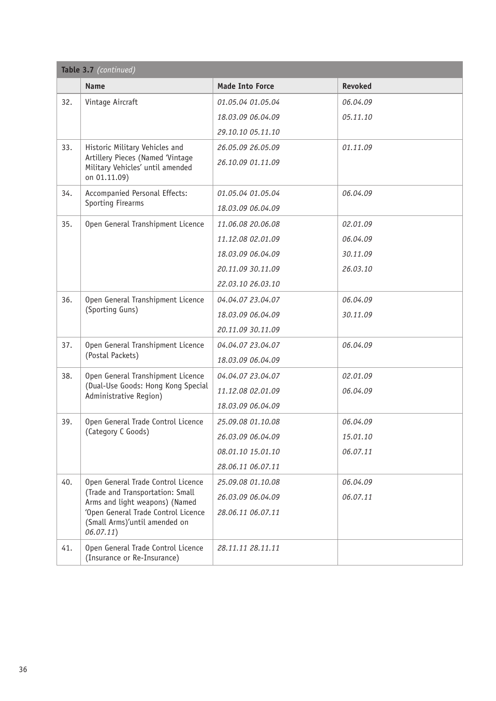|     | Table 3.7 (continued)                                                                |                        |                |  |  |  |  |  |
|-----|--------------------------------------------------------------------------------------|------------------------|----------------|--|--|--|--|--|
|     | <b>Name</b>                                                                          | <b>Made Into Force</b> | <b>Revoked</b> |  |  |  |  |  |
| 32. | Vintage Aircraft                                                                     | 01.05.04 01.05.04      | 06.04.09       |  |  |  |  |  |
|     |                                                                                      | 18.03.09 06.04.09      | 05.11.10       |  |  |  |  |  |
|     |                                                                                      | 29.10.10 05.11.10      |                |  |  |  |  |  |
| 33. | Historic Military Vehicles and                                                       | 26.05.09 26.05.09      | 01.11.09       |  |  |  |  |  |
|     | Artillery Pieces (Named 'Vintage<br>Military Vehicles' until amended<br>on 01.11.09) | 26.10.09 01.11.09      |                |  |  |  |  |  |
| 34. | Accompanied Personal Effects:                                                        | 01.05.04 01.05.04      | 06.04.09       |  |  |  |  |  |
|     | <b>Sporting Firearms</b>                                                             | 18.03.09 06.04.09      |                |  |  |  |  |  |
| 35. | Open General Transhipment Licence                                                    | 11.06.08 20.06.08      | 02.01.09       |  |  |  |  |  |
|     |                                                                                      | 11.12.08 02.01.09      | 06.04.09       |  |  |  |  |  |
|     |                                                                                      | 18.03.09 06.04.09      | 30.11.09       |  |  |  |  |  |
|     |                                                                                      | 20.11.09 30.11.09      | 26.03.10       |  |  |  |  |  |
|     |                                                                                      | 22.03.10 26.03.10      |                |  |  |  |  |  |
| 36. | Open General Transhipment Licence<br>(Sporting Guns)                                 | 04.04.07 23.04.07      | 06.04.09       |  |  |  |  |  |
|     |                                                                                      | 18.03.09 06.04.09      | 30.11.09       |  |  |  |  |  |
|     |                                                                                      | 20.11.09 30.11.09      |                |  |  |  |  |  |
| 37. | Open General Transhipment Licence                                                    | 04.04.07 23.04.07      | 06.04.09       |  |  |  |  |  |
|     | (Postal Packets)                                                                     | 18.03.09 06.04.09      |                |  |  |  |  |  |
| 38. | Open General Transhipment Licence                                                    | 04.04.07 23.04.07      | 02.01.09       |  |  |  |  |  |
|     | (Dual-Use Goods: Hong Kong Special<br>Administrative Region)                         | 11.12.08 02.01.09      | 06.04.09       |  |  |  |  |  |
|     |                                                                                      | 18.03.09 06.04.09      |                |  |  |  |  |  |
| 39. | Open General Trade Control Licence                                                   | 25.09.08 01.10.08      | 06.04.09       |  |  |  |  |  |
|     | (Category C Goods)                                                                   | 26.03.09 06.04.09      | 15.01.10       |  |  |  |  |  |
|     |                                                                                      | 08.01.10 15.01.10      | 06.07.11       |  |  |  |  |  |
|     |                                                                                      | 28.06.11 06.07.11      |                |  |  |  |  |  |
| 40. | Open General Trade Control Licence                                                   | 25.09.08 01.10.08      | 06.04.09       |  |  |  |  |  |
|     | (Trade and Transportation: Small<br>Arms and light weapons) (Named                   | 26.03.09 06.04.09      | 06.07.11       |  |  |  |  |  |
|     | 'Open General Trade Control Licence<br>(Small Arms)'until amended on<br>06.07.11)    | 28.06.11 06.07.11      |                |  |  |  |  |  |
| 41. | Open General Trade Control Licence<br>(Insurance or Re-Insurance)                    | 28.11.11 28.11.11      |                |  |  |  |  |  |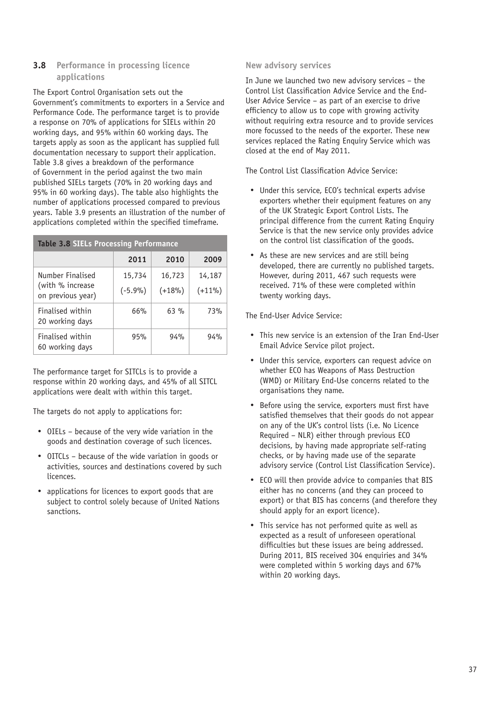## **3.8 Performance in processing licence applications**

The Export Control Organisation sets out the Government's commitments to exporters in a Service and Performance Code. The performance target is to provide a response on 70% of applications for SIELs within 20 working days, and 95% within 60 working days. The targets apply as soon as the applicant has supplied full documentation necessary to support their application. Table 3.8 gives a breakdown of the performance of Government in the period against the two main published SIELs targets (70% in 20 working days and 95% in 60 working days). The table also highlights the number of applications processed compared to previous years. Table 3.9 presents an illustration of the number of applications completed within the specified timeframe.

| <b>Table 3.8 SIELs Processing Performance</b>             |                      |                    |                     |  |  |  |  |  |
|-----------------------------------------------------------|----------------------|--------------------|---------------------|--|--|--|--|--|
|                                                           | 2011                 | 2010               | 2009                |  |  |  |  |  |
| Number Finalised<br>(with % increase<br>on previous year) | 15,734<br>$(-5.9\%)$ | 16,723<br>$(+18%)$ | 14,187<br>$(+11\%)$ |  |  |  |  |  |
| Finalised within<br>20 working days                       | 66%                  | 63%                | <b>73%</b>          |  |  |  |  |  |
| Finalised within<br>60 working days                       | 95%                  | 94%                | 94%                 |  |  |  |  |  |

The performance target for SITCLs is to provide a response within 20 working days, and 45% of all SITCL applications were dealt with within this target.

The targets do not apply to applications for:

- OIELs because of the very wide variation in the goods and destination coverage of such licences.
- OITCLs because of the wide variation in goods or activities, sources and destinations covered by such licences.
- applications for licences to export goods that are subject to control solely because of United Nations sanctions.

#### **New advisory services**

In June we launched two new advisory services – the Control List Classification Advice Service and the End-User Advice Service – as part of an exercise to drive efficiency to allow us to cope with growing activity without requiring extra resource and to provide services more focussed to the needs of the exporter. These new services replaced the Rating Enquiry Service which was closed at the end of May 2011.

The Control List Classification Advice Service:

- Under this service, ECO's technical experts advise exporters whether their equipment features on any of the UK Strategic Export Control Lists. The principal difference from the current Rating Enquiry Service is that the new service only provides advice on the control list classification of the goods.
- As these are new services and are still being developed, there are currently no published targets. However, during 2011, 467 such requests were received. 71% of these were completed within twenty working days.

The End-User Advice Service:

- This new service is an extension of the Iran End-User Email Advice Service pilot project.
- Under this service, exporters can request advice on whether ECO has Weapons of Mass Destruction (WMD) or Military End-Use concerns related to the organisations they name.
- Before using the service, exporters must first have satisfied themselves that their goods do not appear on any of the UK's control lists (i.e. No Licence Required – NLR) either through previous ECO decisions, by having made appropriate self-rating checks, or by having made use of the separate advisory service (Control List Classification Service).
- ECO will then provide advice to companies that BIS either has no concerns (and they can proceed to export) or that BIS has concerns (and therefore they should apply for an export licence).
- This service has not performed quite as well as expected as a result of unforeseen operational difficulties but these issues are being addressed. During 2011, BIS received 304 enquiries and 34% were completed within 5 working days and 67% within 20 working days.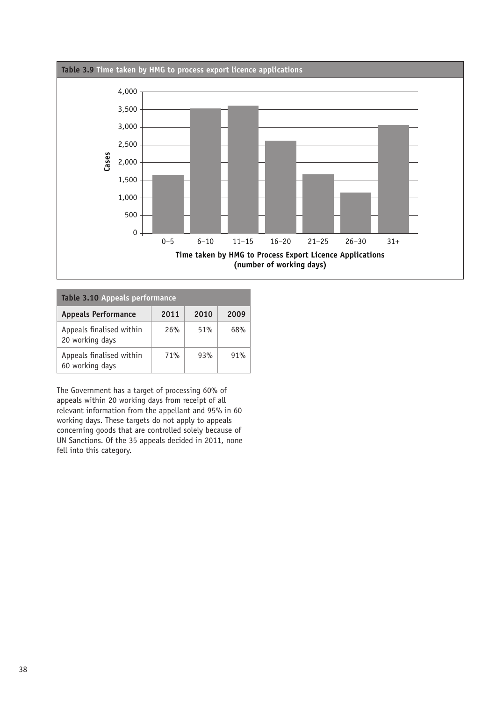

| <b>Table 3.10 Appeals performance</b>       |      |      |      |  |  |  |  |  |
|---------------------------------------------|------|------|------|--|--|--|--|--|
| <b>Appeals Performance</b>                  | 2011 | 2010 | 2009 |  |  |  |  |  |
| Appeals finalised within<br>20 working days | 26%  | 51%  | 68%  |  |  |  |  |  |
| Appeals finalised within<br>60 working days | 71%  | 93%  | 91%  |  |  |  |  |  |

The Government has a target of processing 60% of appeals within 20 working days from receipt of all relevant information from the appellant and 95% in 60 working days. These targets do not apply to appeals concerning goods that are controlled solely because of UN Sanctions. Of the 35 appeals decided in 2011, none fell into this category.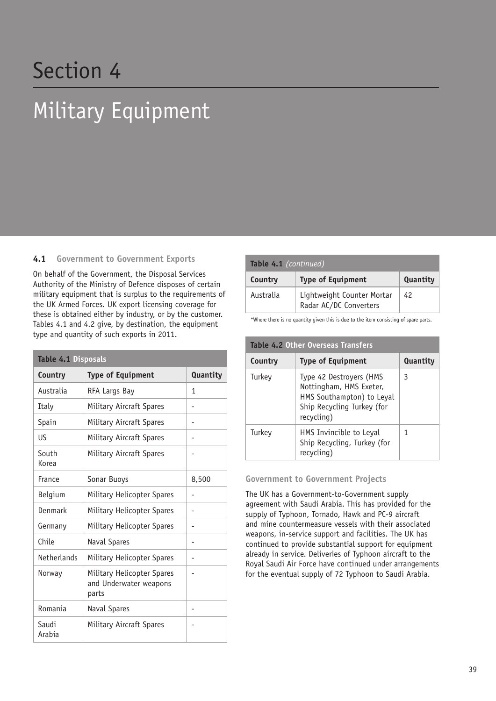## Section 4

# Military Equipment

### **4.1 Government to Government Exports**

On behalf of the Government, the Disposal Services Authority of the Ministry of Defence disposes of certain military equipment that is surplus to the requirements of the UK Armed Forces. UK export licensing coverage for these is obtained either by industry, or by the customer. Tables 4.1 and 4.2 give, by destination, the equipment type and quantity of such exports in 2011.

| <b>Table 4.1 Disposals</b> |                                                               |          |  |  |  |  |  |  |
|----------------------------|---------------------------------------------------------------|----------|--|--|--|--|--|--|
| Country                    | <b>Type of Equipment</b>                                      | Quantity |  |  |  |  |  |  |
| Australia                  | RFA Largs Bay                                                 | 1        |  |  |  |  |  |  |
| Italy                      | Military Aircraft Spares                                      |          |  |  |  |  |  |  |
| Spain                      | Military Aircraft Spares                                      |          |  |  |  |  |  |  |
| US                         | Military Aircraft Spares                                      |          |  |  |  |  |  |  |
| South<br>Korea             | Military Aircraft Spares                                      |          |  |  |  |  |  |  |
| France                     | Sonar Buoys                                                   | 8,500    |  |  |  |  |  |  |
| Belgium                    | Military Helicopter Spares                                    |          |  |  |  |  |  |  |
| Denmark                    | Military Helicopter Spares                                    |          |  |  |  |  |  |  |
| Germany                    | Military Helicopter Spares                                    |          |  |  |  |  |  |  |
| Chile                      | Naval Spares                                                  |          |  |  |  |  |  |  |
| Netherlands                | Military Helicopter Spares                                    |          |  |  |  |  |  |  |
| Norway                     | Military Helicopter Spares<br>and Underwater weapons<br>parts |          |  |  |  |  |  |  |
| Romania                    | Naval Spares                                                  |          |  |  |  |  |  |  |
| Saudi<br>Arabia            | Military Aircraft Spares                                      |          |  |  |  |  |  |  |

| Table 4.1 (continued) |                                                      |          |  |  |  |  |  |
|-----------------------|------------------------------------------------------|----------|--|--|--|--|--|
| Country               | <b>Type of Equipment</b>                             | Quantity |  |  |  |  |  |
| Australia             | Lightweight Counter Mortar<br>Radar AC/DC Converters | 42       |  |  |  |  |  |

\*Where there is no quantity given this is due to the item consisting of spare parts.

| Country | Quantity                                                                                                                    |   |
|---------|-----------------------------------------------------------------------------------------------------------------------------|---|
| Turkey  | Type 42 Destroyers (HMS<br>Nottingham, HMS Exeter,<br>HMS Southampton) to Leyal<br>Ship Recycling Turkey (for<br>recycling) | 3 |
| Turkey  | HMS Invincible to Leyal<br>Ship Recycling, Turkey (for<br>recycling)                                                        |   |

#### **Government to Government Projects**

**Table 4.2 Other Overseas Transfers**

The UK has a Government-to-Government supply agreement with Saudi Arabia. This has provided for the supply of Typhoon, Tornado, Hawk and PC-9 aircraft and mine countermeasure vessels with their associated weapons, in-service support and facilities. The UK has continued to provide substantial support for equipment already in service. Deliveries of Typhoon aircraft to the Royal Saudi Air Force have continued under arrangements for the eventual supply of 72 Typhoon to Saudi Arabia.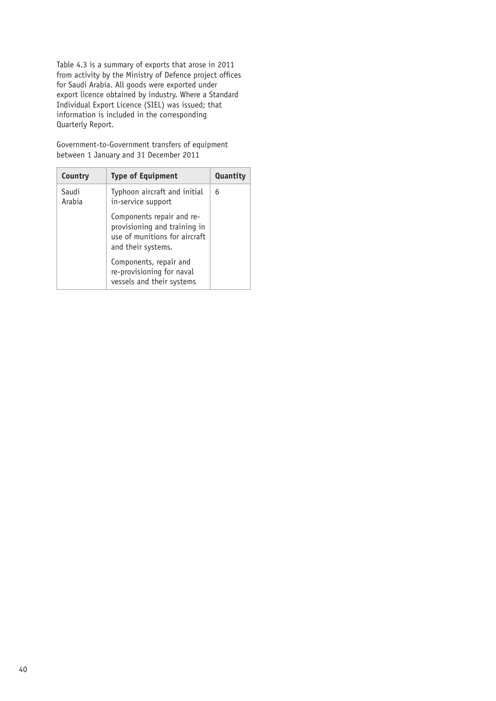Table 4.3 is a summary of exports that arose in 2011 from activity by the Ministry of Defence project offices for Saudi Arabia. All goods were exported under export licence obtained by industry. Where a Standard Individual Export Licence (SIEL) was issued; that information is included in the corresponding Quarterly Report.

Government-to-Government transfers of equipment between 1 January and 31 December 2011

| Country         | <b>Type of Equipment</b>                                                                                         | Quantity |
|-----------------|------------------------------------------------------------------------------------------------------------------|----------|
| Saudi<br>Arabia | Typhoon aircraft and initial<br>in-service support                                                               | 6        |
|                 | Components repair and re-<br>provisioning and training in<br>use of munitions for aircraft<br>and their systems. |          |
|                 | Components, repair and<br>re-provisioning for naval<br>vessels and their systems                                 |          |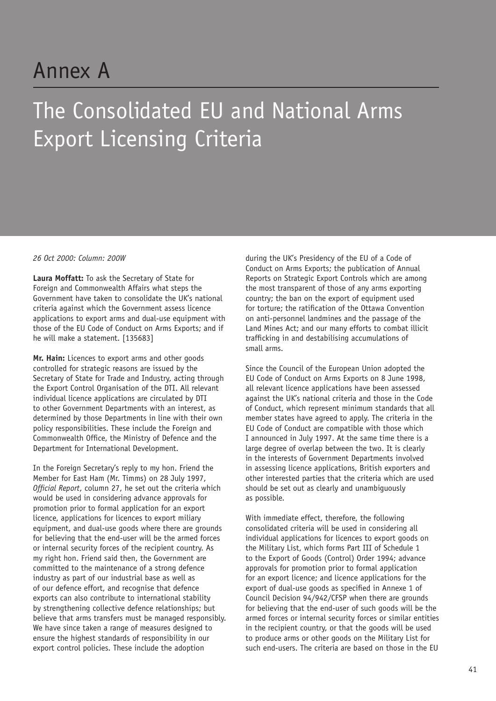## Annex A

## The Consolidated EU and National Arms Export Licensing Criteria

#### *26 Oct 2000: Column: 200W*

**Laura Moffatt:** To ask the Secretary of State for Foreign and Commonwealth Affairs what steps the Government have taken to consolidate the UK's national criteria against which the Government assess licence applications to export arms and dual-use equipment with those of the EU Code of Conduct on Arms Exports; and if he will make a statement. [135683]

**Mr. Hain:** Licences to export arms and other goods controlled for strategic reasons are issued by the Secretary of State for Trade and Industry, acting through the Export Control Organisation of the DTI. All relevant individual licence applications are circulated by DTI to other Government Departments with an interest, as determined by those Departments in line with their own policy responsibilities. These include the Foreign and Commonwealth Office, the Ministry of Defence and the Department for International Development.

In the Foreign Secretary's reply to my hon. Friend the Member for East Ham (Mr. Timms) on 28 July 1997, *Official Report*, column 27, he set out the criteria which would be used in considering advance approvals for promotion prior to formal application for an export licence, applications for licences to export miliary equipment, and dual-use goods where there are grounds for believing that the end-user will be the armed forces or internal security forces of the recipient country. As my right hon. Friend said then, the Government are committed to the maintenance of a strong defence industry as part of our industrial base as well as of our defence effort, and recognise that defence exports can also contribute to international stability by strengthening collective defence relationships; but believe that arms transfers must be managed responsibly. We have since taken a range of measures designed to ensure the highest standards of responsibility in our export control policies. These include the adoption

during the UK's Presidency of the EU of a Code of Conduct on Arms Exports; the publication of Annual Reports on Strategic Export Controls which are among the most transparent of those of any arms exporting country; the ban on the export of equipment used for torture; the ratification of the Ottawa Convention on anti-personnel landmines and the passage of the Land Mines Act; and our many efforts to combat illicit trafficking in and destabilising accumulations of small arms.

Since the Council of the European Union adopted the EU Code of Conduct on Arms Exports on 8 June 1998, all relevant licence applications have been assessed against the UK's national criteria and those in the Code of Conduct, which represent minimum standards that all member states have agreed to apply. The criteria in the EU Code of Conduct are compatible with those which I announced in July 1997. At the same time there is a large degree of overlap between the two. It is clearly in the interests of Government Departments involved in assessing licence applications, British exporters and other interested parties that the criteria which are used should be set out as clearly and unambiguously as possible.

With immediate effect, therefore, the following consolidated criteria will be used in considering all individual applications for licences to export goods on the Military List, which forms Part III of Schedule 1 to the Export of Goods (Control) Order 1994; advance approvals for promotion prior to formal application for an export licence; and licence applications for the export of dual-use goods as specified in Annexe 1 of Council Decision 94/942/CFSP when there are grounds for believing that the end-user of such goods will be the armed forces or internal security forces or similar entities in the recipient country, or that the goods will be used to produce arms or other goods on the Military List for such end-users. The criteria are based on those in the EU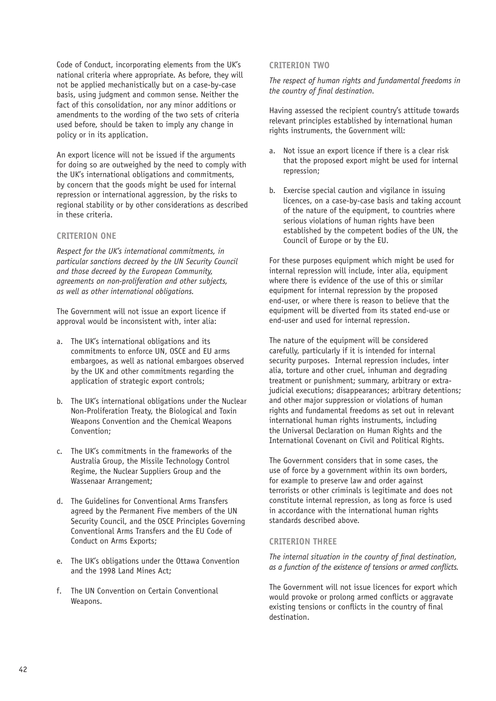Code of Conduct, incorporating elements from the UK's national criteria where appropriate. As before, they will not be applied mechanistically but on a case-by-case basis, using judgment and common sense. Neither the fact of this consolidation, nor any minor additions or amendments to the wording of the two sets of criteria used before, should be taken to imply any change in policy or in its application.

An export licence will not be issued if the arguments for doing so are outweighed by the need to comply with the UK's international obligations and commitments, by concern that the goods might be used for internal repression or international aggression, by the risks to regional stability or by other considerations as described in these criteria.

### **CRITERION ONE**

*Respect for the UK's international commitments, in particular sanctions decreed by the UN Security Council and those decreed by the European Community, agreements on non-proliferation and other subjects, as well as other international obligations.*

The Government will not issue an export licence if approval would be inconsistent with, inter alia:

- a. The UK's international obligations and its commitments to enforce UN, OSCE and EU arms embargoes, as well as national embargoes observed by the UK and other commitments regarding the application of strategic export controls;
- b. The UK's international obligations under the Nuclear Non-Proliferation Treaty, the Biological and Toxin Weapons Convention and the Chemical Weapons Convention;
- c. The UK's commitments in the frameworks of the Australia Group, the Missile Technology Control Regime, the Nuclear Suppliers Group and the Wassenaar Arrangement;
- d. The Guidelines for Conventional Arms Transfers agreed by the Permanent Five members of the UN Security Council, and the OSCE Principles Governing Conventional Arms Transfers and the EU Code of Conduct on Arms Exports;
- e. The UK's obligations under the Ottawa Convention and the 1998 Land Mines Act;
- f. The UN Convention on Certain Conventional Weapons.

#### **CRITERION TWO**

#### *The respect of human rights and fundamental freedoms in the country of final destination.*

Having assessed the recipient country's attitude towards relevant principles established by international human rights instruments, the Government will:

- a. Not issue an export licence if there is a clear risk that the proposed export might be used for internal repression;
- b. Exercise special caution and vigilance in issuing licences, on a case-by-case basis and taking account of the nature of the equipment, to countries where serious violations of human rights have been established by the competent bodies of the UN, the Council of Europe or by the EU.

For these purposes equipment which might be used for internal repression will include, inter alia, equipment where there is evidence of the use of this or similar equipment for internal repression by the proposed end-user, or where there is reason to believe that the equipment will be diverted from its stated end-use or end-user and used for internal repression.

The nature of the equipment will be considered carefully, particularly if it is intended for internal security purposes. Internal repression includes, inter alia, torture and other cruel, inhuman and degrading treatment or punishment; summary, arbitrary or extrajudicial executions; disappearances; arbitrary detentions; and other major suppression or violations of human rights and fundamental freedoms as set out in relevant international human rights instruments, including the Universal Declaration on Human Rights and the International Covenant on Civil and Political Rights.

The Government considers that in some cases, the use of force by a government within its own borders, for example to preserve law and order against terrorists or other criminals is legitimate and does not constitute internal repression, as long as force is used in accordance with the international human rights standards described above.

#### **CRITERION THREE**

*The internal situation in the country of final destination, as a function of the existence of tensions or armed conflicts.*

The Government will not issue licences for export which would provoke or prolong armed conflicts or aggravate existing tensions or conflicts in the country of final destination.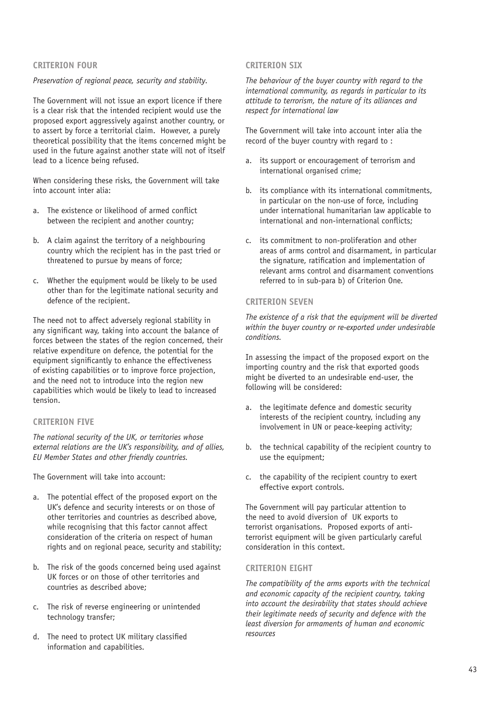#### **CRITERION FOUR**

#### *Preservation of regional peace, security and stability.*

The Government will not issue an export licence if there is a clear risk that the intended recipient would use the proposed export aggressively against another country, or to assert by force a territorial claim. However, a purely theoretical possibility that the items concerned might be used in the future against another state will not of itself lead to a licence being refused.

When considering these risks, the Government will take into account inter alia:

- a. The existence or likelihood of armed conflict between the recipient and another country;
- b. A claim against the territory of a neighbouring country which the recipient has in the past tried or threatened to pursue by means of force;
- c. Whether the equipment would be likely to be used other than for the legitimate national security and defence of the recipient.

The need not to affect adversely regional stability in any significant way, taking into account the balance of forces between the states of the region concerned, their relative expenditure on defence, the potential for the equipment significantly to enhance the effectiveness of existing capabilities or to improve force projection, and the need not to introduce into the region new capabilities which would be likely to lead to increased tension.

#### **CRITERION FIVE**

*The national security of the UK, or territories whose external relations are the UK's responsibility, and of allies, EU Member States and other friendly countries.*

The Government will take into account:

- a. The potential effect of the proposed export on the UK's defence and security interests or on those of other territories and countries as described above, while recognising that this factor cannot affect consideration of the criteria on respect of human rights and on regional peace, security and stability;
- b. The risk of the goods concerned being used against UK forces or on those of other territories and countries as described above;
- c. The risk of reverse engineering or unintended technology transfer;
- d. The need to protect UK military classified information and capabilities.

#### **CRITERION SIX**

*The behaviour of the buyer country with regard to the international community, as regards in particular to its attitude to terrorism, the nature of its alliances and respect for international law*

The Government will take into account inter alia the record of the buyer country with regard to :

- a. its support or encouragement of terrorism and international organised crime;
- b. its compliance with its international commitments, in particular on the non-use of force, including under international humanitarian law applicable to international and non-international conflicts;
- c. its commitment to non-proliferation and other areas of arms control and disarmament, in particular the signature, ratification and implementation of relevant arms control and disarmament conventions referred to in sub-para b) of Criterion One.

#### **CRITERION SEVEN**

*The existence of a risk that the equipment will be diverted within the buyer country or re-exported under undesirable conditions.*

In assessing the impact of the proposed export on the importing country and the risk that exported goods might be diverted to an undesirable end-user, the following will be considered:

- a. the legitimate defence and domestic security interests of the recipient country, including any involvement in UN or peace-keeping activity;
- b. the technical capability of the recipient country to use the equipment;
- c. the capability of the recipient country to exert effective export controls.

The Government will pay particular attention to the need to avoid diversion of UK exports to terrorist organisations. Proposed exports of antiterrorist equipment will be given particularly careful consideration in this context.

#### **CRITERION EIGHT**

*The compatibility of the arms exports with the technical and economic capacity of the recipient country, taking into account the desirability that states should achieve their legitimate needs of security and defence with the least diversion for armaments of human and economic resources*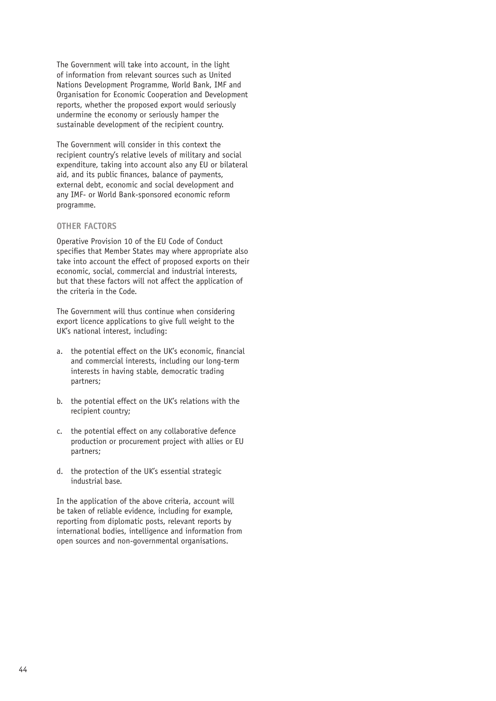The Government will take into account, in the light of information from relevant sources such as United Nations Development Programme, World Bank, IMF and Organisation for Economic Cooperation and Development reports, whether the proposed export would seriously undermine the economy or seriously hamper the sustainable development of the recipient country.

The Government will consider in this context the recipient country's relative levels of military and social expenditure, taking into account also any EU or bilateral aid, and its public finances, balance of payments, external debt, economic and social development and any IMF- or World Bank-sponsored economic reform programme.

#### **OTHER FACTORS**

Operative Provision 10 of the EU Code of Conduct specifies that Member States may where appropriate also take into account the effect of proposed exports on their economic, social, commercial and industrial interests, but that these factors will not affect the application of the criteria in the Code.

The Government will thus continue when considering export licence applications to give full weight to the UK's national interest, including:

- a. the potential effect on the UK's economic, financial and commercial interests, including our long-term interests in having stable, democratic trading partners;
- b. the potential effect on the UK's relations with the recipient country;
- c. the potential effect on any collaborative defence production or procurement project with allies or EU partners;
- d. the protection of the UK's essential strategic industrial base.

In the application of the above criteria, account will be taken of reliable evidence, including for example, reporting from diplomatic posts, relevant reports by international bodies, intelligence and information from open sources and non-governmental organisations.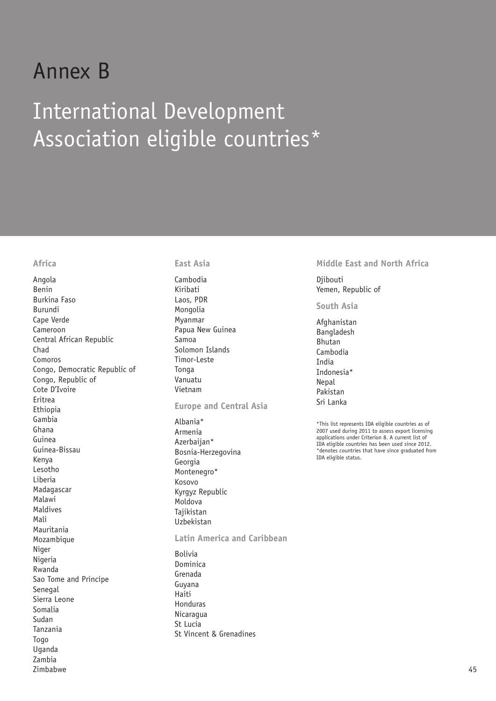## Annex B

## International Development Association eligible countries\*

#### **Africa**

Angola Benin Burkina Faso Burundi Cape Verde Cameroon Central African Republic Chad Comoros Congo, Democratic Republic of Congo, Republic of Cote D'Ivoire Eritrea Ethiopia Gambia Ghana Guinea Guinea-Bissau Kenya Lesotho Liberia Madagascar Malawi Maldives Mali Mauritania Mozambique Niger Nigeria Rwanda Sao Tome and Principe Senegal Sierra Leone Somalia Sudan Tanzania Togo Uganda Zambia Zimbabwe

#### **East Asia**

Cambodia Kiribati Laos, PDR Mongolia Myanmar Papua New Guinea Samoa Solomon Islands Timor-Leste Tonga Vanuatu Vietnam

## **Europe and Central Asia**

- Albania\* Armenia Azerbaijan\* Bosnia-Herzegovina Georgia Montenegro\* Kosovo Kyrgyz Republic Moldova **Tajikistan** Uzbekistan **Latin America and Caribbean** Bolivia
- Dominica Grenada Guyana Haiti Honduras Nicaragua St Lucia St Vincent & Grenadines

#### **Middle East and North Africa**

**Diibouti** Yemen, Republic of

**South Asia**

Afghanistan Bangladesh Bhutan Cambodia India Indonesia\* Nepal Pakistan Sri Lanka

\*This list represents IDA eligible countries as of 2007 used during 2011 to assess export licensing applications under Criterion 8. A current list of IDA eligible countries has been used since 2012. \*denotes countries that have since graduated from IDA eligible status.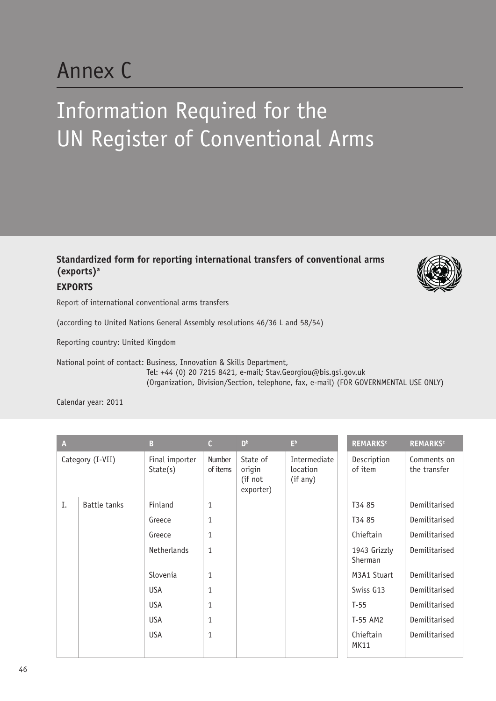# Annex C

# Information Required for the UN Register of Conventional Arms

## **Standardized form for reporting international transfers of conventional arms (exports)a**

## **EXPORTS**

Report of international conventional arms transfers

(according to United Nations General Assembly resolutions 46/36 L and 58/54)

Reporting country: United Kingdom

National point of contact: Business, Innovation & Skills Department, Tel: +44 (0) 20 7215 8421, e-mail; Stav.Georgiou@bis.gsi.gov.uk (Organization, Division/Section, telephone, fax, e-mail) (FOR GOVERNMENTAL USE ONLY)

Calendar year: 2011

| $\mathbf{A}$ |                     | B                          | $\mathsf{C}$              | D <sub>p</sub>                             | E <sup>b</sup>                       | <b>REMARKS</b> <sup>c</sup> | <b>REMARKS</b> <sup>c</sup> |
|--------------|---------------------|----------------------------|---------------------------|--------------------------------------------|--------------------------------------|-----------------------------|-----------------------------|
|              | Category (I-VII)    | Final importer<br>State(s) | <b>Number</b><br>of items | State of<br>origin<br>(if not<br>exporter) | Intermediate<br>location<br>(if any) | Description<br>of item      | Comments on<br>the transfer |
| I.           | <b>Battle tanks</b> | Finland                    | $\mathbf{1}$              |                                            |                                      | T34 85                      | Demilitarised               |
|              |                     | Greece                     | $\mathbf{1}$              |                                            |                                      | T34 85                      | Demilitarised               |
|              |                     | Greece                     | $\mathbf{1}$              |                                            |                                      | Chieftain                   | Demilitarised               |
|              |                     | <b>Netherlands</b>         | $\mathbf{1}$              |                                            |                                      | 1943 Grizzly<br>Sherman     | Demilitarised               |
|              |                     | Slovenia                   | $\mathbf{1}$              |                                            |                                      | M3A1 Stuart                 | Demilitarised               |
|              |                     | <b>USA</b>                 | $\mathbf{1}$              |                                            |                                      | Swiss G13                   | Demilitarised               |
|              |                     | <b>USA</b>                 | $\mathbf{1}$              |                                            |                                      | $T-55$                      | Demilitarised               |
|              |                     | <b>USA</b>                 | $\mathbf{1}$              |                                            |                                      | T-55 AM2                    | Demilitarised               |
|              |                     | <b>USA</b>                 | $\mathbf{1}$              |                                            |                                      | Chieftain<br><b>MK11</b>    | Demilitarised               |

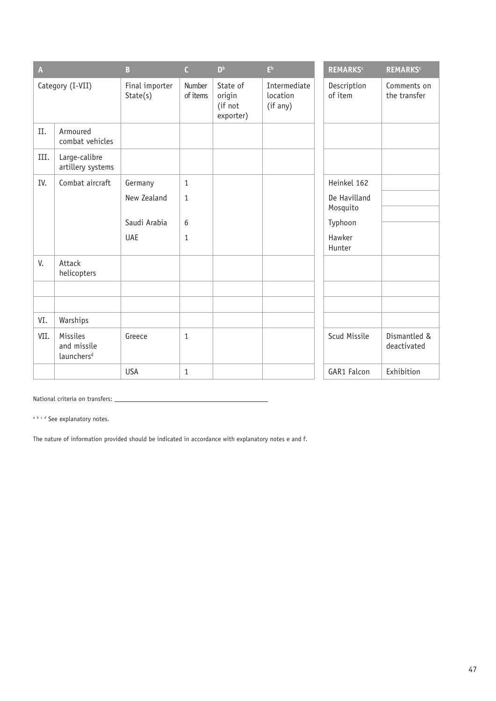| $\pmb{\mathsf{A}}$ |                                                   | $\overline{B}$             | $\mathsf{C}$       | D <sub>p</sub>                             | E <sub>p</sub>                       | <b>REMARKS</b> <sup>c</sup> | <b>REMARKS</b> <sup>c</sup> |
|--------------------|---------------------------------------------------|----------------------------|--------------------|--------------------------------------------|--------------------------------------|-----------------------------|-----------------------------|
|                    | Category (I-VII)                                  | Final importer<br>State(s) | Number<br>of items | State of<br>origin<br>(if not<br>exporter) | Intermediate<br>location<br>(if any) | Description<br>of item      | Comments on<br>the transfer |
| II.                | Armoured<br>combat vehicles                       |                            |                    |                                            |                                      |                             |                             |
| III.               | Large-calibre<br>artillery systems                |                            |                    |                                            |                                      |                             |                             |
| IV.                | Combat aircraft                                   | Germany                    | 1                  |                                            |                                      | Heinkel 162                 |                             |
|                    |                                                   | New Zealand                | $\mathbf{1}$       |                                            |                                      | De Havilland<br>Mosquito    |                             |
|                    |                                                   | Saudi Arabia               | 6                  |                                            |                                      | Typhoon                     |                             |
|                    |                                                   | <b>UAE</b>                 | $\mathbf{1}$       |                                            |                                      | Hawker<br>Hunter            |                             |
| V.                 | Attack<br>helicopters                             |                            |                    |                                            |                                      |                             |                             |
|                    |                                                   |                            |                    |                                            |                                      |                             |                             |
| VI.                | Warships                                          |                            |                    |                                            |                                      |                             |                             |
| VII.               | Missiles<br>and missile<br>launchers <sup>d</sup> | Greece                     | 1                  |                                            |                                      | Scud Missile                | Dismantled &<br>deactivated |
|                    |                                                   | <b>USA</b>                 | $\mathbf{1}$       |                                            |                                      | GAR1 Falcon                 | Exhibition                  |

National criteria on transfers:

a b c d See explanatory notes.

The nature of information provided should be indicated in accordance with explanatory notes e and f.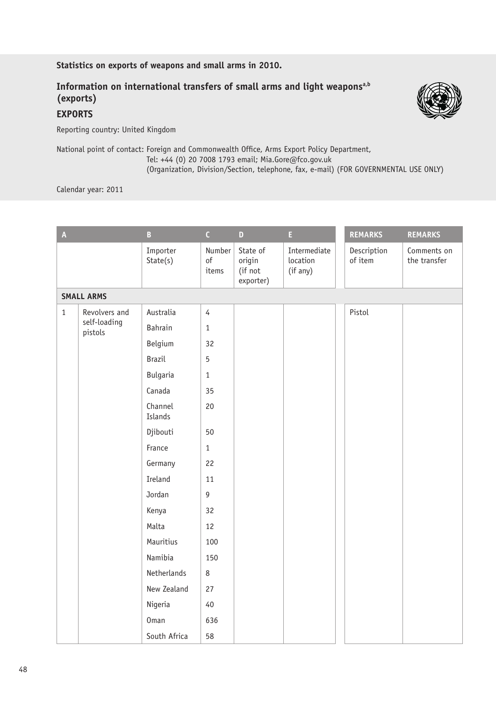## **Statistics on exports of weapons and small arms in 2010.**

## Information on international transfers of small arms and light weapons<sup>a,b</sup> **(exports)**



## **EXPORTS**

Reporting country: United Kingdom

National point of contact: Foreign and Commonwealth Office, Arms Export Policy Department, Tel: +44 (0) 20 7008 1793 email; Mia.Gore@fco.gov.uk (Organization, Division/Section, telephone, fax, e-mail) (FOR GOVERNMENTAL USE ONLY)

Calendar year: 2011

| $\overline{\mathbf{A}}$ |                         | $\overline{B}$       | $\mathsf{C}$                      | $\mathbf{D}$                               | E.                                   | <b>REMARKS</b>         | <b>REMARKS</b>              |
|-------------------------|-------------------------|----------------------|-----------------------------------|--------------------------------------------|--------------------------------------|------------------------|-----------------------------|
|                         |                         | Importer<br>State(s) | Number<br>o <sub>f</sub><br>items | State of<br>origin<br>(if not<br>exporter) | Intermediate<br>location<br>(if any) | Description<br>of item | Comments on<br>the transfer |
|                         | <b>SMALL ARMS</b>       |                      |                                   |                                            |                                      |                        |                             |
| $\mathbf{1}$            | Revolvers and           | Australia            | $\overline{4}$                    |                                            |                                      | Pistol                 |                             |
|                         | self-loading<br>pistols | <b>Bahrain</b>       | $\mathbf{1}$                      |                                            |                                      |                        |                             |
|                         |                         | Belgium              | 32                                |                                            |                                      |                        |                             |
|                         |                         | <b>Brazil</b>        | 5                                 |                                            |                                      |                        |                             |
|                         |                         | <b>Bulgaria</b>      | $\mathbf{1}$                      |                                            |                                      |                        |                             |
|                         |                         | Canada               | 35                                |                                            |                                      |                        |                             |
|                         |                         | Channel<br>Islands   | 20                                |                                            |                                      |                        |                             |
|                         |                         | Djibouti             | 50                                |                                            |                                      |                        |                             |
|                         |                         | France               | $\mathbf{1}$                      |                                            |                                      |                        |                             |
|                         |                         | Germany              | 22                                |                                            |                                      |                        |                             |
|                         |                         | Ireland              | 11                                |                                            |                                      |                        |                             |
|                         |                         | Jordan               | $\boldsymbol{9}$                  |                                            |                                      |                        |                             |
|                         |                         | Kenya                | 32                                |                                            |                                      |                        |                             |
|                         |                         | Malta                | 12                                |                                            |                                      |                        |                             |
|                         |                         | Mauritius            | 100                               |                                            |                                      |                        |                             |
|                         |                         | Namibia              | 150                               |                                            |                                      |                        |                             |
|                         |                         | Netherlands          | $\,8\,$                           |                                            |                                      |                        |                             |
|                         |                         | New Zealand          | 27                                |                                            |                                      |                        |                             |
|                         |                         | Nigeria              | $40\,$                            |                                            |                                      |                        |                             |
|                         |                         | <b>Oman</b>          | 636                               |                                            |                                      |                        |                             |
|                         |                         | South Africa         | 58                                |                                            |                                      |                        |                             |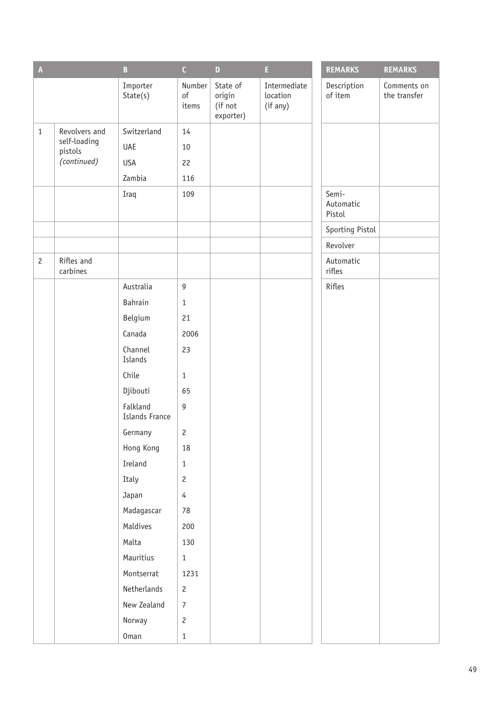| $\boldsymbol{\mathsf{A}}$ |                         | $\overline{\mathbf{B}}$           | $\mathsf{C}$          | $\begin{array}{c} \hline \end{array}$      | E                                    | <b>REMARKS</b>               | <b>REMARKS</b>              |
|---------------------------|-------------------------|-----------------------------------|-----------------------|--------------------------------------------|--------------------------------------|------------------------------|-----------------------------|
|                           |                         | Importer<br>State(s)              | Number<br>of<br>items | State of<br>origin<br>(if not<br>exporter) | Intermediate<br>location<br>(if any) | Description<br>of item       | Comments on<br>the transfer |
| $\mathbf{1}$              | Revolvers and           | Switzerland                       | 14                    |                                            |                                      |                              |                             |
|                           | self-loading<br>pistols | <b>UAE</b>                        | 10                    |                                            |                                      |                              |                             |
|                           | (continued)             | <b>USA</b>                        | 22                    |                                            |                                      |                              |                             |
|                           |                         | Zambia                            | 116                   |                                            |                                      |                              |                             |
|                           |                         | Iraq                              | 109                   |                                            |                                      | Semi-<br>Automatic<br>Pistol |                             |
|                           |                         |                                   |                       |                                            |                                      | Sporting Pistol              |                             |
|                           |                         |                                   |                       |                                            |                                      | Revolver                     |                             |
| $\overline{c}$            | Rifles and<br>carbines  |                                   |                       |                                            |                                      | Automatic<br>rifles          |                             |
|                           |                         | Australia                         | $\boldsymbol{9}$      |                                            |                                      | Rifles                       |                             |
|                           |                         | <b>Bahrain</b>                    | $1\,$                 |                                            |                                      |                              |                             |
|                           |                         | Belgium                           | 21                    |                                            |                                      |                              |                             |
|                           |                         | Canada                            | 2006                  |                                            |                                      |                              |                             |
|                           |                         | Channel<br>Islands                | 23                    |                                            |                                      |                              |                             |
|                           |                         | Chile                             | $\mathbf{1}$          |                                            |                                      |                              |                             |
|                           |                         | Djibouti                          | 65                    |                                            |                                      |                              |                             |
|                           |                         | Falkland<br><b>Islands France</b> | $\boldsymbol{9}$      |                                            |                                      |                              |                             |
|                           |                         | Germany                           | $\overline{c}$        |                                            |                                      |                              |                             |
|                           |                         | Hong Kong                         | 18                    |                                            |                                      |                              |                             |
|                           |                         | Ireland                           | $1\,$                 |                                            |                                      |                              |                             |
|                           |                         | Italy                             | $\overline{c}$        |                                            |                                      |                              |                             |
|                           |                         | Japan                             | $\overline{4}$        |                                            |                                      |                              |                             |
|                           |                         | Madagascar                        | 78                    |                                            |                                      |                              |                             |
|                           |                         | Maldives                          | 200                   |                                            |                                      |                              |                             |
|                           |                         | Malta                             | 130                   |                                            |                                      |                              |                             |
|                           |                         | Mauritius                         | $1\,$                 |                                            |                                      |                              |                             |
|                           |                         | Montserrat                        | 1231                  |                                            |                                      |                              |                             |
|                           |                         | Netherlands                       | $\mathbf{2}$          |                                            |                                      |                              |                             |
|                           |                         | New Zealand                       | $\boldsymbol{7}$      |                                            |                                      |                              |                             |
|                           |                         | Norway                            | $\overline{c}$        |                                            |                                      |                              |                             |
|                           |                         | Oman                              | $\mathbf{1}$          |                                            |                                      |                              |                             |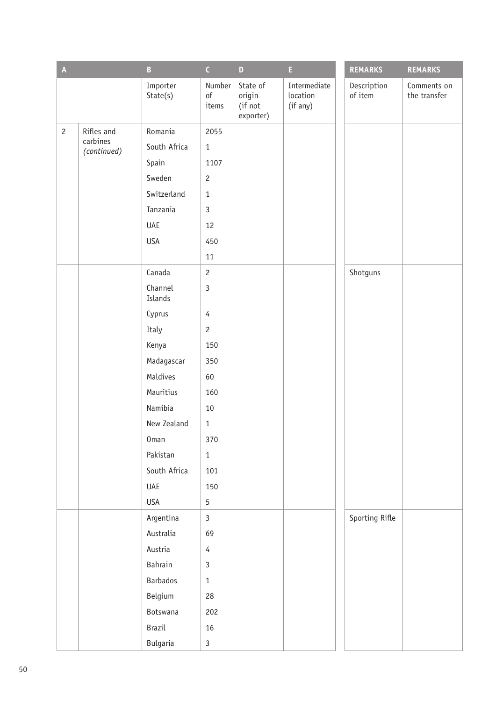| $\boldsymbol{\mathsf{A}}$ |                         | $\, {\bf B} \,$      | $\mathsf{C}$          | $\begin{array}{c} \textbf{D} \end{array}$  | E.                                   | <b>REMARKS</b>         | <b>REMARKS</b>              |
|---------------------------|-------------------------|----------------------|-----------------------|--------------------------------------------|--------------------------------------|------------------------|-----------------------------|
|                           |                         | Importer<br>State(s) | Number<br>of<br>items | State of<br>origin<br>(if not<br>exporter) | Intermediate<br>location<br>(if any) | Description<br>of item | Comments on<br>the transfer |
| $\overline{c}$            | Rifles and              | Romania              | 2055                  |                                            |                                      |                        |                             |
|                           | carbines<br>(continued) | South Africa         | $1\,$                 |                                            |                                      |                        |                             |
|                           |                         | Spain                | 1107                  |                                            |                                      |                        |                             |
|                           |                         | Sweden               | $\overline{c}$        |                                            |                                      |                        |                             |
|                           |                         | Switzerland          | $1\,$                 |                                            |                                      |                        |                             |
|                           |                         | Tanzania             | $\mathbf{3}$          |                                            |                                      |                        |                             |
|                           |                         | UAE                  | 12                    |                                            |                                      |                        |                             |
|                           |                         | <b>USA</b>           | 450                   |                                            |                                      |                        |                             |
|                           |                         |                      | $11\,$                |                                            |                                      |                        |                             |
|                           |                         | Canada               | $\overline{c}$        |                                            |                                      | Shotguns               |                             |
|                           |                         | Channel<br>Islands   | $\mathsf 3$           |                                            |                                      |                        |                             |
|                           |                         | Cyprus               | 4                     |                                            |                                      |                        |                             |
|                           |                         | Italy                | $\overline{c}$        |                                            |                                      |                        |                             |
|                           |                         | Kenya                | 150                   |                                            |                                      |                        |                             |
|                           |                         | Madagascar           | 350                   |                                            |                                      |                        |                             |
|                           |                         | Maldives             | 60                    |                                            |                                      |                        |                             |
|                           |                         | Mauritius            | 160                   |                                            |                                      |                        |                             |
|                           |                         | Namibia              | $10\,$                |                                            |                                      |                        |                             |
|                           |                         | New Zealand          | $1\,$                 |                                            |                                      |                        |                             |
|                           |                         | <b>Oman</b>          | 370                   |                                            |                                      |                        |                             |
|                           |                         | Pakistan             | $1\,$                 |                                            |                                      |                        |                             |
|                           |                         | South Africa         | 101                   |                                            |                                      |                        |                             |
|                           |                         | UAE                  | 150                   |                                            |                                      |                        |                             |
|                           |                         | <b>USA</b>           | 5                     |                                            |                                      |                        |                             |
|                           |                         | Argentina            | $\mathbf{3}$          |                                            |                                      | Sporting Rifle         |                             |
|                           |                         | Australia            | 69                    |                                            |                                      |                        |                             |
|                           |                         | Austria              | $\overline{4}$        |                                            |                                      |                        |                             |
|                           |                         | Bahrain              | $\mathbf{3}$          |                                            |                                      |                        |                             |
|                           |                         | <b>Barbados</b>      | $1\,$                 |                                            |                                      |                        |                             |
|                           |                         | Belgium              | 28                    |                                            |                                      |                        |                             |
|                           |                         | Botswana             | 202                   |                                            |                                      |                        |                             |
|                           |                         | <b>Brazil</b>        | $16\,$                |                                            |                                      |                        |                             |
|                           |                         | Bulgaria             | $\mathsf{3}$          |                                            |                                      |                        |                             |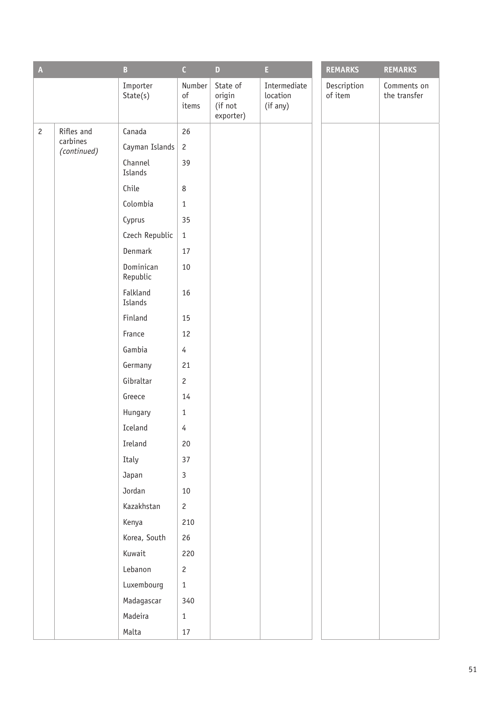| $\pmb{\mathsf{A}}$ |                         | $\, {\bf B}$          | $\mathsf{C}$                      | $\begin{array}{c} \textbf{D} \end{array}$  | E.                                   | <b>REMARKS</b>         | <b>REMARKS</b>              |
|--------------------|-------------------------|-----------------------|-----------------------------------|--------------------------------------------|--------------------------------------|------------------------|-----------------------------|
|                    |                         | Importer<br>State(s)  | Number<br>o <sub>f</sub><br>items | State of<br>origin<br>(if not<br>exporter) | Intermediate<br>location<br>(if any) | Description<br>of item | Comments on<br>the transfer |
| $\overline{c}$     | Rifles and              | Canada                | 26                                |                                            |                                      |                        |                             |
|                    | carbines<br>(continued) | Cayman Islands        | $\overline{c}$                    |                                            |                                      |                        |                             |
|                    |                         | Channel<br>Islands    | 39                                |                                            |                                      |                        |                             |
|                    |                         | Chile                 | 8                                 |                                            |                                      |                        |                             |
|                    |                         | Colombia              | $\mathbf{1}$                      |                                            |                                      |                        |                             |
|                    |                         | Cyprus                | 35                                |                                            |                                      |                        |                             |
|                    |                         | Czech Republic        | $1\,$                             |                                            |                                      |                        |                             |
|                    |                         | Denmark               | $17\,$                            |                                            |                                      |                        |                             |
|                    |                         | Dominican<br>Republic | $10\,$                            |                                            |                                      |                        |                             |
|                    |                         | Falkland<br>Islands   | $16\,$                            |                                            |                                      |                        |                             |
|                    |                         | Finland               | 15                                |                                            |                                      |                        |                             |
|                    |                         | France                | 12                                |                                            |                                      |                        |                             |
|                    |                         | Gambia                | $\overline{4}$                    |                                            |                                      |                        |                             |
|                    |                         | Germany               | 21                                |                                            |                                      |                        |                             |
|                    |                         | Gibraltar             | $\overline{c}$                    |                                            |                                      |                        |                             |
|                    |                         | Greece                | 14                                |                                            |                                      |                        |                             |
|                    |                         | Hungary               | $1\,$                             |                                            |                                      |                        |                             |
|                    |                         | Iceland               | $\overline{4}$                    |                                            |                                      |                        |                             |
|                    |                         | Ireland               | $20\,$                            |                                            |                                      |                        |                             |
|                    |                         | Italy                 | 37                                |                                            |                                      |                        |                             |
|                    |                         | Japan                 | $\mathbf{3}$                      |                                            |                                      |                        |                             |
|                    |                         | Jordan                | $10\,$                            |                                            |                                      |                        |                             |
|                    |                         | Kazakhstan            | $\overline{c}$                    |                                            |                                      |                        |                             |
|                    |                         | Kenya                 | 210                               |                                            |                                      |                        |                             |
|                    |                         | Korea, South          | 26                                |                                            |                                      |                        |                             |
|                    |                         | Kuwait                | 220                               |                                            |                                      |                        |                             |
|                    |                         | Lebanon               | $\overline{c}$                    |                                            |                                      |                        |                             |
|                    |                         | Luxembourg            | $\mathbf{1}$                      |                                            |                                      |                        |                             |
|                    |                         | Madagascar            | 340                               |                                            |                                      |                        |                             |
|                    |                         | Madeira               | $1\,$                             |                                            |                                      |                        |                             |
|                    |                         | Malta                 | 17                                |                                            |                                      |                        |                             |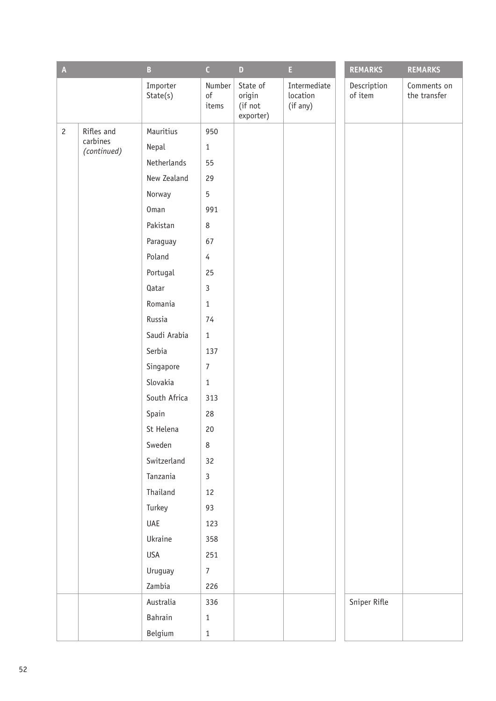| $\pmb{\mathsf{A}}$ |                         | $\overline{B}$       | $\mathsf C$                      | $\mathbf{D}$                               | E.                                   | <b>REMARKS</b>         | <b>REMARKS</b>              |
|--------------------|-------------------------|----------------------|----------------------------------|--------------------------------------------|--------------------------------------|------------------------|-----------------------------|
|                    |                         | Importer<br>State(s) | Number<br>$\mathsf{of}$<br>items | State of<br>origin<br>(if not<br>exporter) | Intermediate<br>location<br>(if any) | Description<br>of item | Comments on<br>the transfer |
| $\overline{c}$     | Rifles and              | Mauritius            | 950                              |                                            |                                      |                        |                             |
|                    | carbines<br>(continued) | Nepal                | $1\,$                            |                                            |                                      |                        |                             |
|                    |                         | Netherlands          | 55                               |                                            |                                      |                        |                             |
|                    |                         | New Zealand          | 29                               |                                            |                                      |                        |                             |
|                    |                         | Norway               | 5                                |                                            |                                      |                        |                             |
|                    |                         | Oman                 | 991                              |                                            |                                      |                        |                             |
|                    |                         | Pakistan             | 8                                |                                            |                                      |                        |                             |
|                    |                         | Paraguay             | 67                               |                                            |                                      |                        |                             |
|                    |                         | Poland               | $\overline{4}$                   |                                            |                                      |                        |                             |
|                    |                         | Portugal             | 25                               |                                            |                                      |                        |                             |
|                    |                         | Qatar                | $\mathbf{3}$                     |                                            |                                      |                        |                             |
|                    |                         | Romania              | $\mathbf{1}$                     |                                            |                                      |                        |                             |
|                    |                         | Russia               | 74                               |                                            |                                      |                        |                             |
|                    |                         | Saudi Arabia         | $1\,$                            |                                            |                                      |                        |                             |
|                    |                         | Serbia               | 137                              |                                            |                                      |                        |                             |
|                    |                         | Singapore            | $\overline{7}$                   |                                            |                                      |                        |                             |
|                    |                         | Slovakia             | $1\,$                            |                                            |                                      |                        |                             |
|                    |                         | South Africa         | 313                              |                                            |                                      |                        |                             |
|                    |                         | Spain                | 28                               |                                            |                                      |                        |                             |
|                    |                         | St Helena            | 20                               |                                            |                                      |                        |                             |
|                    |                         | Sweden               | $\,8\,$                          |                                            |                                      |                        |                             |
|                    |                         | Switzerland          | 32                               |                                            |                                      |                        |                             |
|                    |                         | Tanzania             | $\mathbf{3}$                     |                                            |                                      |                        |                             |
|                    |                         | Thailand             | $12\,$                           |                                            |                                      |                        |                             |
|                    |                         | Turkey               | 93                               |                                            |                                      |                        |                             |
|                    |                         | UAE                  | 123                              |                                            |                                      |                        |                             |
|                    |                         | Ukraine              | 358                              |                                            |                                      |                        |                             |
|                    |                         | <b>USA</b>           | 251                              |                                            |                                      |                        |                             |
|                    |                         | Uruguay              | $\overline{7}$                   |                                            |                                      |                        |                             |
|                    |                         | Zambia               | 226                              |                                            |                                      |                        |                             |
|                    |                         | Australia            | 336                              |                                            |                                      | Sniper Rifle           |                             |
|                    |                         | Bahrain              | $1\,$                            |                                            |                                      |                        |                             |
|                    |                         | Belgium              | $1\,$                            |                                            |                                      |                        |                             |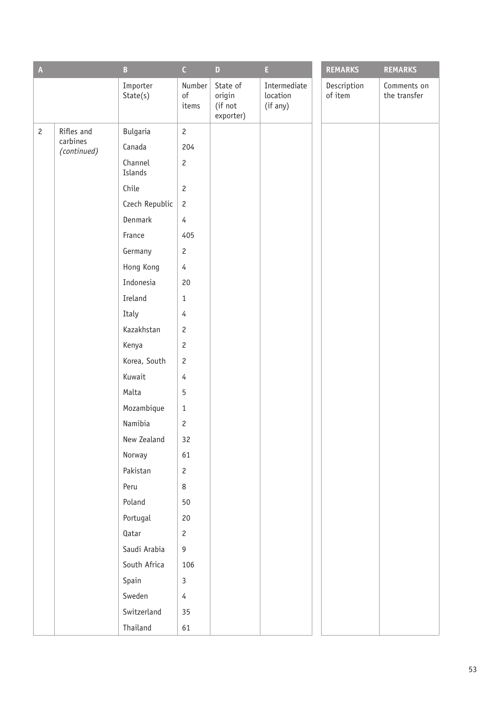| $\pmb{\mathsf{A}}$ |                         | $\, {\bf B}$         | $\mathsf{C}$                     | $\mathbf{D}$                               | E.                                   | <b>REMARKS</b>         | <b>REMARKS</b>              |
|--------------------|-------------------------|----------------------|----------------------------------|--------------------------------------------|--------------------------------------|------------------------|-----------------------------|
|                    |                         | Importer<br>State(s) | Number<br>$\mathsf{of}$<br>items | State of<br>origin<br>(if not<br>exporter) | Intermediate<br>location<br>(if any) | Description<br>of item | Comments on<br>the transfer |
| $\overline{c}$     | Rifles and              | Bulgaria             | $\overline{c}$                   |                                            |                                      |                        |                             |
|                    | carbines<br>(continued) | Canada               | 204                              |                                            |                                      |                        |                             |
|                    |                         | Channel<br>Islands   | $\mathbf{2}$                     |                                            |                                      |                        |                             |
|                    |                         | Chile                | $\overline{c}$                   |                                            |                                      |                        |                             |
|                    |                         | Czech Republic       | $\overline{c}$                   |                                            |                                      |                        |                             |
|                    |                         | Denmark              | $\overline{4}$                   |                                            |                                      |                        |                             |
|                    |                         | France               | 405                              |                                            |                                      |                        |                             |
|                    |                         | Germany              | $\overline{c}$                   |                                            |                                      |                        |                             |
|                    |                         | Hong Kong            | 4                                |                                            |                                      |                        |                             |
|                    |                         | Indonesia            | $20\,$                           |                                            |                                      |                        |                             |
|                    |                         | Ireland              | $\mathbf{1}$                     |                                            |                                      |                        |                             |
|                    |                         | Italy                | $\overline{4}$                   |                                            |                                      |                        |                             |
|                    |                         | Kazakhstan           | $\overline{c}$                   |                                            |                                      |                        |                             |
|                    |                         | Kenya                | $\mathbf{2}$                     |                                            |                                      |                        |                             |
|                    |                         | Korea, South         | $\overline{c}$                   |                                            |                                      |                        |                             |
|                    |                         | Kuwait               | $\overline{4}$                   |                                            |                                      |                        |                             |
|                    |                         | Malta                | 5                                |                                            |                                      |                        |                             |
|                    |                         | Mozambique           | $\mathbf{1}$                     |                                            |                                      |                        |                             |
|                    |                         | Namibia              | $\mathbf{2}$                     |                                            |                                      |                        |                             |
|                    |                         | New Zealand          | 32                               |                                            |                                      |                        |                             |
|                    |                         | Norway               | 61                               |                                            |                                      |                        |                             |
|                    |                         | Pakistan             | $\overline{c}$                   |                                            |                                      |                        |                             |
|                    |                         | Peru                 | 8                                |                                            |                                      |                        |                             |
|                    |                         | Poland               | 50                               |                                            |                                      |                        |                             |
|                    |                         | Portugal             | $20\,$                           |                                            |                                      |                        |                             |
|                    |                         | Qatar                | $\overline{c}$                   |                                            |                                      |                        |                             |
|                    |                         | Saudi Arabia         | 9                                |                                            |                                      |                        |                             |
|                    |                         | South Africa         | 106                              |                                            |                                      |                        |                             |
|                    |                         | Spain                | $\mathbf{3}$                     |                                            |                                      |                        |                             |
|                    |                         | Sweden               | $\overline{4}$                   |                                            |                                      |                        |                             |
|                    |                         | Switzerland          | 35                               |                                            |                                      |                        |                             |
|                    |                         | Thailand             | 61                               |                                            |                                      |                        |                             |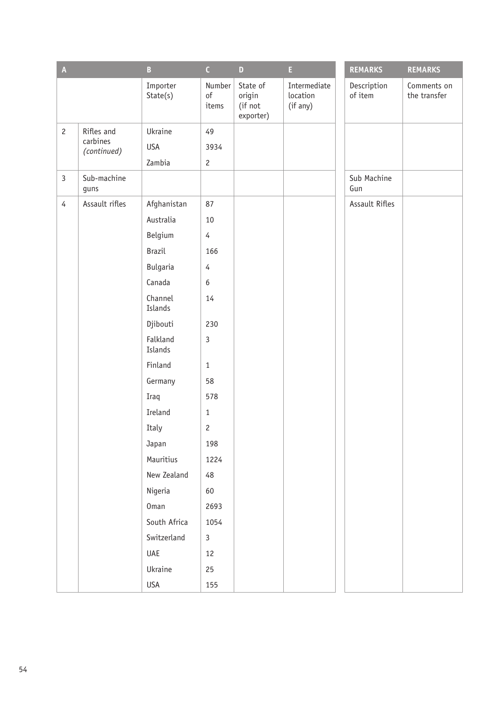| $\pmb{\mathsf{A}}$ |                         | $\overline{B}$       | $\mathsf{C}$                     | $\mathbf{D}$                               | E.                                   | <b>REMARKS</b>         | <b>REMARKS</b>              |
|--------------------|-------------------------|----------------------|----------------------------------|--------------------------------------------|--------------------------------------|------------------------|-----------------------------|
|                    |                         | Importer<br>State(s) | Number<br>$\mathsf{of}$<br>items | State of<br>origin<br>(if not<br>exporter) | Intermediate<br>location<br>(if any) | Description<br>of item | Comments on<br>the transfer |
| $\overline{c}$     | Rifles and              | Ukraine              | 49                               |                                            |                                      |                        |                             |
|                    | carbines<br>(continued) | <b>USA</b>           | 3934                             |                                            |                                      |                        |                             |
|                    |                         | Zambia               | $\overline{c}$                   |                                            |                                      |                        |                             |
| $\mathbf{3}$       | Sub-machine<br>guns     |                      |                                  |                                            |                                      | Sub Machine<br>Gun     |                             |
| $\overline{4}$     | Assault rifles          | Afghanistan          | 87                               |                                            |                                      | Assault Rifles         |                             |
|                    |                         | Australia            | $10\,$                           |                                            |                                      |                        |                             |
|                    |                         | Belgium              | $\overline{4}$                   |                                            |                                      |                        |                             |
|                    |                         | <b>Brazil</b>        | 166                              |                                            |                                      |                        |                             |
|                    |                         | <b>Bulgaria</b>      | $\overline{4}$                   |                                            |                                      |                        |                             |
|                    |                         | Canada               | $\sqrt{6}$                       |                                            |                                      |                        |                             |
|                    |                         | Channel<br>Islands   | 14                               |                                            |                                      |                        |                             |
|                    |                         | Djibouti             | 230                              |                                            |                                      |                        |                             |
|                    |                         | Falkland<br>Islands  | $\mathsf 3$                      |                                            |                                      |                        |                             |
|                    |                         | Finland              | $1\,$                            |                                            |                                      |                        |                             |
|                    |                         | Germany              | 58                               |                                            |                                      |                        |                             |
|                    |                         | Iraq                 | 578                              |                                            |                                      |                        |                             |
|                    |                         | Ireland              | $1\,$                            |                                            |                                      |                        |                             |
|                    |                         | Italy                | $\overline{c}$                   |                                            |                                      |                        |                             |
|                    |                         | Japan                | 198                              |                                            |                                      |                        |                             |
|                    |                         | Mauritius            | 1224                             |                                            |                                      |                        |                             |
|                    |                         | New Zealand          | 48                               |                                            |                                      |                        |                             |
|                    |                         | Nigeria              | 60                               |                                            |                                      |                        |                             |
|                    |                         | Oman                 | 2693                             |                                            |                                      |                        |                             |
|                    |                         | South Africa         | 1054                             |                                            |                                      |                        |                             |
|                    |                         | Switzerland          | $\mathsf 3$                      |                                            |                                      |                        |                             |
|                    |                         | UAE                  | $12\,$                           |                                            |                                      |                        |                             |
|                    |                         | Ukraine              | 25                               |                                            |                                      |                        |                             |
|                    |                         | USA                  | 155                              |                                            |                                      |                        |                             |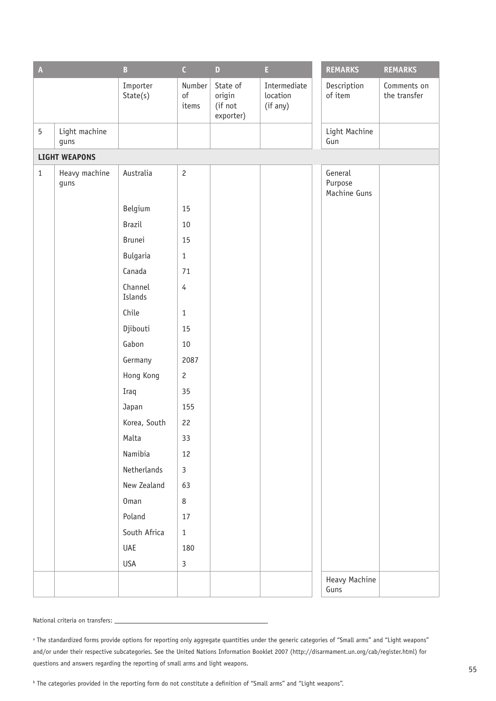| $\boldsymbol{\mathsf{A}}$ |                       | $\overline{\mathbf{B}}$ | $\mathsf{C}$                      | $\mathbf{D}$                               | $\mathbb{E}$                         | <b>REMARKS</b>                     | <b>REMARKS</b>              |
|---------------------------|-----------------------|-------------------------|-----------------------------------|--------------------------------------------|--------------------------------------|------------------------------------|-----------------------------|
|                           |                       | Importer<br>State(s)    | Number<br>o <sub>f</sub><br>items | State of<br>origin<br>(if not<br>exporter) | Intermediate<br>location<br>(if any) | Description<br>of item             | Comments on<br>the transfer |
| 5                         | Light machine<br>guns |                         |                                   |                                            |                                      | Light Machine<br>Gun               |                             |
|                           | <b>LIGHT WEAPONS</b>  |                         |                                   |                                            |                                      |                                    |                             |
| $\mathbf{1}$              | Heavy machine<br>guns | Australia               | $\overline{c}$                    |                                            |                                      | General<br>Purpose<br>Machine Guns |                             |
|                           |                       | Belgium                 | 15                                |                                            |                                      |                                    |                             |
|                           |                       | <b>Brazil</b>           | $10\,$                            |                                            |                                      |                                    |                             |
|                           |                       | Brunei                  | 15                                |                                            |                                      |                                    |                             |
|                           |                       | Bulgaria                | $1\,$                             |                                            |                                      |                                    |                             |
|                           |                       | Canada                  | 71                                |                                            |                                      |                                    |                             |
|                           |                       | Channel<br>Islands      | $\overline{4}$                    |                                            |                                      |                                    |                             |
|                           |                       | Chile                   | $\mathbf{1}$                      |                                            |                                      |                                    |                             |
|                           |                       | Djibouti                | 15                                |                                            |                                      |                                    |                             |
|                           |                       | Gabon                   | $10\,$                            |                                            |                                      |                                    |                             |
|                           |                       | Germany                 | 2087                              |                                            |                                      |                                    |                             |
|                           |                       | Hong Kong               | $\overline{c}$                    |                                            |                                      |                                    |                             |
|                           |                       | Iraq                    | 35                                |                                            |                                      |                                    |                             |
|                           |                       | Japan                   | 155                               |                                            |                                      |                                    |                             |
|                           |                       | Korea, South            | 22                                |                                            |                                      |                                    |                             |
|                           |                       | Malta                   | 33                                |                                            |                                      |                                    |                             |
|                           |                       | Namibia                 | 12                                |                                            |                                      |                                    |                             |
|                           |                       | Netherlands             | $\mathbf{3}$                      |                                            |                                      |                                    |                             |
|                           |                       | New Zealand             | 63                                |                                            |                                      |                                    |                             |
|                           |                       | <b>Oman</b>             | $\,8\,$                           |                                            |                                      |                                    |                             |
|                           |                       | Poland                  | $17\,$                            |                                            |                                      |                                    |                             |
|                           |                       | South Africa            | $\mathbf{1}$                      |                                            |                                      |                                    |                             |
|                           |                       | UAE                     | 180                               |                                            |                                      |                                    |                             |
|                           |                       | <b>USA</b>              | $\mathbf{3}$                      |                                            |                                      |                                    |                             |
|                           |                       |                         |                                   |                                            |                                      | Heavy Machine<br>Guns              |                             |

National criteria on transfers:

a The standardized forms provide options for reporting only aggregate quantities under the generic categories of "Small arms" and "Light weapons" and/or under their respective subcategories. See the United Nations Information Booklet 2007 (http://disarmament.un.org/cab/register.html) for questions and answers regarding the reporting of small arms and light weapons.

b The categories provided in the reporting form do not constitute a definition of "Small arms" and "Light weapons".

<u> 1989 - Johann Stoff, deutscher Stoffen und der Stoffen und der Stoffen und der Stoffen und der Stoffen und der</u>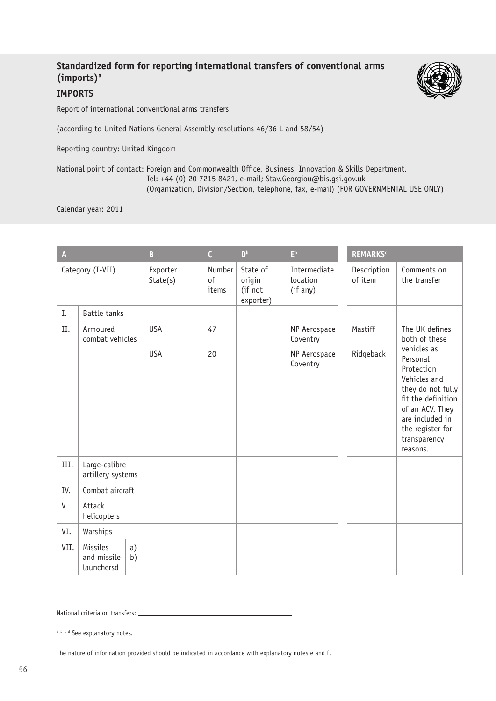## **Standardized form for reporting international transfers of conventional arms (imports)a**

## **IMPORTS**

Report of international conventional arms transfers

(according to United Nations General Assembly resolutions 46/36 L and 58/54)

Reporting country: United Kingdom

National point of contact: Foreign and Commonwealth Office, Business, Innovation & Skills Department, Tel: +44 (0) 20 7215 8421, e-mail; Stav.Georgiou@bis.gsi.gov.uk (Organization, Division/Section, telephone, fax, e-mail) (FOR GOVERNMENTAL USE ONLY)

### Calendar year: 2011

| $\mathbf{A}$ |                                       |          | $\overline{B}$           | $\overline{C}$        | D <sub>p</sub>                             | E <sup>b</sup>                                       | <b>REMARKS<sup>c</sup></b> |                                                                                                                                                                                                                           |
|--------------|---------------------------------------|----------|--------------------------|-----------------------|--------------------------------------------|------------------------------------------------------|----------------------------|---------------------------------------------------------------------------------------------------------------------------------------------------------------------------------------------------------------------------|
|              | Category (I-VII)                      |          | Exporter<br>State(s)     | Number<br>of<br>items | State of<br>origin<br>(if not<br>exporter) | Intermediate<br>location<br>(if any)                 | Description<br>of item     | Comments on<br>the transfer                                                                                                                                                                                               |
| I.           | <b>Battle tanks</b>                   |          |                          |                       |                                            |                                                      |                            |                                                                                                                                                                                                                           |
| II.          | Armoured<br>combat vehicles           |          | <b>USA</b><br><b>USA</b> | 47<br>20              |                                            | NP Aerospace<br>Coventry<br>NP Aerospace<br>Coventry | Mastiff<br>Ridgeback       | The UK defines<br>both of these<br>vehicles as<br>Personal<br>Protection<br>Vehicles and<br>they do not fully<br>fit the definition<br>of an ACV. They<br>are included in<br>the register for<br>transparency<br>reasons. |
| III.         | Large-calibre<br>artillery systems    |          |                          |                       |                                            |                                                      |                            |                                                                                                                                                                                                                           |
| IV.          | Combat aircraft                       |          |                          |                       |                                            |                                                      |                            |                                                                                                                                                                                                                           |
| V.           | Attack<br>helicopters                 |          |                          |                       |                                            |                                                      |                            |                                                                                                                                                                                                                           |
| VI.          | Warships                              |          |                          |                       |                                            |                                                      |                            |                                                                                                                                                                                                                           |
| VII.         | Missiles<br>and missile<br>launchersd | a)<br>b) |                          |                       |                                            |                                                      |                            |                                                                                                                                                                                                                           |

National criteria on transfers:

The nature of information provided should be indicated in accordance with explanatory notes e and f.

a b c d See explanatory notes.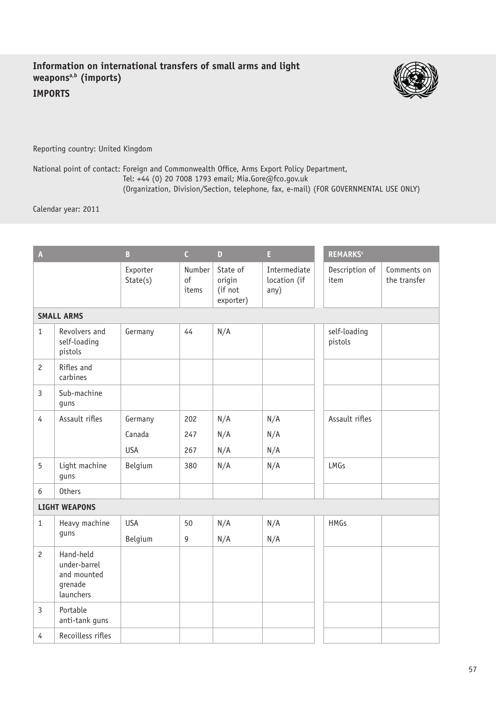

Reporting country: United Kingdom

National point of contact: Foreign and Commonwealth Office, Arms Export Policy Department, Tel: +44 (0) 20 7008 1793 email; Mia.Gore@fco.gov.uk (Organization, Division/Section, telephone, fax, e-mail) (FOR GOVERNMENTAL USE ONLY)

Calendar year: 2011

| $\overline{A}$   |                                                                  | $\overline{B}$                  | $\mathsf{C}$          | $\mathbf{D}$                               | E.                                   | <b>REMARKS<sup>c</sup></b> |                             |  |  |
|------------------|------------------------------------------------------------------|---------------------------------|-----------------------|--------------------------------------------|--------------------------------------|----------------------------|-----------------------------|--|--|
|                  |                                                                  | Exporter<br>State(s)            | Number<br>of<br>items | State of<br>origin<br>(if not<br>exporter) | Intermediate<br>location (if<br>any) | Description of<br>item     | Comments on<br>the transfer |  |  |
|                  | <b>SMALL ARMS</b>                                                |                                 |                       |                                            |                                      |                            |                             |  |  |
| $\mathbf{1}$     | Revolvers and<br>self-loading<br>pistols                         | Germany                         | 44                    | N/A                                        |                                      | self-loading<br>pistols    |                             |  |  |
| $\overline{c}$   | Rifles and<br>carbines                                           |                                 |                       |                                            |                                      |                            |                             |  |  |
| 3                | Sub-machine<br>guns                                              |                                 |                       |                                            |                                      |                            |                             |  |  |
| $\overline{4}$   | Assault rifles                                                   | Germany<br>Canada<br><b>USA</b> | 202<br>247<br>267     | N/A<br>N/A<br>N/A                          | N/A<br>N/A<br>N/A                    | Assault rifles             |                             |  |  |
| 5                | Light machine<br>guns                                            | Belgium                         | 380                   | N/A                                        | N/A                                  | LMGs                       |                             |  |  |
| $\boldsymbol{6}$ | <b>Others</b>                                                    |                                 |                       |                                            |                                      |                            |                             |  |  |
|                  | <b>LIGHT WEAPONS</b>                                             |                                 |                       |                                            |                                      |                            |                             |  |  |
| $\mathbf{1}$     | Heavy machine                                                    | <b>USA</b>                      | 50                    | N/A                                        | N/A                                  | <b>HMGs</b>                |                             |  |  |
|                  | guns                                                             | Belgium                         | 9                     | N/A                                        | N/A                                  |                            |                             |  |  |
| $\overline{c}$   | Hand-held<br>under-barrel<br>and mounted<br>grenade<br>launchers |                                 |                       |                                            |                                      |                            |                             |  |  |
| $\mathbf{3}$     | Portable<br>anti-tank guns                                       |                                 |                       |                                            |                                      |                            |                             |  |  |
| 4                | Recoilless rifles                                                |                                 |                       |                                            |                                      |                            |                             |  |  |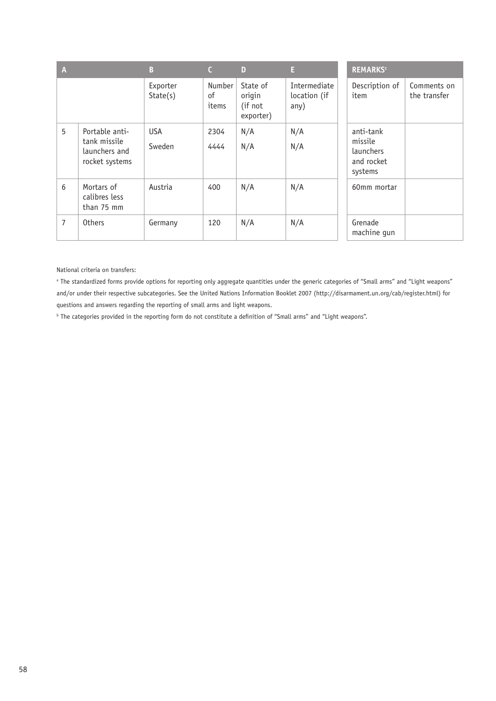| A |                                                                   | B                    | $\mathsf{C}$                 | D                                          | E.                                   | <b>REMARKS</b> <sup>c</sup>                                |                             |
|---|-------------------------------------------------------------------|----------------------|------------------------------|--------------------------------------------|--------------------------------------|------------------------------------------------------------|-----------------------------|
|   |                                                                   | Exporter<br>State(s) | <b>Number</b><br>of<br>items | State of<br>origin<br>(if not<br>exporter) | Intermediate<br>location (if<br>any) | Description of<br>item                                     | Comments on<br>the transfer |
| 5 | Portable anti-<br>tank missile<br>launchers and<br>rocket systems | <b>USA</b><br>Sweden | 2304<br>4444                 | N/A<br>N/A                                 | N/A<br>N/A                           | anti-tank<br>missile<br>launchers<br>and rocket<br>systems |                             |
| 6 | Mortars of<br>calibres less<br>than 75 mm                         | Austria              | 400                          | N/A                                        | N/A                                  | 60mm mortar                                                |                             |
| 7 | <b>Others</b>                                                     | Germany              | 120                          | N/A                                        | N/A                                  | Grenade<br>machine qun                                     |                             |

National criteria on transfers:

a The standardized forms provide options for reporting only aggregate quantities under the generic categories of "Small arms" and "Light weapons" and/or under their respective subcategories. See the United Nations Information Booklet 2007 (http://disarmament.un.org/cab/register.html) for questions and answers regarding the reporting of small arms and light weapons.

b The categories provided in the reporting form do not constitute a definition of "Small arms" and "Light weapons".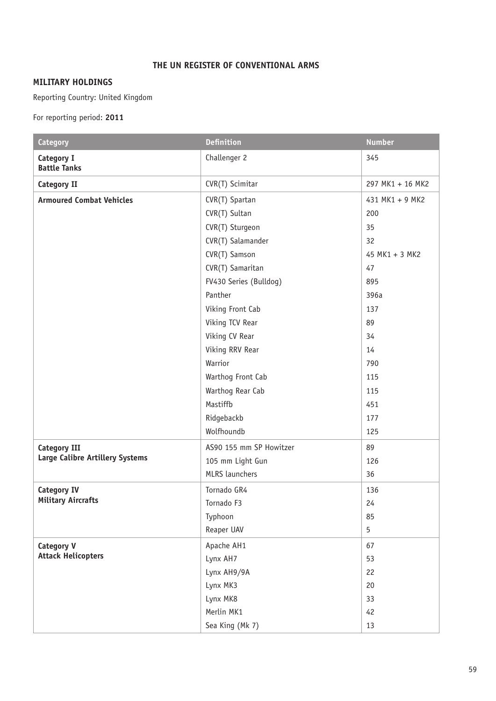## **THE UN REGISTER OF CONVENTIONAL ARMS**

## **MILITARY HOLDINGS**

Reporting Country: United Kingdom

For reporting period: **2011**

| <b>Category</b>                   | <b>Definition</b>       | <b>Number</b>    |
|-----------------------------------|-------------------------|------------------|
| Category I<br><b>Battle Tanks</b> | Challenger 2            | 345              |
| <b>Category II</b>                | CVR(T) Scimitar         | 297 MK1 + 16 MK2 |
| <b>Armoured Combat Vehicles</b>   | CVR(T) Spartan          | 431 MK1 + 9 MK2  |
|                                   | CVR(T) Sultan           | 200              |
|                                   | CVR(T) Sturgeon         | 35               |
|                                   | CVR(T) Salamander       | 32               |
|                                   | CVR(T) Samson           | 45 MK1 + 3 MK2   |
|                                   | CVR(T) Samaritan        | 47               |
|                                   | FV430 Series (Bulldog)  | 895              |
|                                   | Panther                 | 396a             |
|                                   | Viking Front Cab        | 137              |
|                                   | Viking TCV Rear         | 89               |
|                                   | Viking CV Rear          | 34               |
|                                   | Viking RRV Rear         | 14               |
|                                   | Warrior                 | 790              |
|                                   | Warthog Front Cab       | 115              |
|                                   | Warthog Rear Cab        | 115              |
|                                   | Mastiffb                | 451              |
|                                   | Ridgebackb              | 177              |
|                                   | Wolfhoundb              | 125              |
| <b>Category III</b>               | AS90 155 mm SP Howitzer | 89               |
| Large Calibre Artillery Systems   | 105 mm Light Gun        | 126              |
|                                   | <b>MLRS</b> launchers   | 36               |
| <b>Category IV</b>                | Tornado GR4             | 136              |
| <b>Military Aircrafts</b>         | Tornado F3              | 24               |
|                                   | Typhoon                 | 85               |
|                                   | Reaper UAV              | 5                |
| <b>Category V</b>                 | Apache AH1              | 67               |
| <b>Attack Helicopters</b>         | Lynx AH7                | 53               |
|                                   | Lynx AH9/9A             | 22               |
|                                   | Lynx MK3                | 20               |
|                                   | Lynx MK8                | 33               |
|                                   | Merlin MK1              | 42               |
|                                   | Sea King (Mk 7)         | 13               |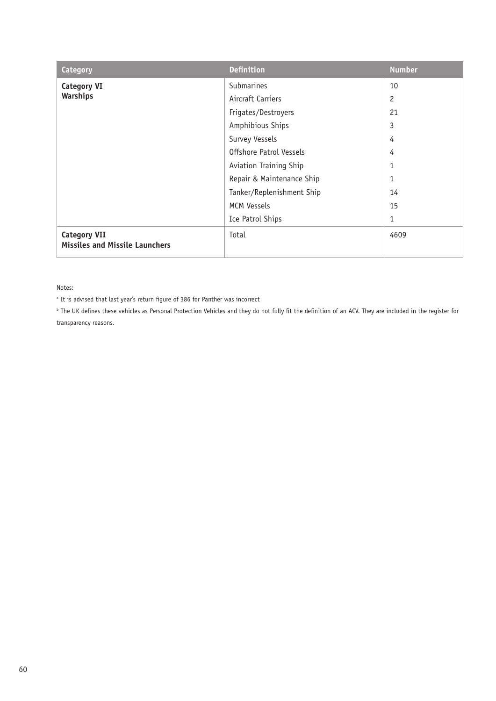| Category                                                     | <b>Definition</b>         | <b>Number</b>  |
|--------------------------------------------------------------|---------------------------|----------------|
| <b>Category VI</b>                                           | Submarines                | 10             |
| <b>Warships</b>                                              | Aircraft Carriers         | $\overline{c}$ |
|                                                              | Frigates/Destroyers       | 21             |
|                                                              | Amphibious Ships          | 3              |
|                                                              | Survey Vessels            | 4              |
|                                                              | Offshore Patrol Vessels   | 4              |
|                                                              | Aviation Training Ship    | 1              |
|                                                              | Repair & Maintenance Ship | 1              |
|                                                              | Tanker/Replenishment Ship | 14             |
|                                                              | <b>MCM Vessels</b>        | 15             |
|                                                              | Ice Patrol Ships          | 1              |
| <b>Category VII</b><br><b>Missiles and Missile Launchers</b> | Total                     | 4609           |

Notes:

<sup>a</sup> It is advised that last year's return figure of 386 for Panther was incorrect

b The UK defines these vehicles as Personal Protection Vehicles and they do not fully fit the definition of an ACV. They are included in the register for transparency reasons.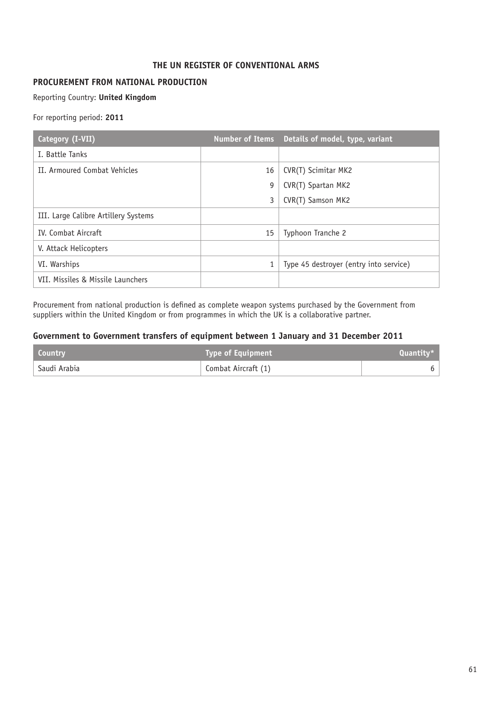## **THE UN REGISTER OF CONVENTIONAL ARMS**

## **PROCUREMENT FROM NATIONAL PRODUCTION**

## Reporting Country: **United Kingdom**

## For reporting period: **2011**

| Category (I-VII)                     | <b>Number of Items</b> | Details of model, type, variant        |
|--------------------------------------|------------------------|----------------------------------------|
| I. Battle Tanks                      |                        |                                        |
| II. Armoured Combat Vehicles         | 16                     | CVR(T) Scimitar MK2                    |
|                                      | 9                      | CVR(T) Spartan MK2                     |
|                                      | 3                      | CVR(T) Samson MK2                      |
| III. Large Calibre Artillery Systems |                        |                                        |
| IV. Combat Aircraft                  | 15                     | Typhoon Tranche 2                      |
| V. Attack Helicopters                |                        |                                        |
| VI. Warships                         |                        | Type 45 destroyer (entry into service) |
| VII. Missiles & Missile Launchers    |                        |                                        |

Procurement from national production is defined as complete weapon systems purchased by the Government from suppliers within the United Kingdom or from programmes in which the UK is a collaborative partner.

### **Government to Government transfers of equipment between 1 January and 31 December 2011**

| <b>Country</b> | <b>Type of Equipment</b> | / Quantity* |
|----------------|--------------------------|-------------|
| ` Saudi Arabia | Combat Aircraft (1)      |             |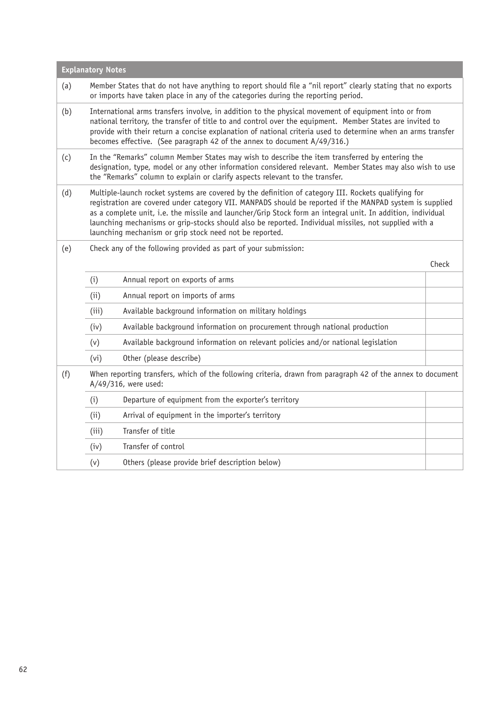| <b>Explanatory Notes</b> |                                                                                                                                                                                                                                                                                                                                                                                                                                                                                                     |                                                                                   |       |  |  |
|--------------------------|-----------------------------------------------------------------------------------------------------------------------------------------------------------------------------------------------------------------------------------------------------------------------------------------------------------------------------------------------------------------------------------------------------------------------------------------------------------------------------------------------------|-----------------------------------------------------------------------------------|-------|--|--|
| (a)                      | Member States that do not have anything to report should file a "nil report" clearly stating that no exports<br>or imports have taken place in any of the categories during the reporting period.                                                                                                                                                                                                                                                                                                   |                                                                                   |       |  |  |
| (b)                      | International arms transfers involve, in addition to the physical movement of equipment into or from<br>national territory, the transfer of title to and control over the equipment. Member States are invited to<br>provide with their return a concise explanation of national criteria used to determine when an arms transfer<br>becomes effective. (See paragraph 42 of the annex to document A/49/316.)                                                                                       |                                                                                   |       |  |  |
| (c)                      | In the "Remarks" column Member States may wish to describe the item transferred by entering the<br>designation, type, model or any other information considered relevant. Member States may also wish to use<br>the "Remarks" column to explain or clarify aspects relevant to the transfer.                                                                                                                                                                                                        |                                                                                   |       |  |  |
| (d)                      | Multiple-launch rocket systems are covered by the definition of category III. Rockets qualifying for<br>registration are covered under category VII. MANPADS should be reported if the MANPAD system is supplied<br>as a complete unit, i.e. the missile and launcher/Grip Stock form an integral unit. In addition, individual<br>launching mechanisms or grip-stocks should also be reported. Individual missiles, not supplied with a<br>launching mechanism or grip stock need not be reported. |                                                                                   |       |  |  |
| (e)                      | Check any of the following provided as part of your submission:                                                                                                                                                                                                                                                                                                                                                                                                                                     |                                                                                   |       |  |  |
|                          |                                                                                                                                                                                                                                                                                                                                                                                                                                                                                                     |                                                                                   | Check |  |  |
|                          | (i)                                                                                                                                                                                                                                                                                                                                                                                                                                                                                                 | Annual report on exports of arms                                                  |       |  |  |
|                          | (i)                                                                                                                                                                                                                                                                                                                                                                                                                                                                                                 | Annual report on imports of arms                                                  |       |  |  |
|                          | (iii)                                                                                                                                                                                                                                                                                                                                                                                                                                                                                               | Available background information on military holdings                             |       |  |  |
|                          | (iv)                                                                                                                                                                                                                                                                                                                                                                                                                                                                                                | Available background information on procurement through national production       |       |  |  |
|                          | (v)                                                                                                                                                                                                                                                                                                                                                                                                                                                                                                 | Available background information on relevant policies and/or national legislation |       |  |  |
|                          | (vi)                                                                                                                                                                                                                                                                                                                                                                                                                                                                                                | Other (please describe)                                                           |       |  |  |
| (f)                      | When reporting transfers, which of the following criteria, drawn from paragraph 42 of the annex to document<br>A/49/316, were used:                                                                                                                                                                                                                                                                                                                                                                 |                                                                                   |       |  |  |
|                          | (i)                                                                                                                                                                                                                                                                                                                                                                                                                                                                                                 | Departure of equipment from the exporter's territory                              |       |  |  |
|                          | (i)                                                                                                                                                                                                                                                                                                                                                                                                                                                                                                 | Arrival of equipment in the importer's territory                                  |       |  |  |
|                          | (iii)                                                                                                                                                                                                                                                                                                                                                                                                                                                                                               | Transfer of title                                                                 |       |  |  |
|                          | (iv)                                                                                                                                                                                                                                                                                                                                                                                                                                                                                                | Transfer of control                                                               |       |  |  |
|                          | (v)                                                                                                                                                                                                                                                                                                                                                                                                                                                                                                 | Others (please provide brief description below)                                   |       |  |  |